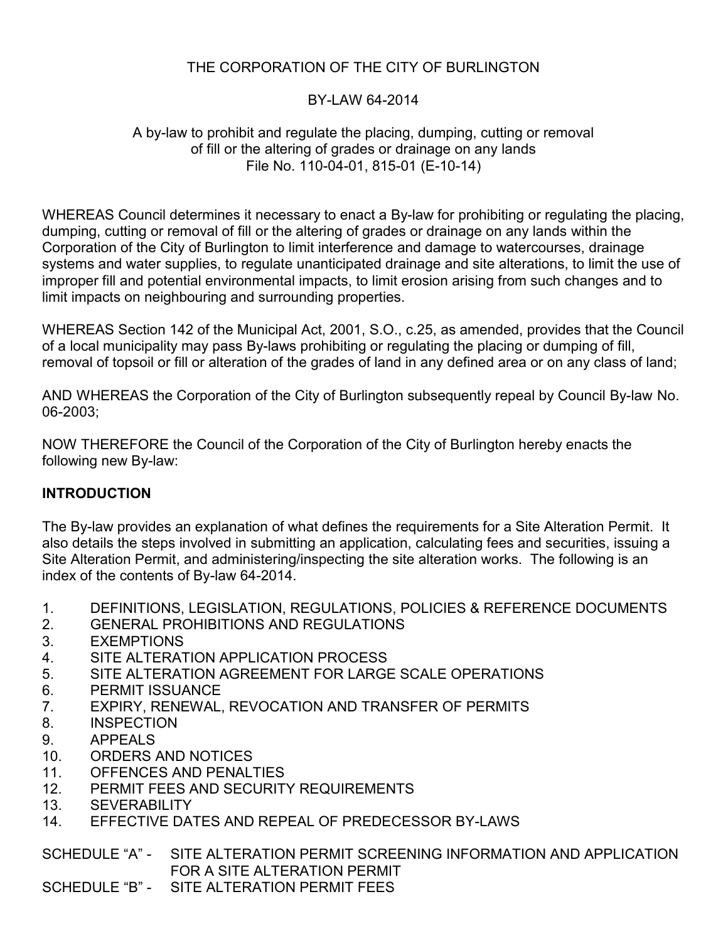## BY-LAW 64-2014

#### A by-law to prohibit and regulate the placing, dumping, cutting or removal of fill or the altering of grades or drainage on any lands File No. 110-04-01, 815-01 (E-10-14)

WHEREAS Council determines it necessary to enact a By-law for prohibiting or regulating the placing, dumping, cutting or removal of fill or the altering of grades or drainage on any lands within the Corporation of the City of Burlington to limit interference and damage to watercourses, drainage systems and water supplies, to regulate unanticipated drainage and site alterations, to limit the use of improper fill and potential environmental impacts, to limit erosion arising from such changes and to limit impacts on neighbouring and surrounding properties.

WHEREAS Section 142 of the Municipal Act, 2001, S.O., c.25, as amended, provides that the Council of a local municipality may pass By-laws prohibiting or regulating the placing or dumping of fill, removal of topsoil or fill or alteration of the grades of land in any defined area or on any class of land;

AND WHEREAS the Corporation of the City of Burlington subsequently repeal by Council By-law No. 06-2003;

NOW THEREFORE the Council of the Corporation of the City of Burlington hereby enacts the following new By-law:

## **INTRODUCTION**

The By-law provides an explanation of what defines the requirements for a Site Alteration Permit. It also details the steps involved in submitting an application, calculating fees and securities, issuing a Site Alteration Permit, and administering/inspecting the site alteration works. The following is an index of the contents of By-law 64-2014.

- 1. DEFINITIONS, LEGISLATION, REGULATIONS, POLICIES & REFERENCE DOCUMENTS
- 2. GENERAL PROHIBITIONS AND REGULATIONS
- 3. EXEMPTIONS
- 4. SITE ALTERATION APPLICATION PROCESS
- 5. SITE ALTERATION AGREEMENT FOR LARGE SCALE OPERATIONS
- 6. PERMIT ISSUANCE
- 7. EXPIRY, RENEWAL, REVOCATION AND TRANSFER OF PERMITS
- 8. INSPECTION
- 9. APPEALS
- 10. ORDERS AND NOTICES
- 11. OFFENCES AND PENALTIES
- 12. PERMIT FEES AND SECURITY REQUIREMENTS
- 13. SEVERABILITY
- 14. EFFECTIVE DATES AND REPEAL OF PREDECESSOR BY-LAWS

SCHEDULE "A" - SITE ALTERATION PERMIT SCREENING INFORMATION AND APPLICATION FOR A SITE ALTERATION PERMIT

SCHEDULE "B" - SITE ALTERATION PERMIT FEES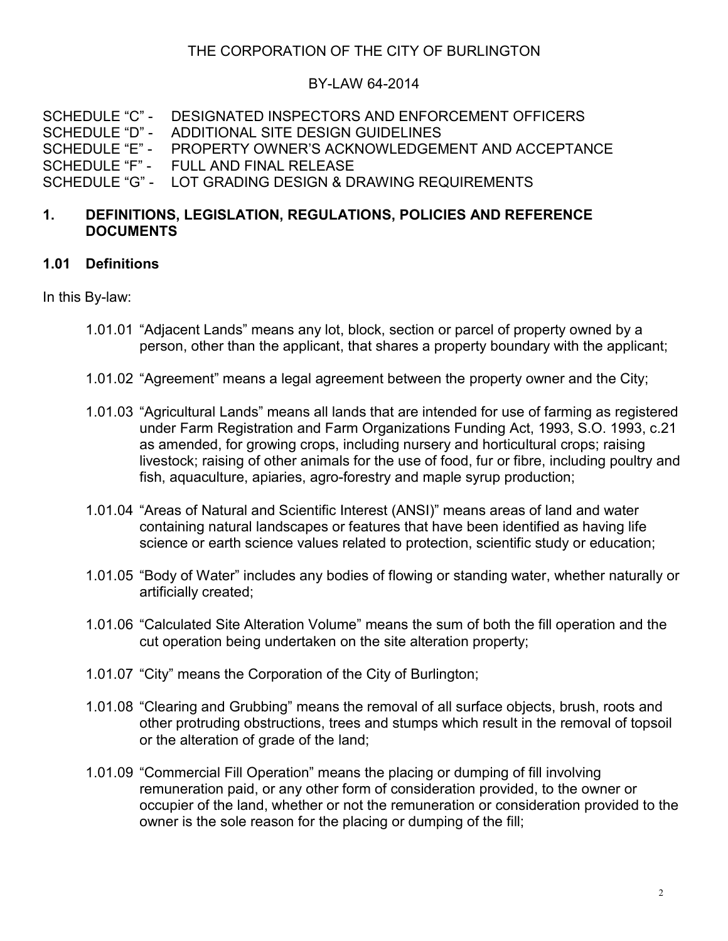### BY-LAW 64-2014

SCHEDULE "C" - DESIGNATED INSPECTORS AND ENFORCEMENT OFFICERS SCHEDULE "D" - ADDITIONAL SITE DESIGN GUIDELINES SCHEDULE "E" - PROPERTY OWNER'S ACKNOWLEDGEMENT AND ACCEPTANCE SCHEDULE "F" - FULL AND FINAL RELEASE SCHEDULE "G" - LOT GRADING DESIGN & DRAWING REQUIREMENTS

### **1. DEFINITIONS, LEGISLATION, REGULATIONS, POLICIES AND REFERENCE DOCUMENTS**

#### **1.01 Definitions**

In this By-law:

- 1.01.01 "Adjacent Lands" means any lot, block, section or parcel of property owned by a person, other than the applicant, that shares a property boundary with the applicant;
- 1.01.02 "Agreement" means a legal agreement between the property owner and the City;
- 1.01.03 "Agricultural Lands" means all lands that are intended for use of farming as registered under Farm Registration and Farm Organizations Funding Act, 1993, S.O. 1993, c.21 as amended, for growing crops, including nursery and horticultural crops; raising livestock; raising of other animals for the use of food, fur or fibre, including poultry and fish, aquaculture, apiaries, agro-forestry and maple syrup production;
- 1.01.04 "Areas of Natural and Scientific Interest (ANSI)" means areas of land and water containing natural landscapes or features that have been identified as having life science or earth science values related to protection, scientific study or education;
- 1.01.05 "Body of Water" includes any bodies of flowing or standing water, whether naturally or artificially created;
- 1.01.06 "Calculated Site Alteration Volume" means the sum of both the fill operation and the cut operation being undertaken on the site alteration property;
- 1.01.07 "City" means the Corporation of the City of Burlington;
- 1.01.08 "Clearing and Grubbing" means the removal of all surface objects, brush, roots and other protruding obstructions, trees and stumps which result in the removal of topsoil or the alteration of grade of the land;
- 1.01.09 "Commercial Fill Operation" means the placing or dumping of fill involving remuneration paid, or any other form of consideration provided, to the owner or occupier of the land, whether or not the remuneration or consideration provided to the owner is the sole reason for the placing or dumping of the fill;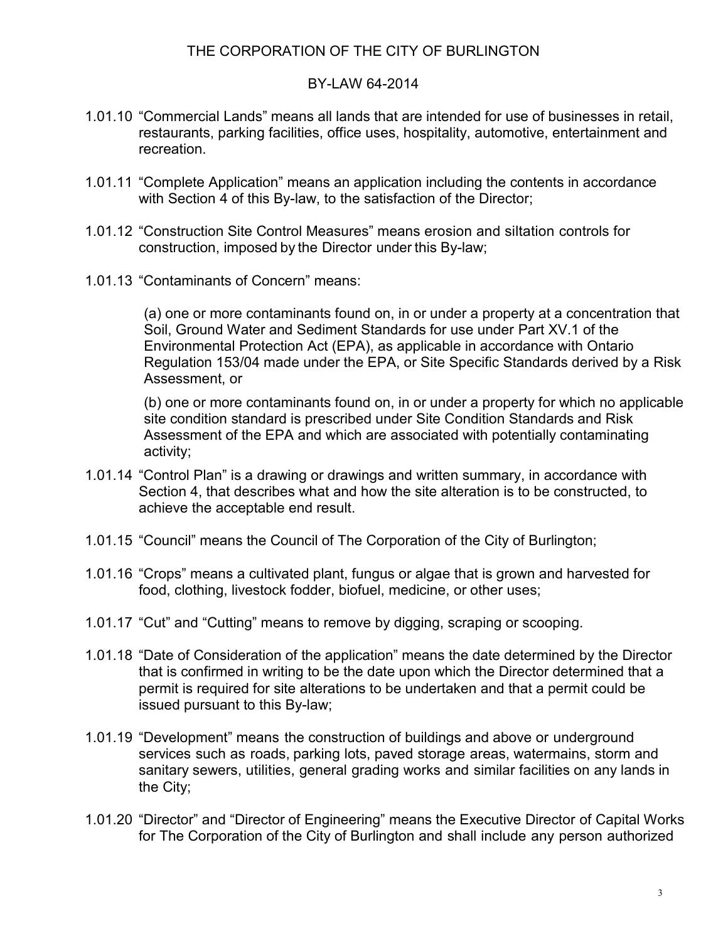#### BY-LAW 64-2014

- 1.01.10 "Commercial Lands" means all lands that are intended for use of businesses in retail, restaurants, parking facilities, office uses, hospitality, automotive, entertainment and recreation.
- 1.01.11 "Complete Application" means an application including the contents in accordance with Section 4 of this By-law, to the satisfaction of the Director;
- 1.01.12 "Construction Site Control Measures" means erosion and siltation controls for construction, imposed by the Director under this By-law;
- 1.01.13 "Contaminants of Concern" means:

(a) one or more contaminants found on, in or under a property at a concentration that Soil, Ground Water and Sediment Standards for use under Part XV.1 of the Environmental Protection Act (EPA), as applicable in accordance with Ontario Regulation 153/04 made under the EPA, or Site Specific Standards derived by a Risk Assessment, or

(b) one or more contaminants found on, in or under a property for which no applicable site condition standard is prescribed under Site Condition Standards and Risk Assessment of the EPA and which are associated with potentially contaminating activity;

- 1.01.14 "Control Plan" is a drawing or drawings and written summary, in accordance with Section 4, that describes what and how the site alteration is to be constructed, to achieve the acceptable end result.
- 1.01.15 "Council" means the Council of The Corporation of the City of Burlington;
- 1.01.16 "Crops" means a cultivated plant, fungus or algae that is grown and harvested for [food,](http://en.wikipedia.org/wiki/Food) [clothing,](http://en.wikipedia.org/wiki/Clothing) [livestock](http://en.wikipedia.org/wiki/Livestock) [fodder,](http://en.wikipedia.org/wiki/Fodder) [biofuel,](http://en.wikipedia.org/wiki/Biofuel) [medicine,](http://en.wikipedia.org/wiki/Medicine) or other uses;
- 1.01.17 "Cut" and "Cutting" means to remove by digging, scraping or scooping.
- 1.01.18 "Date of Consideration of the application" means the date determined by the Director that is confirmed in writing to be the date upon which the Director determined that a permit is required for site alterations to be undertaken and that a permit could be issued pursuant to this By-law;
- 1.01.19 "Development" means the construction of buildings and above or underground services such as roads, parking lots, paved storage areas, watermains, storm and sanitary sewers, utilities, general grading works and similar facilities on any lands in the City;
- 1.01.20 "Director" and "Director of Engineering" means the Executive Director of Capital Works for The Corporation of the City of Burlington and shall include any person authorized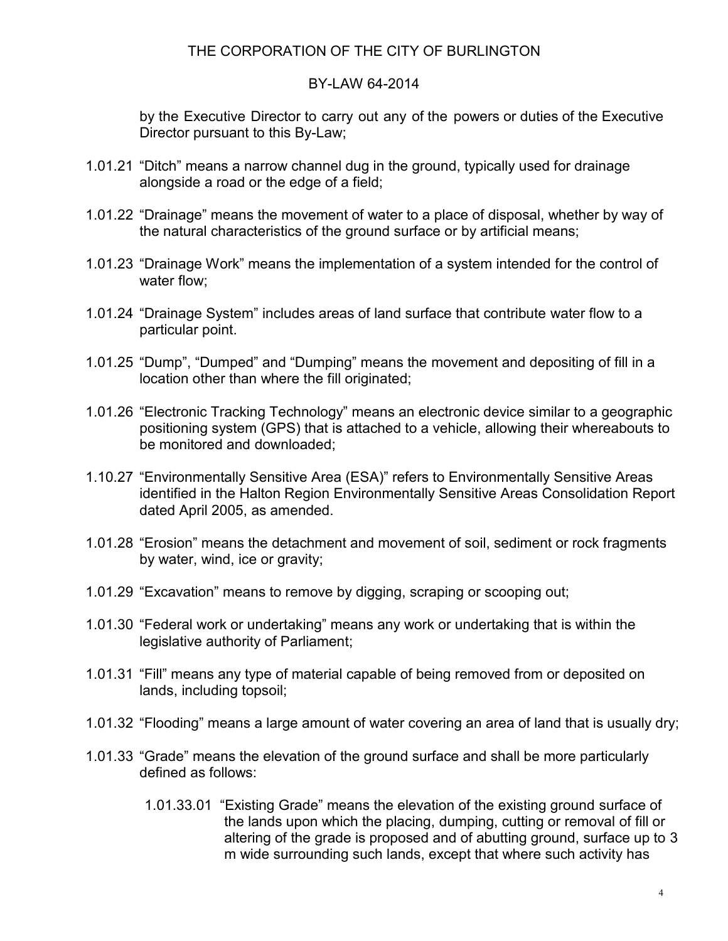#### BY-LAW 64-2014

by the Executive Director to carry out any of the powers or duties of the Executive Director pursuant to this By-Law;

- 1.01.21 "Ditch" means a narrow channel dug in the ground, typically used for drainage alongside a road or the edge of a field;
- 1.01.22 "Drainage" means the movement of water to a place of disposal, whether by way of the natural characteristics of the ground surface or by artificial means;
- 1.01.23 "Drainage Work" means the implementation of a system intended for the control of water flow;
- 1.01.24 "Drainage System" includes areas of land surface that contribute water flow to a particular point.
- 1.01.25 "Dump", "Dumped" and "Dumping" means the movement and depositing of fill in a location other than where the fill originated;
- 1.01.26 "Electronic Tracking Technology" means an electronic device similar to a geographic positioning system (GPS) that is attached to a vehicle, allowing their whereabouts to be monitored and downloaded;
- 1.10.27 "Environmentally Sensitive Area (ESA)" refers to Environmentally Sensitive Areas identified in the Halton Region Environmentally Sensitive Areas Consolidation Report dated April 2005, as amended.
- 1.01.28 "Erosion" means the detachment and movement of soil, sediment or rock fragments by water, wind, ice or gravity;
- 1.01.29 "Excavation" means to remove by digging, scraping or scooping out;
- 1.01.30 "Federal work or undertaking" means any work or undertaking that is within the legislative authority of Parliament;
- 1.01.31 "Fill" means any type of material capable of being removed from or deposited on lands, including topsoil;
- 1.01.32 "Flooding" means a large amount of water covering an area of land that is usually dry;
- 1.01.33 "Grade" means the elevation of the ground surface and shall be more particularly defined as follows:
	- 1.01.33.01 "Existing Grade" means the elevation of the existing ground surface of the lands upon which the placing, dumping, cutting or removal of fill or altering of the grade is proposed and of abutting ground, surface up to 3 m wide surrounding such lands, except that where such activity has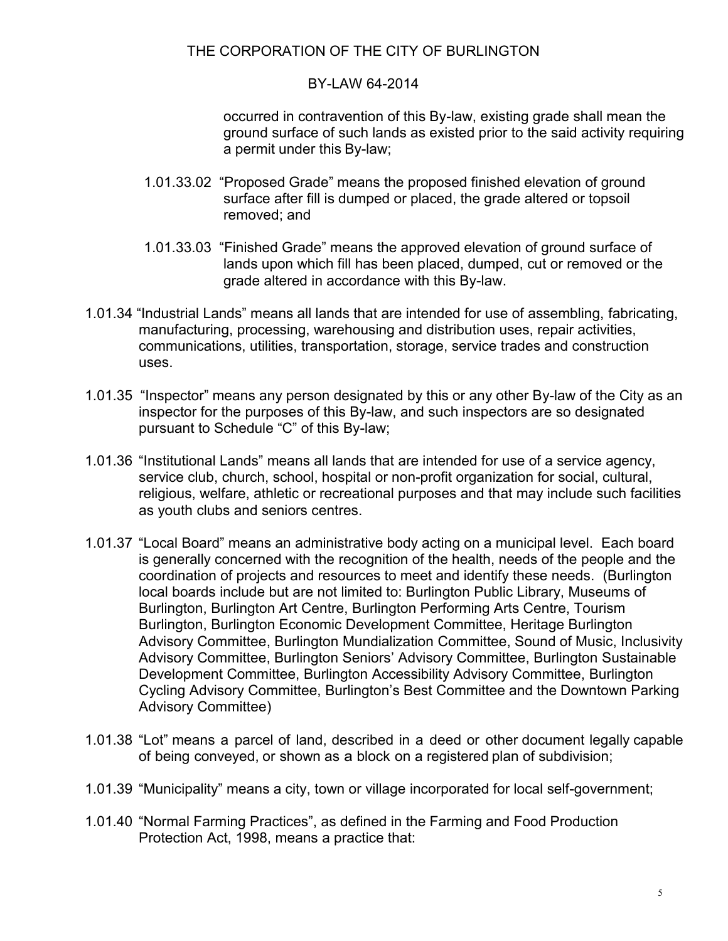#### BY-LAW 64-2014

occurred in contravention of this By-law, existing grade shall mean the ground surface of such lands as existed prior to the said activity requiring a permit under this By-law;

- 1.01.33.02 "Proposed Grade" means the proposed finished elevation of ground surface after fill is dumped or placed, the grade altered or topsoil removed; and
- 1.01.33.03 "Finished Grade" means the approved elevation of ground surface of lands upon which fill has been placed, dumped, cut or removed or the grade altered in accordance with this By-law.
- 1.01.34 "Industrial Lands" means all lands that are intended for use of assembling, fabricating, manufacturing, processing, warehousing and distribution uses, repair activities, communications, utilities, transportation, storage, service trades and construction uses.
- 1.01.35 "Inspector" means any person designated by this or any other By-law of the City as an inspector for the purposes of this By-law, and such inspectors are so designated pursuant to Schedule "C" of this By-law;
- 1.01.36 "Institutional Lands" means all lands that are intended for use of a service agency, service club, church, school, hospital or non-profit organization for social, cultural, religious, welfare, athletic or recreational purposes and that may include such facilities as youth clubs and seniors centres.
- 1.01.37 "Local Board" means an administrative body acting on a municipal level. Each board is generally concerned with the recognition of the health, needs of the people and the coordination of projects and resources to meet and identify these needs. (Burlington local boards include but are not limited to: Burlington Public Library, Museums of Burlington, Burlington Art Centre, Burlington Performing Arts Centre, Tourism Burlington, Burlington Economic Development Committee, Heritage Burlington Advisory Committee, Burlington Mundialization Committee, Sound of Music, Inclusivity Advisory Committee, Burlington Seniors' Advisory Committee, Burlington Sustainable Development Committee, Burlington Accessibility Advisory Committee, Burlington Cycling Advisory Committee, Burlington's Best Committee and the Downtown Parking Advisory Committee)
- 1.01.38 "Lot" means a parcel of land, described in a deed or other document legally capable of being conveyed, or shown as a block on a registered plan of subdivision;
- 1.01.39 "Municipality" means a city, town or village incorporated for local self-government;
- 1.01.40 "Normal Farming Practices", as defined in the Farming and Food Production Protection Act, 1998, means a practice that: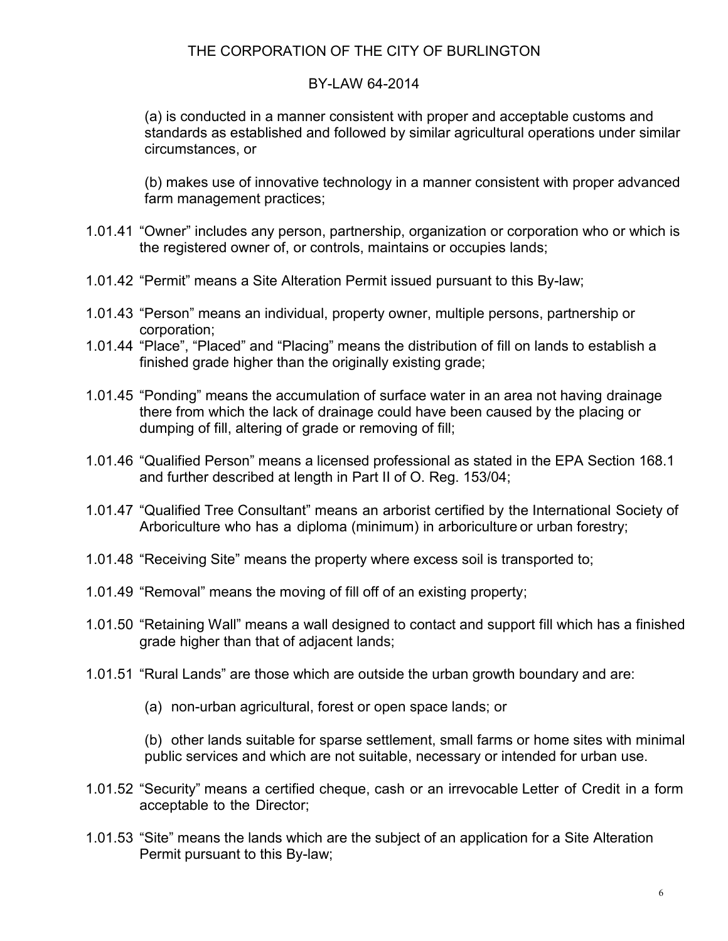#### BY-LAW 64-2014

(a) is conducted in a manner consistent with proper and acceptable customs and standards as established and followed by similar agricultural operations under similar circumstances, or

(b) makes use of innovative technology in a manner consistent with proper advanced farm management practices;

- 1.01.41 "Owner" includes any person, partnership, organization or corporation who or which is the registered owner of, or controls, maintains or occupies lands;
- 1.01.42 "Permit" means a Site Alteration Permit issued pursuant to this By-law;
- 1.01.43 "Person" means an individual, property owner, multiple persons, partnership or corporation;
- 1.01.44 "Place", "Placed" and "Placing" means the distribution of fill on lands to establish a finished grade higher than the originally existing grade;
- 1.01.45 "Ponding" means the accumulation of surface water in an area not having drainage there from which the lack of drainage could have been caused by the placing or dumping of fill, altering of grade or removing of fill;
- 1.01.46 "Qualified Person" means a licensed professional as stated in the EPA Section 168.1 and further described at length in Part II of O. Reg. 153/04;
- 1.01.47 "Qualified Tree Consultant" means an arborist certified by the International Society of Arboriculture who has a diploma (minimum) in arboriculture or urban forestry;
- 1.01.48 "Receiving Site" means the property where excess soil is transported to;
- 1.01.49 "Removal" means the moving of fill off of an existing property;
- 1.01.50 "Retaining Wall" means a wall designed to contact and support fill which has a finished grade higher than that of adjacent lands;
- 1.01.51 "Rural Lands" are those which are outside the urban growth boundary and are:
	- (a) non-urban agricultural, forest or open space lands; or

(b) other lands suitable for sparse settlement, small farms or home sites with minimal public services and which are not suitable, necessary or intended for urban use.

- 1.01.52 "Security" means a certified cheque, cash or an irrevocable Letter of Credit in a form acceptable to the Director;
- 1.01.53 "Site" means the lands which are the subject of an application for a Site Alteration Permit pursuant to this By-law;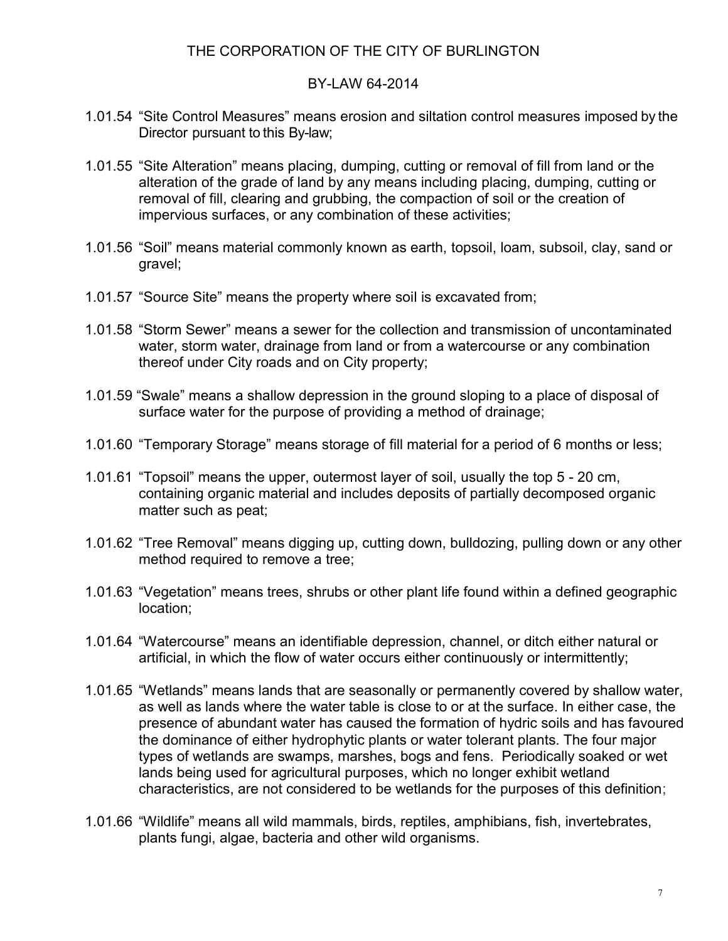#### BY-LAW 64-2014

- 1.01.54 "Site Control Measures" means erosion and siltation control measures imposed by the Director pursuant to this By-law;
- 1.01.55 "Site Alteration" means placing, dumping, cutting or removal of fill from land or the alteration of the grade of land by any means including placing, dumping, cutting or removal of fill, clearing and grubbing, the compaction of soil or the creation of impervious surfaces, or any combination of these activities;
- 1.01.56 "Soil" means material commonly known as earth, topsoil, loam, subsoil, clay, sand or gravel;
- 1.01.57 "Source Site" means the property where soil is excavated from;
- 1.01.58 "Storm Sewer" means a sewer for the collection and transmission of uncontaminated water, storm water, drainage from land or from a watercourse or any combination thereof under City roads and on City property;
- 1.01.59 "Swale" means a shallow depression in the ground sloping to a place of disposal of surface water for the purpose of providing a method of drainage;
- 1.01.60 "Temporary Storage" means storage of fill material for a period of 6 months or less;
- 1.01.61 "Topsoil" means the upper, outermost layer of [soil,](http://en.wikipedia.org/wiki/Soil) usually the top 5 20 cm, containing organic material and includes deposits of partially decomposed organic matter such as peat;
- 1.01.62 "Tree Removal" means digging up, cutting down, bulldozing, pulling down or any other method required to remove a tree;
- 1.01.63 "Vegetation" means trees, shrubs or other plant life found within a defined geographic location;
- 1.01.64 "Watercourse" means an identifiable depression, channel, or ditch either natural or artificial, in which the flow of water occurs either continuously or intermittently;
- 1.01.65 "Wetlands" means lands that are seasonally or permanently covered by shallow water, as well as lands where the water table is close to or at the surface. In either case, the presence of abundant water has caused the formation of hydric soils and has favoured the dominance of either hydrophytic plants or water tolerant plants. The four major types of wetlands are swamps, marshes, bogs and fens. Periodically soaked or wet lands being used for agricultural purposes, which no longer exhibit wetland characteristics, are not considered to be wetlands for the purposes of this definition;
- 1.01.66 "Wildlife" means all wild mammals, birds, reptiles, amphibians, fish, invertebrates, plants fungi, algae, bacteria and other wild organisms.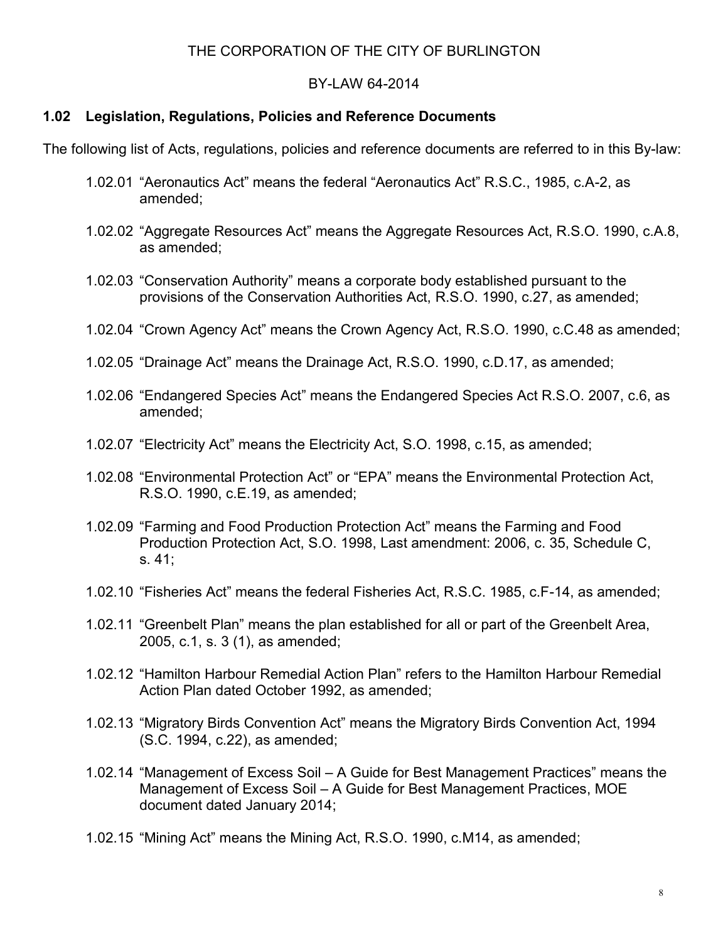#### BY-LAW 64-2014

### **1.02 Legislation, Regulations, Policies and Reference Documents**

The following list of Acts, regulations, policies and reference documents are referred to in this By-law:

- 1.02.01 "Aeronautics Act" means the federal "Aeronautics Act" R.S.C., 1985, c.A-2, as amended;
- 1.02.02 "Aggregate Resources Act" means the Aggregate Resources Act, R.S.O. 1990, c.A.8, as amended;
- 1.02.03 "Conservation Authority" means a corporate body established pursuant to the provisions of the Conservation Authorities Act, R.S.O. 1990, c.27, as amended;
- 1.02.04 "Crown Agency Act" means the Crown Agency Act, R.S.O. 1990, c.C.48 as amended;
- 1.02.05 "Drainage Act" means the Drainage Act, R.S.O. 1990, c.D.17, as amended;
- 1.02.06 "Endangered Species Act" means the Endangered Species Act R.S.O. 2007, c.6, as amended;
- 1.02.07 "Electricity Act" means the Electricity Act, S.O. 1998, c.15, as amended;
- 1.02.08 "Environmental Protection Act" or "EPA" means the Environmental Protection Act, R.S.O. 1990, c.E.19, as amended;
- 1.02.09 "Farming and Food Production Protection Act" means the Farming and Food Production Protection Act, S.O. 1998, Last amendment: 2006, c. 35, Schedule C, s. 41;
- 1.02.10 "Fisheries Act" means the federal Fisheries Act, R.S.C. 1985, c.F-14, as amended;
- 1.02.11 "Greenbelt Plan" means the plan established for all or part of the Greenbelt Area, 2005, c.1, s. 3 (1), as amended;
- 1.02.12 "Hamilton Harbour Remedial Action Plan" refers to the Hamilton Harbour Remedial Action Plan dated October 1992, as amended;
- 1.02.13 "Migratory Birds Convention Act" means the Migratory Birds Convention Act, 1994 (S.C. 1994, c.22), as amended;
- 1.02.14 "Management of Excess Soil A Guide for Best Management Practices" means the Management of Excess Soil – A Guide for Best Management Practices, MOE document dated January 2014;
- 1.02.15 "Mining Act" means the Mining Act, R.S.O. 1990, c.M14, as amended;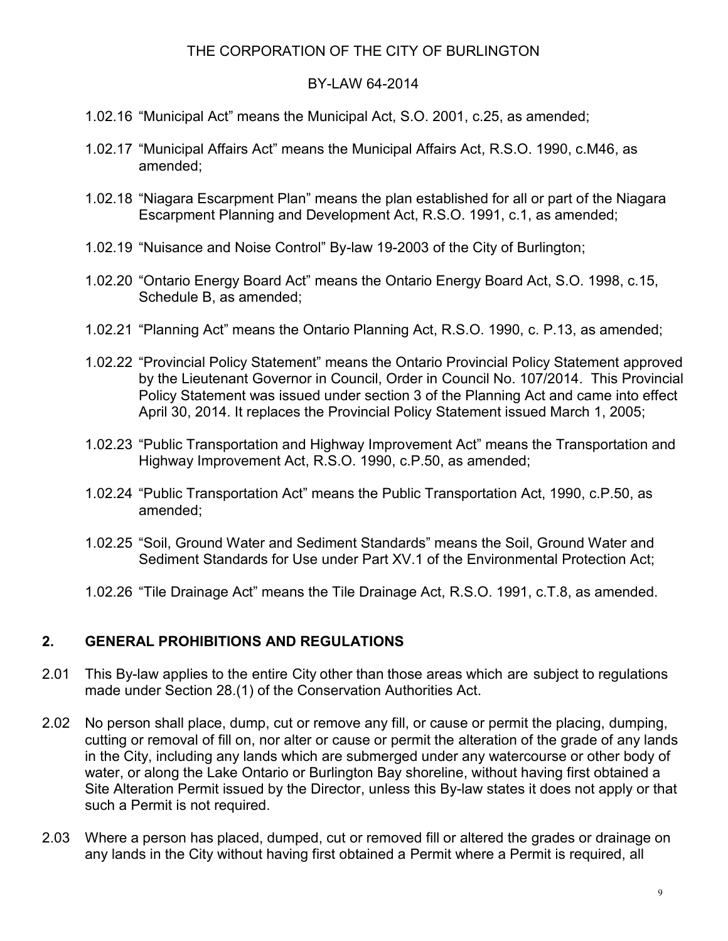#### BY-LAW 64-2014

- 1.02.16 "Municipal Act" means the Municipal Act, S.O. 2001, c.25, as amended;
- 1.02.17 "Municipal Affairs Act" means the Municipal Affairs Act, R.S.O. 1990, c.M46, as amended;
- 1.02.18 "Niagara Escarpment Plan" means the plan established for all or part of the Niagara Escarpment Planning and Development Act, R.S.O. 1991, c.1, as amended;
- 1.02.19 "Nuisance and Noise Control" By-law 19-2003 of the City of Burlington;
- 1.02.20 "Ontario Energy Board Act" means the Ontario Energy Board Act, S.O. 1998, c.15, Schedule B, as amended;
- 1.02.21 "Planning Act" means the Ontario Planning Act, R.S.O. 1990, c. P.13, as amended;
- 1.02.22 "Provincial Policy Statement" means the Ontario Provincial Policy Statement approved by the Lieutenant Governor in Council, Order in Council No. 107/2014. This Provincial Policy Statement was issued under section 3 of the Planning Act and came into effect April 30, 2014. It replaces the Provincial Policy Statement issued March 1, 2005;
- 1.02.23 "Public Transportation and Highway Improvement Act" means the Transportation and Highway Improvement Act, R.S.O. 1990, c.P.50, as amended;
- 1.02.24 "Public Transportation Act" means the Public Transportation Act, 1990, c.P.50, as amended;
- 1.02.25 "Soil, Ground Water and Sediment Standards" means the Soil, Ground Water and Sediment Standards for Use under Part XV.1 of the Environmental Protection Act;
- 1.02.26 "Tile Drainage Act" means the Tile Drainage Act, R.S.O. 1991, c.T.8, as amended.

#### **2. GENERAL PROHIBITIONS AND REGULATIONS**

- 2.01 This By-law applies to the entire City other than those areas which are subject to regulations made under Section 28.(1) of the Conservation Authorities Act.
- 2.02 No person shall place, dump, cut or remove any fill, or cause or permit the placing, dumping, cutting or removal of fill on, nor alter or cause or permit the alteration of the grade of any lands in the City, including any lands which are submerged under any watercourse or other body of water, or along the Lake Ontario or Burlington Bay shoreline, without having first obtained a Site Alteration Permit issued by the Director, unless this By-law states it does not apply or that such a Permit is not required.
- 2.03 Where a person has placed, dumped, cut or removed fill or altered the grades or drainage on any lands in the City without having first obtained a Permit where a Permit is required, all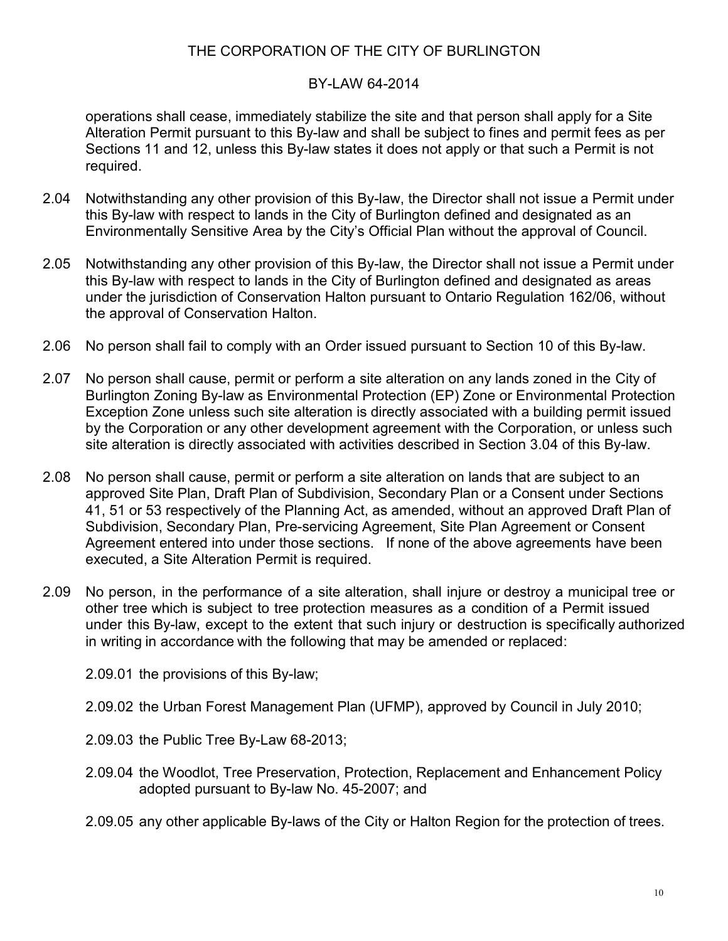#### BY-LAW 64-2014

operations shall cease, immediately stabilize the site and that person shall apply for a Site Alteration Permit pursuant to this By-law and shall be subject to fines and permit fees as per Sections 11 and 12, unless this By-law states it does not apply or that such a Permit is not required.

- 2.04 Notwithstanding any other provision of this By-law, the Director shall not issue a Permit under this By-law with respect to lands in the City of Burlington defined and designated as an Environmentally Sensitive Area by the City's Official Plan without the approval of Council.
- 2.05 Notwithstanding any other provision of this By-law, the Director shall not issue a Permit under this By-law with respect to lands in the City of Burlington defined and designated as areas under the jurisdiction of Conservation Halton pursuant to Ontario Regulation 162/06, without the approval of Conservation Halton.
- 2.06 No person shall fail to comply with an Order issued pursuant to Section 10 of this By-law.
- 2.07 No person shall cause, permit or perform a site alteration on any lands zoned in the City of Burlington Zoning By-law as Environmental Protection (EP) Zone or Environmental Protection Exception Zone unless such site alteration is directly associated with a building permit issued by the Corporation or any other development agreement with the Corporation, or unless such site alteration is directly associated with activities described in Section 3.04 of this By-law.
- 2.08 No person shall cause, permit or perform a site alteration on lands that are subject to an approved Site Plan, Draft Plan of Subdivision, Secondary Plan or a Consent under Sections 41, 51 or 53 respectively of the Planning Act, as amended, without an approved Draft Plan of Subdivision, Secondary Plan, Pre-servicing Agreement, Site Plan Agreement or Consent Agreement entered into under those sections. If none of the above agreements have been executed, a Site Alteration Permit is required.
- 2.09 No person, in the performance of a site alteration, shall injure or destroy a municipal tree or other tree which is subject to tree protection measures as a condition of a Permit issued under this By-law, except to the extent that such injury or destruction is specifically authorized in writing in accordance with the following that may be amended or replaced:
	- 2.09.01 the provisions of this By-law;
	- 2.09.02 the Urban Forest Management Plan (UFMP), approved by Council in July 2010;
	- 2.09.03 the Public Tree By-Law 68-2013;
	- 2.09.04 the Woodlot, Tree Preservation, Protection, Replacement and Enhancement Policy adopted pursuant to By-law No. 45-2007; and
	- 2.09.05 any other applicable By-laws of the City or Halton Region for the protection of trees.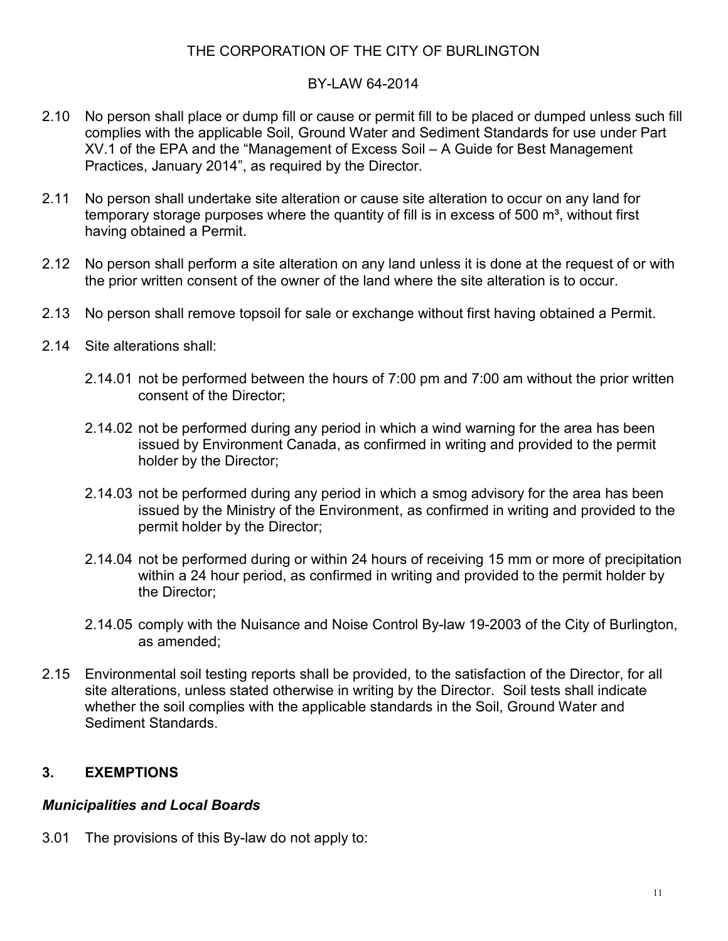## BY-LAW 64-2014

- 2.10 No person shall place or dump fill or cause or permit fill to be placed or dumped unless such fill complies with the applicable Soil, Ground Water and Sediment Standards for use under Part XV.1 of the EPA and the "Management of Excess Soil – A Guide for Best Management Practices, January 2014", as required by the Director.
- 2.11 No person shall undertake site alteration or cause site alteration to occur on any land for temporary storage purposes where the quantity of fill is in excess of 500  $m^3$ , without first having obtained a Permit.
- 2.12 No person shall perform a site alteration on any land unless it is done at the request of or with the prior written consent of the owner of the land where the site alteration is to occur.
- 2.13 No person shall remove topsoil for sale or exchange without first having obtained a Permit.
- 2.14 Site alterations shall:
	- 2.14.01 not be performed between the hours of 7:00 pm and 7:00 am without the prior written consent of the Director;
	- 2.14.02 not be performed during any period in which a wind warning for the area has been issued by Environment Canada, as confirmed in writing and provided to the permit holder by the Director;
	- 2.14.03 not be performed during any period in which a smog advisory for the area has been issued by the Ministry of the Environment, as confirmed in writing and provided to the permit holder by the Director;
	- 2.14.04 not be performed during or within 24 hours of receiving 15 mm or more of precipitation within a 24 hour period, as confirmed in writing and provided to the permit holder by the Director;
	- 2.14.05 comply with the Nuisance and Noise Control By-law 19-2003 of the City of Burlington, as amended;
- 2.15 Environmental soil testing reports shall be provided, to the satisfaction of the Director, for all site alterations, unless stated otherwise in writing by the Director. Soil tests shall indicate whether the soil complies with the applicable standards in the Soil, Ground Water and Sediment Standards.

## **3. EXEMPTIONS**

#### *Municipalities and Local Boards*

3.01 The provisions of this By-law do not apply to: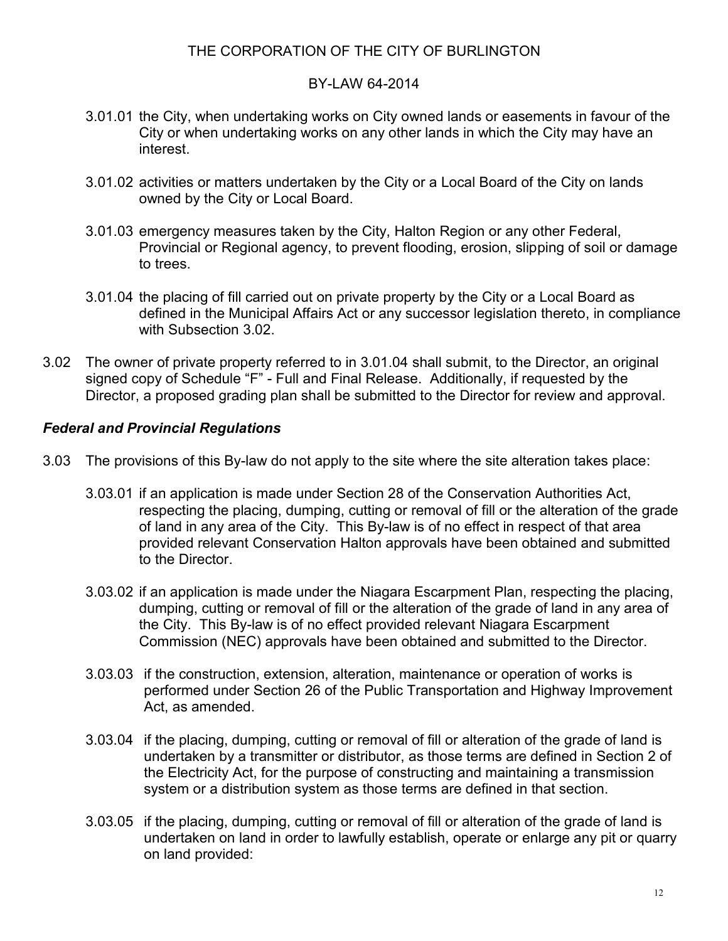### BY-LAW 64-2014

- 3.01.01 the City, when undertaking works on City owned lands or easements in favour of the City or when undertaking works on any other lands in which the City may have an interest.
- 3.01.02 activities or matters undertaken by the City or a Local Board of the City on lands owned by the City or Local Board.
- 3.01.03 emergency measures taken by the City, Halton Region or any other Federal, Provincial or Regional agency, to prevent flooding, erosion, slipping of soil or damage to trees.
- 3.01.04 the placing of fill carried out on private property by the City or a Local Board as defined in the Municipal Affairs Act or any successor legislation thereto, in compliance with Subsection 3.02.
- 3.02 The owner of private property referred to in 3.01.04 shall submit, to the Director, an original signed copy of Schedule "F" - Full and Final Release. Additionally, if requested by the Director, a proposed grading plan shall be submitted to the Director for review and approval.

## *Federal and Provincial Regulations*

- 3.03 The provisions of this By-law do not apply to the site where the site alteration takes place:
	- 3.03.01 if an application is made under Section 28 of the Conservation Authorities Act, respecting the placing, dumping, cutting or removal of fill or the alteration of the grade of land in any area of the City. This By-law is of no effect in respect of that area provided relevant Conservation Halton approvals have been obtained and submitted to the Director.
	- 3.03.02 if an application is made under the Niagara Escarpment Plan, respecting the placing, dumping, cutting or removal of fill or the alteration of the grade of land in any area of the City. This By-law is of no effect provided relevant Niagara Escarpment Commission (NEC) approvals have been obtained and submitted to the Director.
	- 3.03.03 if the construction, extension, alteration, maintenance or operation of works is performed under Section 26 of the Public Transportation and Highway Improvement Act, as amended.
	- 3.03.04 if the placing, dumping, cutting or removal of fill or alteration of the grade of land is undertaken by a transmitter or distributor, as those terms are defined in Section 2 of the Electricity Act, for the purpose of constructing and maintaining a transmission system or a distribution system as those terms are defined in that section.
	- 3.03.05 if the placing, dumping, cutting or removal of fill or alteration of the grade of land is undertaken on land in order to lawfully establish, operate or enlarge any pit or quarry on land provided: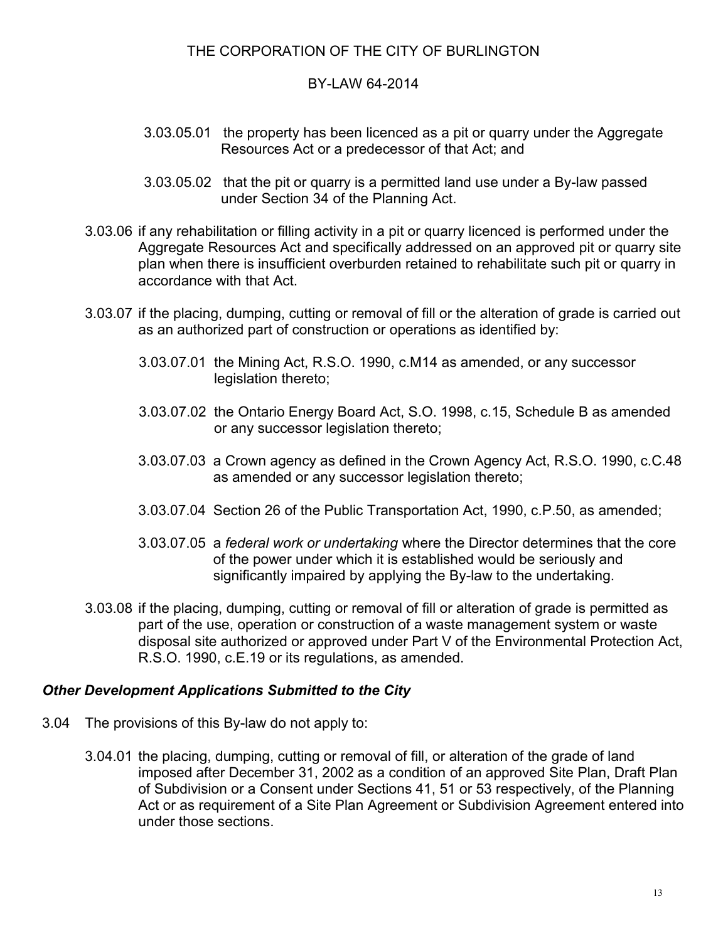#### BY-LAW 64-2014

- 3.03.05.01 the property has been licenced as a pit or quarry under the Aggregate Resources Act or a predecessor of that Act; and
- 3.03.05.02 that the pit or quarry is a permitted land use under a By-law passed under Section 34 of the Planning Act.
- 3.03.06 if any rehabilitation or filling activity in a pit or quarry licenced is performed under the Aggregate Resources Act and specifically addressed on an approved pit or quarry site plan when there is insufficient overburden retained to rehabilitate such pit or quarry in accordance with that Act.
- 3.03.07 if the placing, dumping, cutting or removal of fill or the alteration of grade is carried out as an authorized part of construction or operations as identified by:
	- 3.03.07.01 the Mining Act, R.S.O. 1990, c.M14 as amended, or any successor legislation thereto;
	- 3.03.07.02 the Ontario Energy Board Act, S.O. 1998, c.15, Schedule B as amended or any successor legislation thereto;
	- 3.03.07.03 a Crown agency as defined in the Crown Agency Act, R.S.O. 1990, c.C.48 as amended or any successor legislation thereto;
	- 3.03.07.04 Section 26 of the Public Transportation Act, 1990, c.P.50, as amended;
	- 3.03.07.05 a *federal work or undertaking* where the Director determines that the core of the power under which it is established would be seriously and significantly impaired by applying the By-law to the undertaking.
- 3.03.08 if the placing, dumping, cutting or removal of fill or alteration of grade is permitted as part of the use, operation or construction of a waste management system or waste disposal site authorized or approved under Part V of the Environmental Protection Act, R.S.O. 1990, c.E.19 or its regulations, as amended.

#### *Other Development Applications Submitted to the City*

- 3.04 The provisions of this By-law do not apply to:
	- 3.04.01 the placing, dumping, cutting or removal of fill, or alteration of the grade of land imposed after December 31, 2002 as a condition of an approved Site Plan, Draft Plan of Subdivision or a Consent under Sections 41, 51 or 53 respectively, of the Planning Act or as requirement of a Site Plan Agreement or Subdivision Agreement entered into under those sections.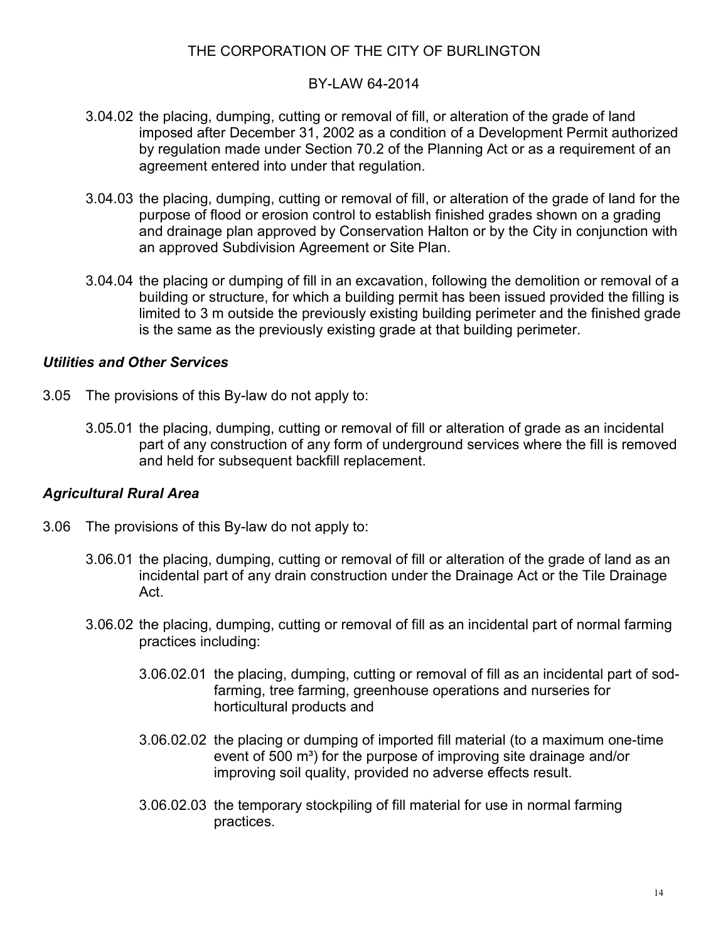#### BY-LAW 64-2014

- 3.04.02 the placing, dumping, cutting or removal of fill, or alteration of the grade of land imposed after December 31, 2002 as a condition of a Development Permit authorized by regulation made under Section 70.2 of the Planning Act or as a requirement of an agreement entered into under that regulation.
- 3.04.03 the placing, dumping, cutting or removal of fill, or alteration of the grade of land for the purpose of flood or erosion control to establish finished grades shown on a grading and drainage plan approved by Conservation Halton or by the City in conjunction with an approved Subdivision Agreement or Site Plan.
- 3.04.04 the placing or dumping of fill in an excavation, following the demolition or removal of a building or structure, for which a building permit has been issued provided the filling is limited to 3 m outside the previously existing building perimeter and the finished grade is the same as the previously existing grade at that building perimeter.

### *Utilities and Other Services*

- 3.05 The provisions of this By-law do not apply to:
	- 3.05.01 the placing, dumping, cutting or removal of fill or alteration of grade as an incidental part of any construction of any form of underground services where the fill is removed and held for subsequent backfill replacement.

## *Agricultural Rural Area*

- 3.06 The provisions of this By-law do not apply to:
	- 3.06.01 the placing, dumping, cutting or removal of fill or alteration of the grade of land as an incidental part of any drain construction under the Drainage Act or the Tile Drainage Act.
	- 3.06.02 the placing, dumping, cutting or removal of fill as an incidental part of normal farming practices including:
		- 3.06.02.01 the placing, dumping, cutting or removal of fill as an incidental part of sodfarming, tree farming, greenhouse operations and nurseries for horticultural products and
		- 3.06.02.02 the placing or dumping of imported fill material (to a maximum one-time event of 500 m<sup>3</sup>) for the purpose of improving site drainage and/or improving soil quality, provided no adverse effects result.
		- 3.06.02.03 the temporary stockpiling of fill material for use in normal farming practices.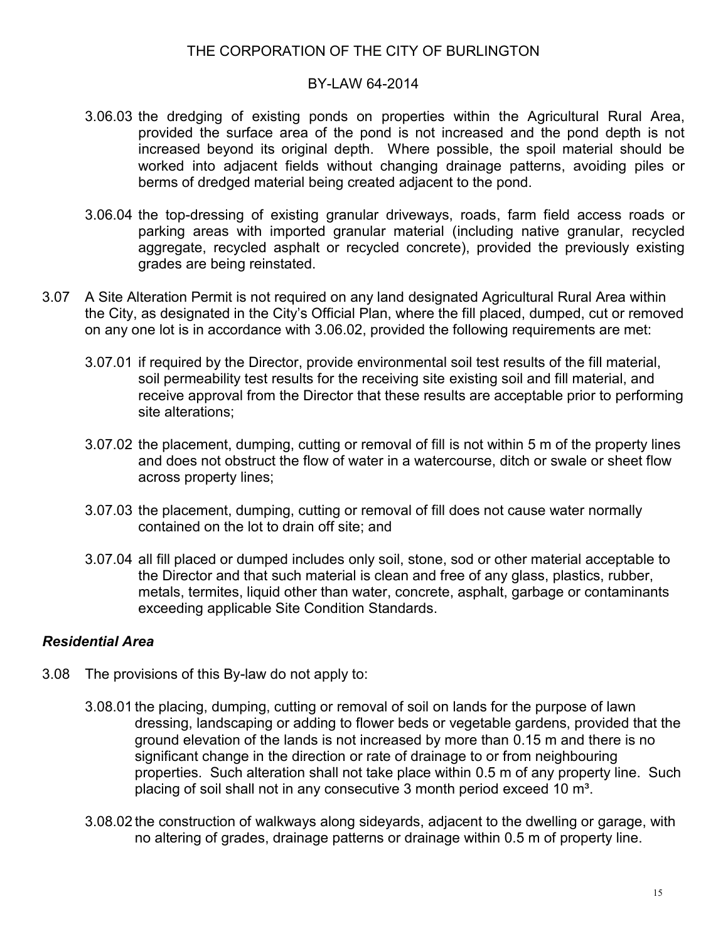#### BY-LAW 64-2014

- 3.06.03 the dredging of existing ponds on properties within the Agricultural Rural Area, provided the surface area of the pond is not increased and the pond depth is not increased beyond its original depth. Where possible, the spoil material should be worked into adjacent fields without changing drainage patterns, avoiding piles or berms of dredged material being created adjacent to the pond.
- 3.06.04 the top-dressing of existing granular driveways, roads, farm field access roads or parking areas with imported granular material (including native granular, recycled aggregate, recycled asphalt or recycled concrete), provided the previously existing grades are being reinstated.
- 3.07 A Site Alteration Permit is not required on any land designated Agricultural Rural Area within the City, as designated in the City's Official Plan, where the fill placed, dumped, cut or removed on any one lot is in accordance with 3.06.02, provided the following requirements are met:
	- 3.07.01 if required by the Director, provide environmental soil test results of the fill material, soil permeability test results for the receiving site existing soil and fill material, and receive approval from the Director that these results are acceptable prior to performing site alterations;
	- 3.07.02 the placement, dumping, cutting or removal of fill is not within 5 m of the property lines and does not obstruct the flow of water in a watercourse, ditch or swale or sheet flow across property lines;
	- 3.07.03 the placement, dumping, cutting or removal of fill does not cause water normally contained on the lot to drain off site; and
	- 3.07.04 all fill placed or dumped includes only soil, stone, sod or other material acceptable to the Director and that such material is clean and free of any glass, plastics, rubber, metals, termites, liquid other than water, concrete, asphalt, garbage or contaminants exceeding applicable Site Condition Standards.

## *Residential Area*

- 3.08 The provisions of this By-law do not apply to:
	- 3.08.01 the placing, dumping, cutting or removal of soil on lands for the purpose of lawn dressing, landscaping or adding to flower beds or vegetable gardens, provided that the ground elevation of the lands is not increased by more than 0.15 m and there is no significant change in the direction or rate of drainage to or from neighbouring properties. Such alteration shall not take place within 0.5 m of any property line. Such placing of soil shall not in any consecutive 3 month period exceed 10 m<sup>3</sup>.
	- 3.08.02 the construction of walkways along sideyards, adjacent to the dwelling or garage, with no altering of grades, drainage patterns or drainage within 0.5 m of property line.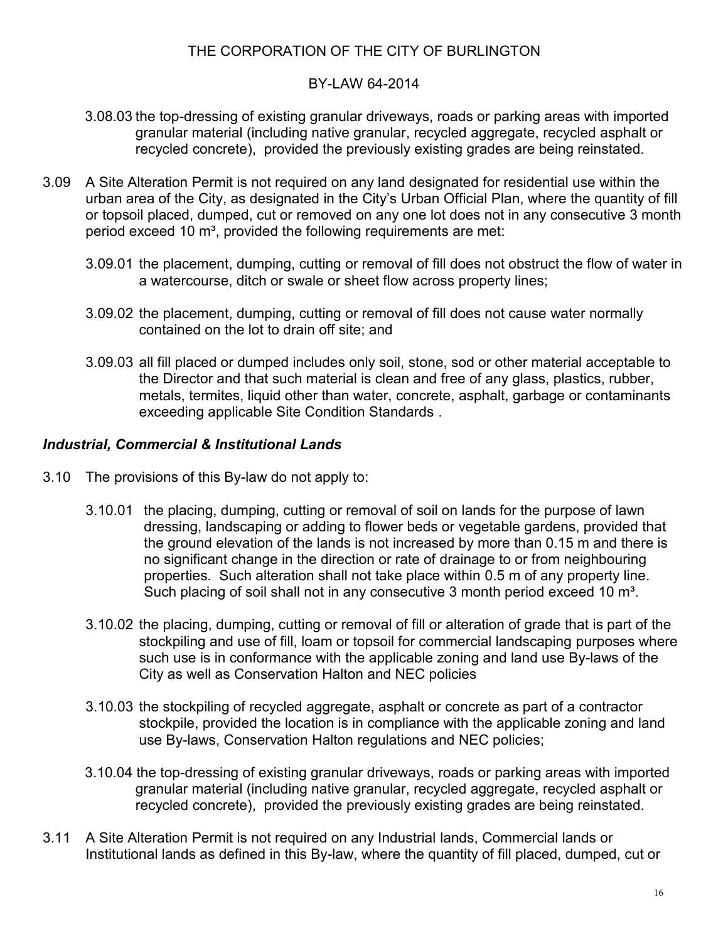### BY-LAW 64-2014

- 3.08.03 the top-dressing of existing granular driveways, roads or parking areas with imported granular material (including native granular, recycled aggregate, recycled asphalt or recycled concrete), provided the previously existing grades are being reinstated.
- 3.09 A Site Alteration Permit is not required on any land designated for residential use within the urban area of the City, as designated in the City's Urban Official Plan, where the quantity of fill or topsoil placed, dumped, cut or removed on any one lot does not in any consecutive 3 month period exceed 10 m<sup>3</sup>, provided the following requirements are met:
	- 3.09.01 the placement, dumping, cutting or removal of fill does not obstruct the flow of water in a watercourse, ditch or swale or sheet flow across property lines;
	- 3.09.02 the placement, dumping, cutting or removal of fill does not cause water normally contained on the lot to drain off site; and
	- 3.09.03 all fill placed or dumped includes only soil, stone, sod or other material acceptable to the Director and that such material is clean and free of any glass, plastics, rubber, metals, termites, liquid other than water, concrete, asphalt, garbage or contaminants exceeding applicable Site Condition Standards .

## *Industrial, Commercial & Institutional Lands*

- 3.10 The provisions of this By-law do not apply to:
	- 3.10.01 the placing, dumping, cutting or removal of soil on lands for the purpose of lawn dressing, landscaping or adding to flower beds or vegetable gardens, provided that the ground elevation of the lands is not increased by more than 0.15 m and there is no significant change in the direction or rate of drainage to or from neighbouring properties. Such alteration shall not take place within 0.5 m of any property line. Such placing of soil shall not in any consecutive 3 month period exceed 10 m<sup>3</sup>.
	- 3.10.02 the placing, dumping, cutting or removal of fill or alteration of grade that is part of the stockpiling and use of fill, loam or topsoil for commercial landscaping purposes where such use is in conformance with the applicable zoning and land use By-laws of the City as well as Conservation Halton and NEC policies
	- 3.10.03 the stockpiling of recycled aggregate, asphalt or concrete as part of a contractor stockpile, provided the location is in compliance with the applicable zoning and land use By-laws, Conservation Halton regulations and NEC policies;
	- 3.10.04 the top-dressing of existing granular driveways, roads or parking areas with imported granular material (including native granular, recycled aggregate, recycled asphalt or recycled concrete), provided the previously existing grades are being reinstated.
- 3.11 A Site Alteration Permit is not required on any Industrial lands, Commercial lands or Institutional lands as defined in this By-law, where the quantity of fill placed, dumped, cut or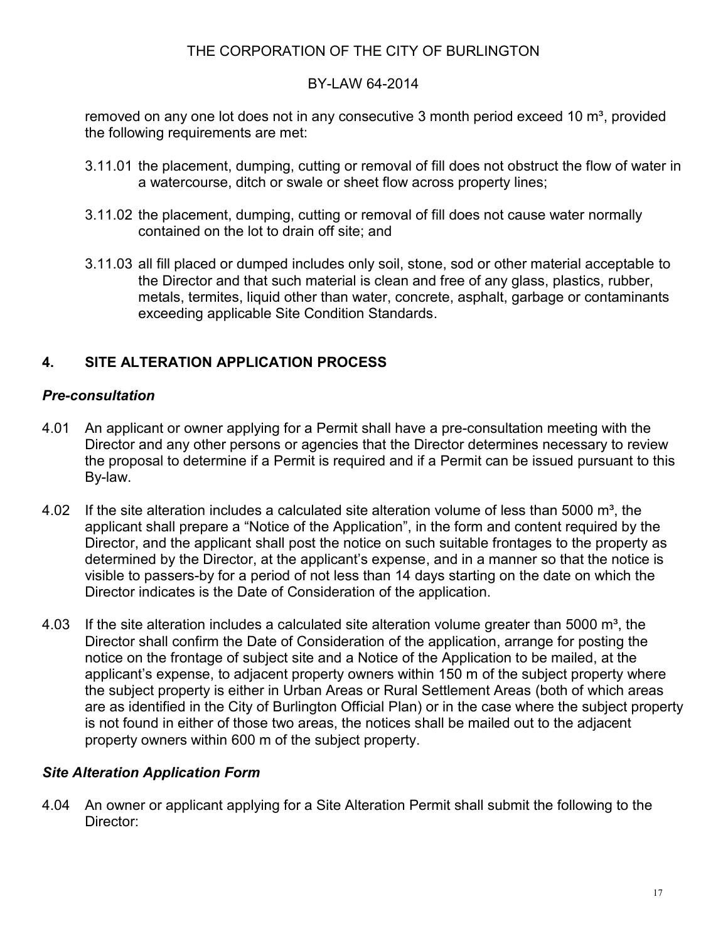## BY-LAW 64-2014

removed on any one lot does not in any consecutive 3 month period exceed 10  $m^3$ , provided the following requirements are met:

- 3.11.01 the placement, dumping, cutting or removal of fill does not obstruct the flow of water in a watercourse, ditch or swale or sheet flow across property lines;
- 3.11.02 the placement, dumping, cutting or removal of fill does not cause water normally contained on the lot to drain off site; and
- 3.11.03 all fill placed or dumped includes only soil, stone, sod or other material acceptable to the Director and that such material is clean and free of any glass, plastics, rubber, metals, termites, liquid other than water, concrete, asphalt, garbage or contaminants exceeding applicable Site Condition Standards.

# **4. SITE ALTERATION APPLICATION PROCESS**

## *Pre-consultation*

- 4.01 An applicant or owner applying for a Permit shall have a pre-consultation meeting with the Director and any other persons or agencies that the Director determines necessary to review the proposal to determine if a Permit is required and if a Permit can be issued pursuant to this By-law.
- 4.02 If the site alteration includes a calculated site alteration volume of less than 5000  $m^3$ , the applicant shall prepare a "Notice of the Application", in the form and content required by the Director, and the applicant shall post the notice on such suitable frontages to the property as determined by the Director, at the applicant's expense, and in a manner so that the notice is visible to passers-by for a period of not less than 14 days starting on the date on which the Director indicates is the Date of Consideration of the application.
- 4.03 If the site alteration includes a calculated site alteration volume greater than 5000  $\text{m}^3$ , the Director shall confirm the Date of Consideration of the application, arrange for posting the notice on the frontage of subject site and a Notice of the Application to be mailed, at the applicant's expense, to adjacent property owners within 150 m of the subject property where the subject property is either in Urban Areas or Rural Settlement Areas (both of which areas are as identified in the City of Burlington Official Plan) or in the case where the subject property is not found in either of those two areas, the notices shall be mailed out to the adjacent property owners within 600 m of the subject property.

## *Site Alteration Application Form*

4.04 An owner or applicant applying for a Site Alteration Permit shall submit the following to the Director: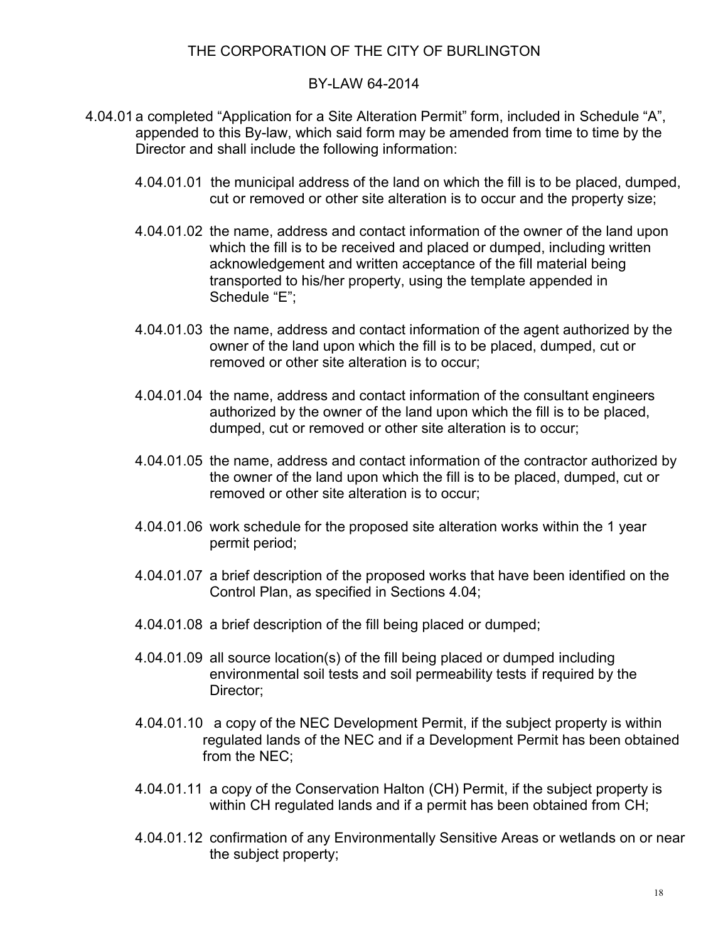#### BY-LAW 64-2014

- 4.04.01 a completed "Application for a Site Alteration Permit" form, included in Schedule "A", appended to this By-law, which said form may be amended from time to time by the Director and shall include the following information:
	- 4.04.01.01 the municipal address of the land on which the fill is to be placed, dumped, cut or removed or other site alteration is to occur and the property size;
	- 4.04.01.02 the name, address and contact information of the owner of the land upon which the fill is to be received and placed or dumped, including written acknowledgement and written acceptance of the fill material being transported to his/her property, using the template appended in Schedule "E";
	- 4.04.01.03 the name, address and contact information of the agent authorized by the owner of the land upon which the fill is to be placed, dumped, cut or removed or other site alteration is to occur;
	- 4.04.01.04 the name, address and contact information of the consultant engineers authorized by the owner of the land upon which the fill is to be placed, dumped, cut or removed or other site alteration is to occur;
	- 4.04.01.05 the name, address and contact information of the contractor authorized by the owner of the land upon which the fill is to be placed, dumped, cut or removed or other site alteration is to occur;
	- 4.04.01.06 work schedule for the proposed site alteration works within the 1 year permit period;
	- 4.04.01.07 a brief description of the proposed works that have been identified on the Control Plan, as specified in Sections 4.04;
	- 4.04.01.08 a brief description of the fill being placed or dumped;
	- 4.04.01.09 all source location(s) of the fill being placed or dumped including environmental soil tests and soil permeability tests if required by the Director;
	- 4.04.01.10 a copy of the NEC Development Permit, if the subject property is within regulated lands of the NEC and if a Development Permit has been obtained from the NEC;
	- 4.04.01.11 a copy of the Conservation Halton (CH) Permit, if the subject property is within CH regulated lands and if a permit has been obtained from CH;
	- 4.04.01.12 confirmation of any Environmentally Sensitive Areas or wetlands on or near the subject property;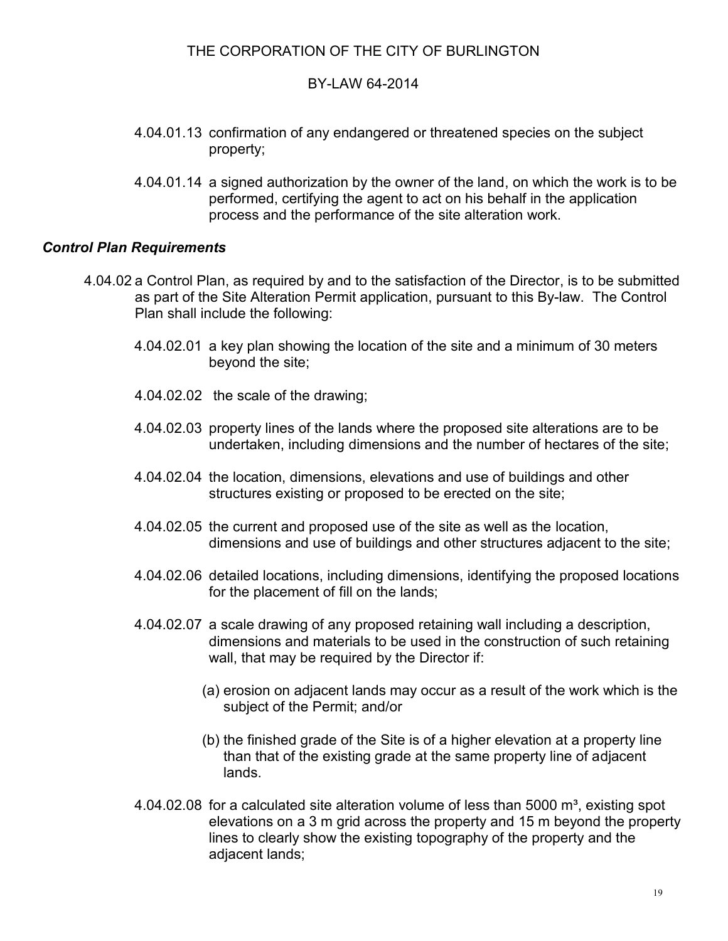#### BY-LAW 64-2014

- 4.04.01.13 confirmation of any endangered or threatened species on the subject property;
- 4.04.01.14 a signed authorization by the owner of the land, on which the work is to be performed, certifying the agent to act on his behalf in the application process and the performance of the site alteration work.

#### *Control Plan Requirements*

- 4.04.02 a Control Plan, as required by and to the satisfaction of the Director, is to be submitted as part of the Site Alteration Permit application, pursuant to this By-law. The Control Plan shall include the following:
	- 4.04.02.01 a key plan showing the location of the site and a minimum of 30 meters beyond the site;
	- 4.04.02.02 the scale of the drawing;
	- 4.04.02.03 property lines of the lands where the proposed site alterations are to be undertaken, including dimensions and the number of hectares of the site;
	- 4.04.02.04 the location, dimensions, elevations and use of buildings and other structures existing or proposed to be erected on the site;
	- 4.04.02.05 the current and proposed use of the site as well as the location, dimensions and use of buildings and other structures adjacent to the site;
	- 4.04.02.06 detailed locations, including dimensions, identifying the proposed locations for the placement of fill on the lands;
	- 4.04.02.07 a scale drawing of any proposed retaining wall including a description, dimensions and materials to be used in the construction of such retaining wall, that may be required by the Director if:
		- (a) erosion on adjacent lands may occur as a result of the work which is the subject of the Permit; and/or
		- (b) the finished grade of the Site is of a higher elevation at a property line than that of the existing grade at the same property line of adjacent lands.
	- $4.04.02.08$  for a calculated site alteration volume of less than 5000 m<sup>3</sup>, existing spot elevations on a 3 m grid across the property and 15 m beyond the property lines to clearly show the existing topography of the property and the adjacent lands;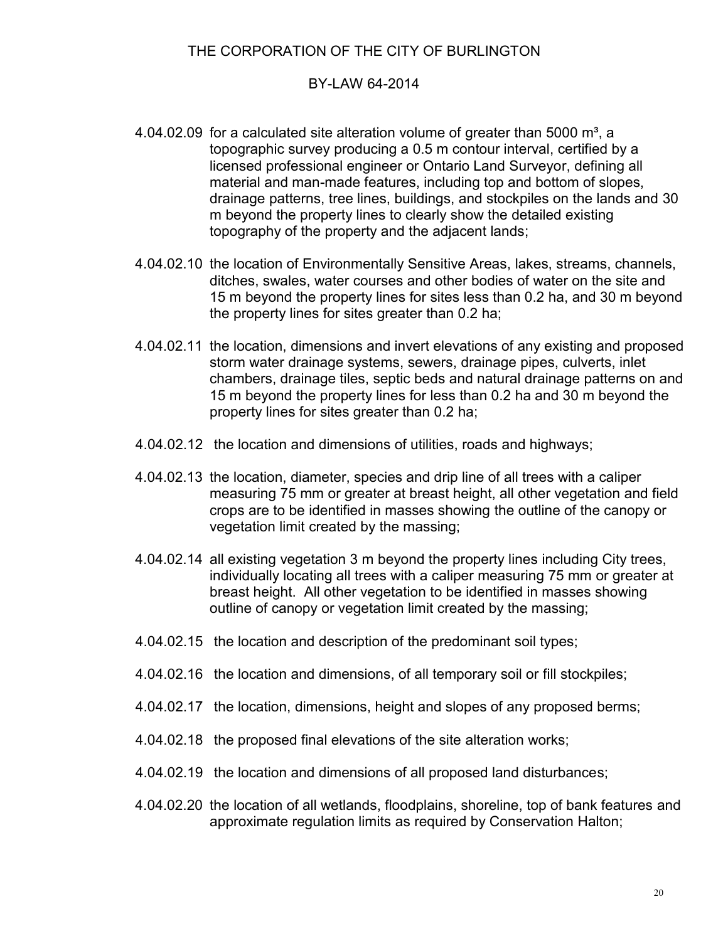#### BY-LAW 64-2014

- 4.04.02.09 for a calculated site alteration volume of greater than 5000  $m^3$ , a topographic survey producing a 0.5 m contour interval, certified by a licensed professional engineer or Ontario Land Surveyor, defining all material and man-made features, including top and bottom of slopes, drainage patterns, tree lines, buildings, and stockpiles on the lands and 30 m beyond the property lines to clearly show the detailed existing topography of the property and the adjacent lands;
- 4.04.02.10 the location of Environmentally Sensitive Areas, lakes, streams, channels, ditches, swales, water courses and other bodies of water on the site and 15 m beyond the property lines for sites less than 0.2 ha, and 30 m beyond the property lines for sites greater than 0.2 ha;
- 4.04.02.11 the location, dimensions and invert elevations of any existing and proposed storm water drainage systems, sewers, drainage pipes, culverts, inlet chambers, drainage tiles, septic beds and natural drainage patterns on and 15 m beyond the property lines for less than 0.2 ha and 30 m beyond the property lines for sites greater than 0.2 ha;
- 4.04.02.12 the location and dimensions of utilities, roads and highways;
- 4.04.02.13 the location, diameter, species and drip line of all trees with a caliper measuring 75 mm or greater at breast height, all other vegetation and field crops are to be identified in masses showing the outline of the canopy or vegetation limit created by the massing;
- 4.04.02.14 all existing vegetation 3 m beyond the property lines including City trees, individually locating all trees with a caliper measuring 75 mm or greater at breast height. All other vegetation to be identified in masses showing outline of canopy or vegetation limit created by the massing;
- 4.04.02.15 the location and description of the predominant soil types;
- 4.04.02.16 the location and dimensions, of all temporary soil or fill stockpiles;
- 4.04.02.17 the location, dimensions, height and slopes of any proposed berms;
- 4.04.02.18 the proposed final elevations of the site alteration works;
- 4.04.02.19 the location and dimensions of all proposed land disturbances;
- 4.04.02.20 the location of all wetlands, floodplains, shoreline, top of bank features and approximate regulation limits as required by Conservation Halton;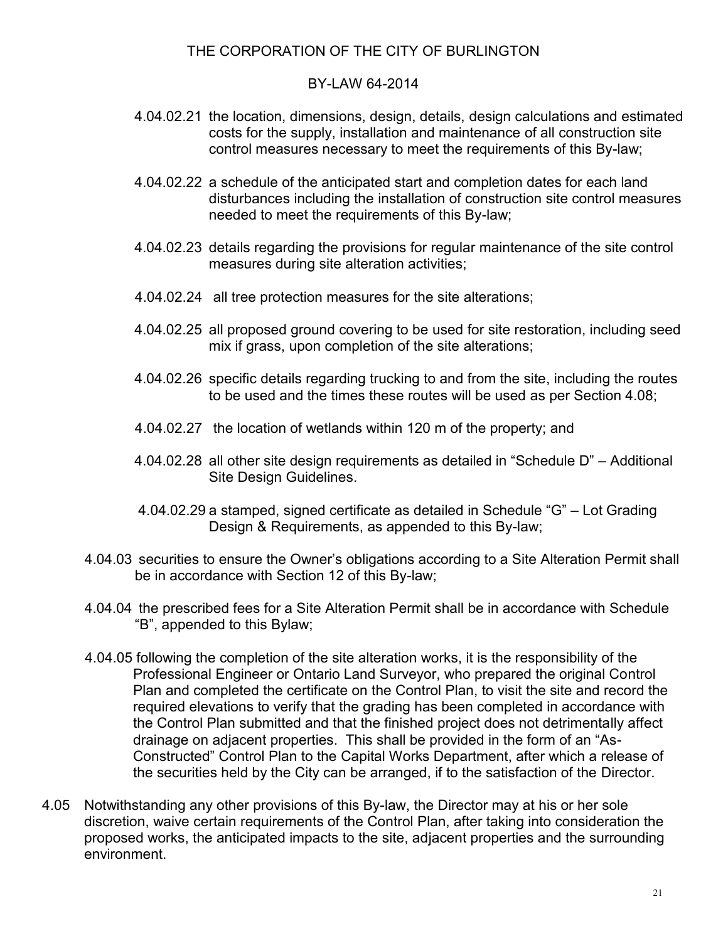#### BY-LAW 64-2014

- 4.04.02.21 the location, dimensions, design, details, design calculations and estimated costs for the supply, installation and maintenance of all construction site control measures necessary to meet the requirements of this By-law;
- 4.04.02.22 a schedule of the anticipated start and completion dates for each land disturbances including the installation of construction site control measures needed to meet the requirements of this By-law;
- 4.04.02.23 details regarding the provisions for regular maintenance of the site control measures during site alteration activities;
- 4.04.02.24 all tree protection measures for the site alterations;
- 4.04.02.25 all proposed ground covering to be used for site restoration, including seed mix if grass, upon completion of the site alterations;
- 4.04.02.26 specific details regarding trucking to and from the site, including the routes to be used and the times these routes will be used as per Section 4.08;
- 4.04.02.27 the location of wetlands within 120 m of the property; and
- 4.04.02.28 all other site design requirements as detailed in "Schedule D" Additional Site Design Guidelines.
- 4.04.02.29 a stamped, signed certificate as detailed in Schedule "G" Lot Grading Design & Requirements, as appended to this By-law;
- 4.04.03 securities to ensure the Owner's obligations according to a Site Alteration Permit shall be in accordance with Section 12 of this By-law;
- 4.04.04 the prescribed fees for a Site Alteration Permit shall be in accordance with Schedule "B", appended to this Bylaw;
- 4.04.05 following the completion of the site alteration works, it is the responsibility of the Professional Engineer or Ontario Land Surveyor, who prepared the original Control Plan and completed the certificate on the Control Plan, to visit the site and record the required elevations to verify that the grading has been completed in accordance with the Control Plan submitted and that the finished project does not detrimentally affect drainage on adjacent properties. This shall be provided in the form of an "As-Constructed" Control Plan to the Capital Works Department, after which a release of the securities held by the City can be arranged, if to the satisfaction of the Director.
- 4.05 Notwithstanding any other provisions of this By-law, the Director may at his or her sole discretion, waive certain requirements of the Control Plan, after taking into consideration the proposed works, the anticipated impacts to the site, adjacent properties and the surrounding environment.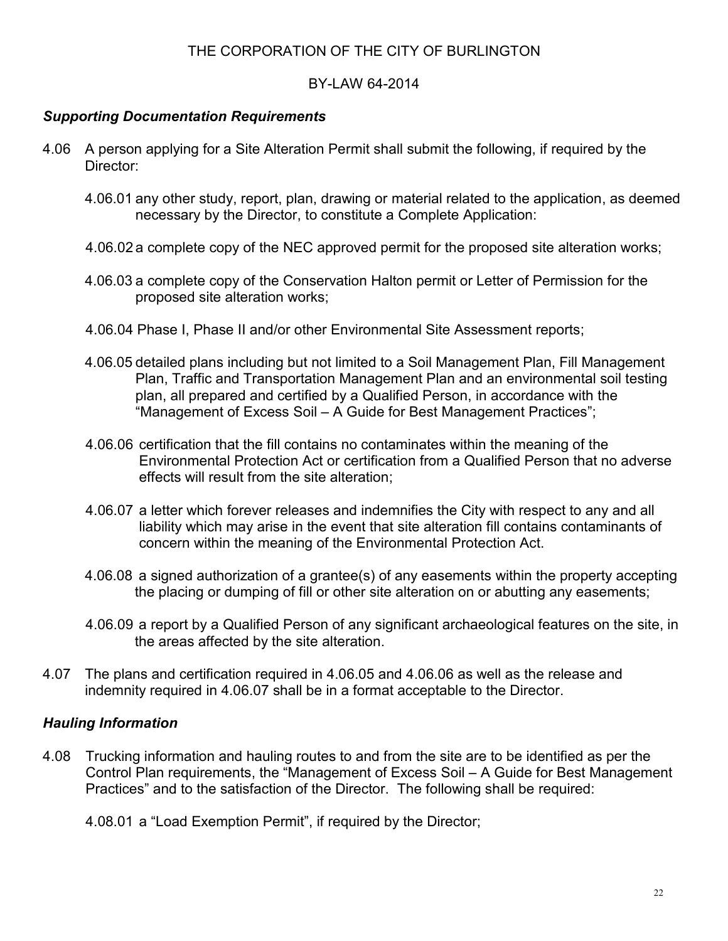### BY-LAW 64-2014

### *Supporting Documentation Requirements*

- 4.06 A person applying for a Site Alteration Permit shall submit the following, if required by the Director:
	- 4.06.01 any other study, report, plan, drawing or material related to the application, as deemed necessary by the Director, to constitute a Complete Application:
	- 4.06.02 a complete copy of the NEC approved permit for the proposed site alteration works;
	- 4.06.03 a complete copy of the Conservation Halton permit or Letter of Permission for the proposed site alteration works;
	- 4.06.04 Phase I, Phase II and/or other Environmental Site Assessment reports;
	- 4.06.05 detailed plans including but not limited to a Soil Management Plan, Fill Management Plan, Traffic and Transportation Management Plan and an environmental soil testing plan, all prepared and certified by a Qualified Person, in accordance with the "Management of Excess Soil – A Guide for Best Management Practices";
	- 4.06.06 certification that the fill contains no contaminates within the meaning of the Environmental Protection Act or certification from a Qualified Person that no adverse effects will result from the site alteration;
	- 4.06.07 a letter which forever releases and indemnifies the City with respect to any and all liability which may arise in the event that site alteration fill contains contaminants of concern within the meaning of the Environmental Protection Act.
	- 4.06.08 a signed authorization of a grantee(s) of any easements within the property accepting the placing or dumping of fill or other site alteration on or abutting any easements;
	- 4.06.09 a report by a Qualified Person of any significant archaeological features on the site, in the areas affected by the site alteration.
- 4.07 The plans and certification required in 4.06.05 and 4.06.06 as well as the release and indemnity required in 4.06.07 shall be in a format acceptable to the Director.

## *Hauling Information*

4.08 Trucking information and hauling routes to and from the site are to be identified as per the Control Plan requirements, the "Management of Excess Soil – A Guide for Best Management Practices" and to the satisfaction of the Director. The following shall be required:

4.08.01 a "Load Exemption Permit", if required by the Director;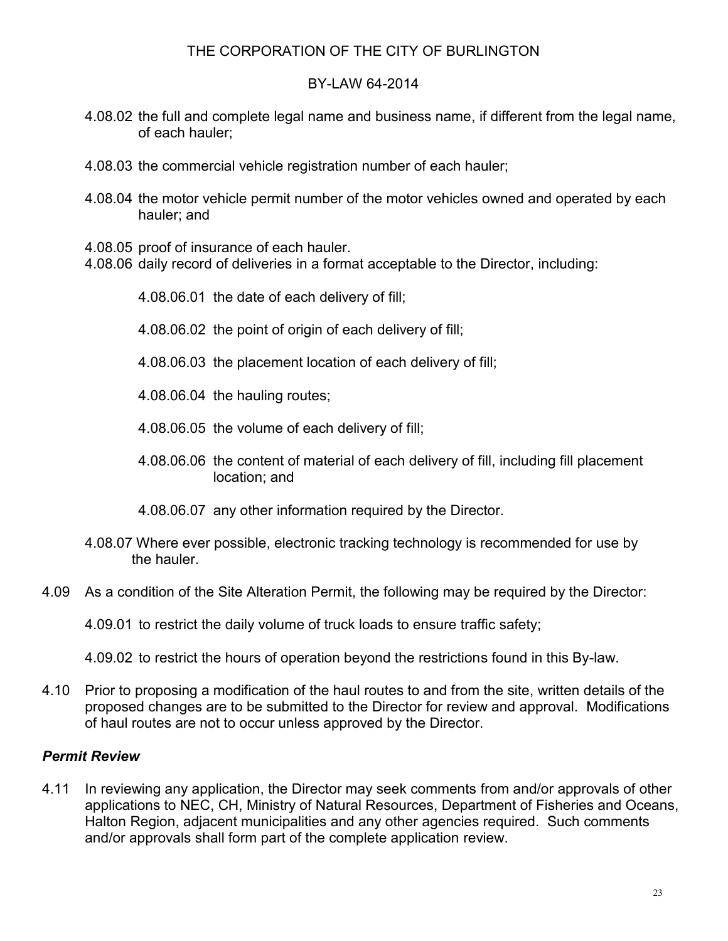### BY-LAW 64-2014

- 4.08.02 the full and complete legal name and business name, if different from the legal name, of each hauler;
- 4.08.03 the commercial vehicle registration number of each hauler;
- 4.08.04 the motor vehicle permit number of the motor vehicles owned and operated by each hauler; and
- 4.08.05 proof of insurance of each hauler.
- 4.08.06 daily record of deliveries in a format acceptable to the Director, including:
	- 4.08.06.01 the date of each delivery of fill;
	- 4.08.06.02 the point of origin of each delivery of fill;
	- 4.08.06.03 the placement location of each delivery of fill;
	- 4.08.06.04 the hauling routes;
	- 4.08.06.05 the volume of each delivery of fill;
	- 4.08.06.06 the content of material of each delivery of fill, including fill placement location; and
	- 4.08.06.07 any other information required by the Director.
- 4.08.07 Where ever possible, electronic tracking technology is recommended for use by the hauler.
- 4.09 As a condition of the Site Alteration Permit, the following may be required by the Director:

4.09.01 to restrict the daily volume of truck loads to ensure traffic safety;

- 4.09.02 to restrict the hours of operation beyond the restrictions found in this By-law.
- 4.10 Prior to proposing a modification of the haul routes to and from the site, written details of the proposed changes are to be submitted to the Director for review and approval. Modifications of haul routes are not to occur unless approved by the Director.

#### *Permit Review*

4.11 In reviewing any application, the Director may seek comments from and/or approvals of other applications to NEC, CH, Ministry of Natural Resources, Department of Fisheries and Oceans, Halton Region, adjacent municipalities and any other agencies required. Such comments and/or approvals shall form part of the complete application review.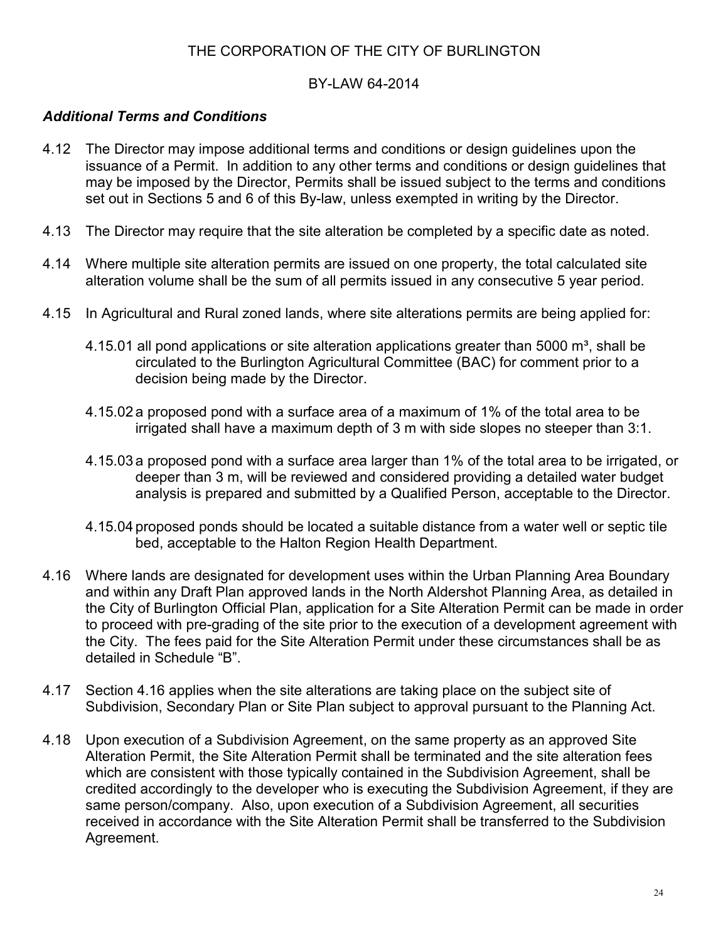#### BY-LAW 64-2014

## *Additional Terms and Conditions*

- 4.12 The Director may impose additional terms and conditions or design guidelines upon the issuance of a Permit. In addition to any other terms and conditions or design guidelines that may be imposed by the Director, Permits shall be issued subject to the terms and conditions set out in Sections 5 and 6 of this By-law, unless exempted in writing by the Director.
- 4.13 The Director may require that the site alteration be completed by a specific date as noted.
- 4.14 Where multiple site alteration permits are issued on one property, the total calculated site alteration volume shall be the sum of all permits issued in any consecutive 5 year period.
- 4.15 In Agricultural and Rural zoned lands, where site alterations permits are being applied for:
	- 4.15.01 all pond applications or site alteration applications greater than 5000  $m^3$ , shall be circulated to the Burlington Agricultural Committee (BAC) for comment prior to a decision being made by the Director.
	- 4.15.02 a proposed pond with a surface area of a maximum of 1% of the total area to be irrigated shall have a maximum depth of 3 m with side slopes no steeper than 3:1.
	- 4.15.03 a proposed pond with a surface area larger than 1% of the total area to be irrigated, or deeper than 3 m, will be reviewed and considered providing a detailed water budget analysis is prepared and submitted by a Qualified Person, acceptable to the Director.
	- 4.15.04 proposed ponds should be located a suitable distance from a water well or septic tile bed, acceptable to the Halton Region Health Department.
- 4.16 Where lands are designated for development uses within the Urban Planning Area Boundary and within any Draft Plan approved lands in the North Aldershot Planning Area, as detailed in the City of Burlington Official Plan, application for a Site Alteration Permit can be made in order to proceed with pre-grading of the site prior to the execution of a development agreement with the City. The fees paid for the Site Alteration Permit under these circumstances shall be as detailed in Schedule "B".
- 4.17 Section 4.16 applies when the site alterations are taking place on the subject site of Subdivision, Secondary Plan or Site Plan subject to approval pursuant to the Planning Act.
- 4.18 Upon execution of a Subdivision Agreement, on the same property as an approved Site Alteration Permit, the Site Alteration Permit shall be terminated and the site alteration fees which are consistent with those typically contained in the Subdivision Agreement, shall be credited accordingly to the developer who is executing the Subdivision Agreement, if they are same person/company. Also, upon execution of a Subdivision Agreement, all securities received in accordance with the Site Alteration Permit shall be transferred to the Subdivision Agreement.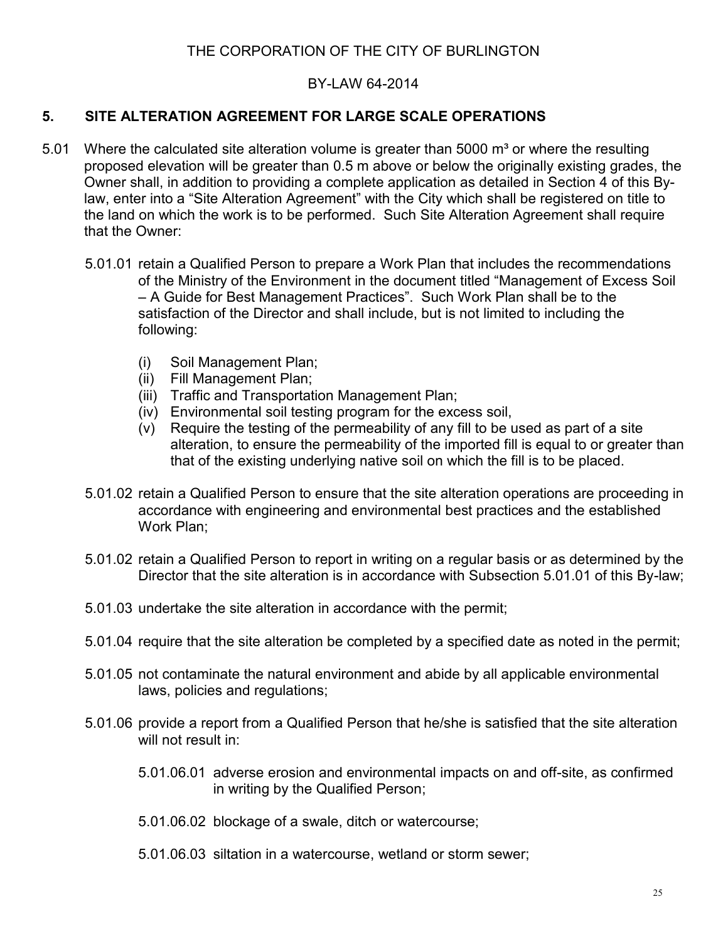### BY-LAW 64-2014

### **5. SITE ALTERATION AGREEMENT FOR LARGE SCALE OPERATIONS**

- 5.01 Where the calculated site alteration volume is greater than 5000  $\mathrm{m}^3$  or where the resulting proposed elevation will be greater than 0.5 m above or below the originally existing grades, the Owner shall, in addition to providing a complete application as detailed in Section 4 of this Bylaw, enter into a "Site Alteration Agreement" with the City which shall be registered on title to the land on which the work is to be performed. Such Site Alteration Agreement shall require that the Owner:
	- 5.01.01 retain a Qualified Person to prepare a Work Plan that includes the recommendations of the Ministry of the Environment in the document titled "Management of Excess Soil – A Guide for Best Management Practices". Such Work Plan shall be to the satisfaction of the Director and shall include, but is not limited to including the following:
		- (i) Soil Management Plan;
		- (ii) Fill Management Plan;
		- (iii) Traffic and Transportation Management Plan;
		- (iv) Environmental soil testing program for the excess soil,
		- (v) Require the testing of the permeability of any fill to be used as part of a site alteration, to ensure the permeability of the imported fill is equal to or greater than that of the existing underlying native soil on which the fill is to be placed.
	- 5.01.02 retain a Qualified Person to ensure that the site alteration operations are proceeding in accordance with engineering and environmental best practices and the established Work Plan;
	- 5.01.02 retain a Qualified Person to report in writing on a regular basis or as determined by the Director that the site alteration is in accordance with Subsection 5.01.01 of this By-law;
	- 5.01.03 undertake the site alteration in accordance with the permit;
	- 5.01.04 require that the site alteration be completed by a specified date as noted in the permit;
	- 5.01.05 not contaminate the natural environment and abide by all applicable environmental laws, policies and regulations;
	- 5.01.06 provide a report from a Qualified Person that he/she is satisfied that the site alteration will not result in:
		- 5.01.06.01 adverse erosion and environmental impacts on and off-site, as confirmed in writing by the Qualified Person;
		- 5.01.06.02 blockage of a swale, ditch or watercourse;
		- 5.01.06.03 siltation in a watercourse, wetland or storm sewer;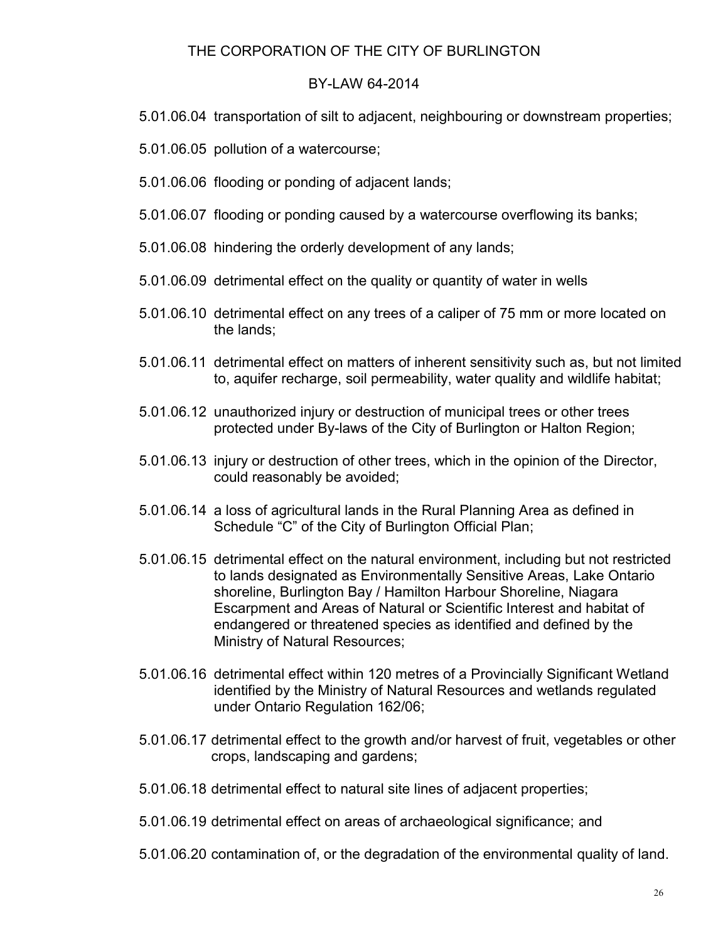#### BY-LAW 64-2014

- 5.01.06.04 transportation of silt to adjacent, neighbouring or downstream properties;
- 5.01.06.05 pollution of a watercourse;
- 5.01.06.06 flooding or ponding of adjacent lands;
- 5.01.06.07 flooding or ponding caused by a watercourse overflowing its banks;
- 5.01.06.08 hindering the orderly development of any lands;
- 5.01.06.09 detrimental effect on the quality or quantity of water in wells
- 5.01.06.10 detrimental effect on any trees of a caliper of 75 mm or more located on the lands;
- 5.01.06.11 detrimental effect on matters of inherent sensitivity such as, but not limited to, aquifer recharge, soil permeability, water quality and wildlife habitat;
- 5.01.06.12 unauthorized injury or destruction of municipal trees or other trees protected under By-laws of the City of Burlington or Halton Region;
- 5.01.06.13 injury or destruction of other trees, which in the opinion of the Director, could reasonably be avoided;
- 5.01.06.14 a loss of agricultural lands in the Rural Planning Area as defined in Schedule "C" of the City of Burlington Official Plan;
- 5.01.06.15 detrimental effect on the natural environment, including but not restricted to lands designated as Environmentally Sensitive Areas, Lake Ontario shoreline, Burlington Bay / Hamilton Harbour Shoreline, Niagara Escarpment and Areas of Natural or Scientific Interest and habitat of endangered or threatened species as identified and defined by the Ministry of Natural Resources;
- 5.01.06.16 detrimental effect within 120 metres of a Provincially Significant Wetland identified by the Ministry of Natural Resources and wetlands regulated under Ontario Regulation 162/06;
- 5.01.06.17 detrimental effect to the growth and/or harvest of fruit, vegetables or other crops, landscaping and gardens;
- 5.01.06.18 detrimental effect to natural site lines of adjacent properties;
- 5.01.06.19 detrimental effect on areas of archaeological significance; and
- 5.01.06.20 contamination of, or the degradation of the environmental quality of land.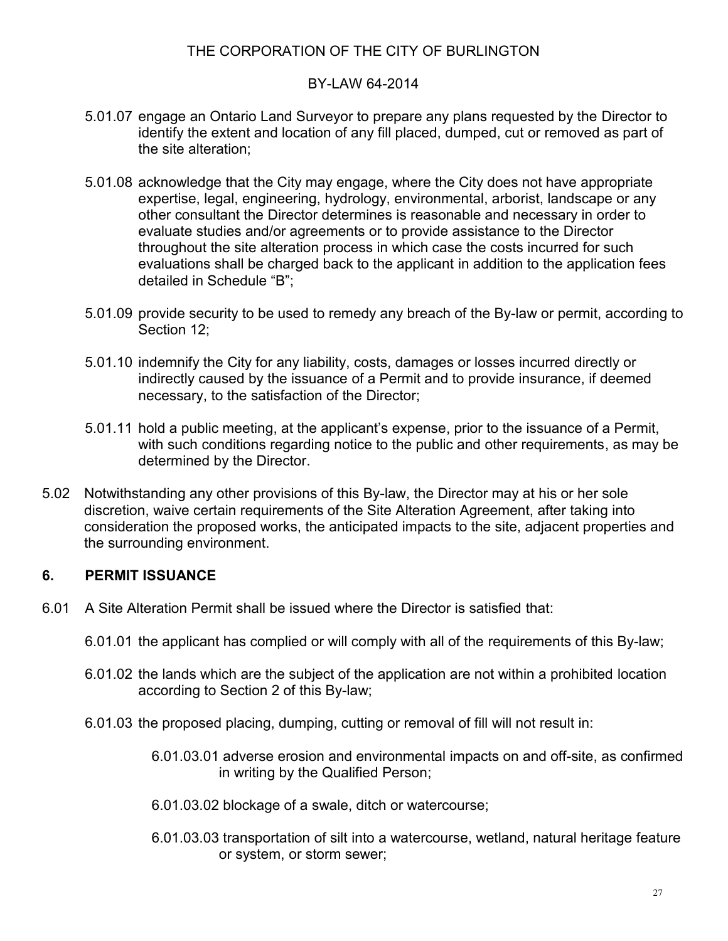## BY-LAW 64-2014

- 5.01.07 engage an Ontario Land Surveyor to prepare any plans requested by the Director to identify the extent and location of any fill placed, dumped, cut or removed as part of the site alteration;
- 5.01.08 acknowledge that the City may engage, where the City does not have appropriate expertise, legal, engineering, hydrology, environmental, arborist, landscape or any other consultant the Director determines is reasonable and necessary in order to evaluate studies and/or agreements or to provide assistance to the Director throughout the site alteration process in which case the costs incurred for such evaluations shall be charged back to the applicant in addition to the application fees detailed in Schedule "B";
- 5.01.09 provide security to be used to remedy any breach of the By-law or permit, according to Section 12;
- 5.01.10 indemnify the City for any liability, costs, damages or losses incurred directly or indirectly caused by the issuance of a Permit and to provide insurance, if deemed necessary, to the satisfaction of the Director;
- 5.01.11 hold a public meeting, at the applicant's expense, prior to the issuance of a Permit, with such conditions regarding notice to the public and other requirements, as may be determined by the Director.
- 5.02 Notwithstanding any other provisions of this By-law, the Director may at his or her sole discretion, waive certain requirements of the Site Alteration Agreement, after taking into consideration the proposed works, the anticipated impacts to the site, adjacent properties and the surrounding environment.

## **6. PERMIT ISSUANCE**

- 6.01 A Site Alteration Permit shall be issued where the Director is satisfied that:
	- 6.01.01 the applicant has complied or will comply with all of the requirements of this By-law;
	- 6.01.02 the lands which are the subject of the application are not within a prohibited location according to Section 2 of this By-law;
	- 6.01.03 the proposed placing, dumping, cutting or removal of fill will not result in:
		- 6.01.03.01 adverse erosion and environmental impacts on and off-site, as confirmed in writing by the Qualified Person;
		- 6.01.03.02 blockage of a swale, ditch or watercourse;
		- 6.01.03.03 transportation of silt into a watercourse, wetland, natural heritage feature or system, or storm sewer;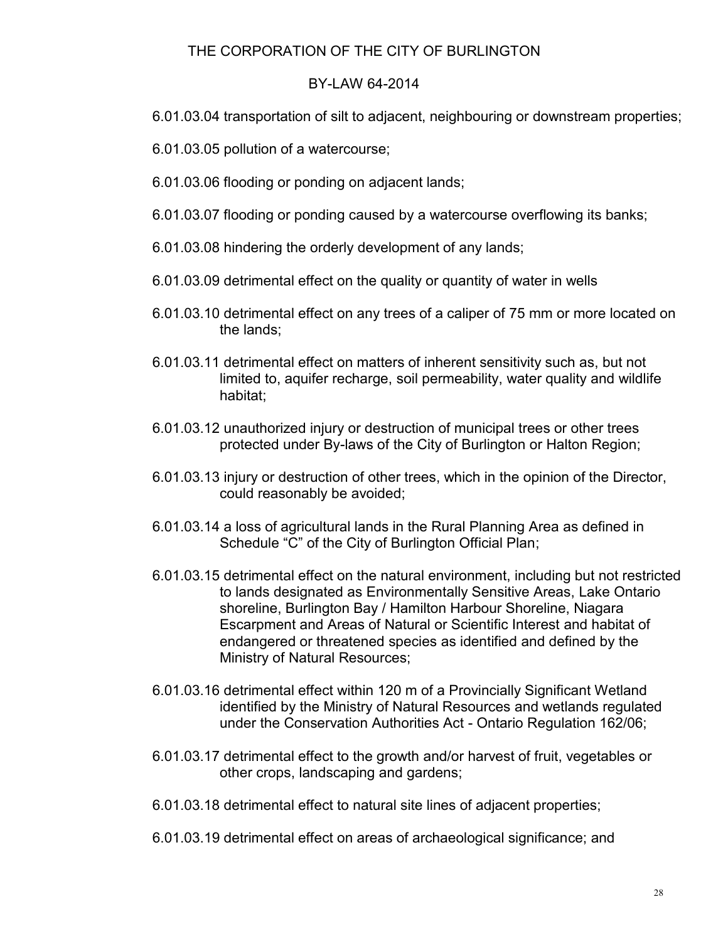#### BY-LAW 64-2014

- 6.01.03.04 transportation of silt to adjacent, neighbouring or downstream properties;
- 6.01.03.05 pollution of a watercourse;
- 6.01.03.06 flooding or ponding on adjacent lands;
- 6.01.03.07 flooding or ponding caused by a watercourse overflowing its banks;
- 6.01.03.08 hindering the orderly development of any lands;
- 6.01.03.09 detrimental effect on the quality or quantity of water in wells
- 6.01.03.10 detrimental effect on any trees of a caliper of 75 mm or more located on the lands;
- 6.01.03.11 detrimental effect on matters of inherent sensitivity such as, but not limited to, aquifer recharge, soil permeability, water quality and wildlife habitat;
- 6.01.03.12 unauthorized injury or destruction of municipal trees or other trees protected under By-laws of the City of Burlington or Halton Region;
- 6.01.03.13 injury or destruction of other trees, which in the opinion of the Director, could reasonably be avoided;
- 6.01.03.14 a loss of agricultural lands in the Rural Planning Area as defined in Schedule "C" of the City of Burlington Official Plan;
- 6.01.03.15 detrimental effect on the natural environment, including but not restricted to lands designated as Environmentally Sensitive Areas, Lake Ontario shoreline, Burlington Bay / Hamilton Harbour Shoreline, Niagara Escarpment and Areas of Natural or Scientific Interest and habitat of endangered or threatened species as identified and defined by the Ministry of Natural Resources;
- 6.01.03.16 detrimental effect within 120 m of a Provincially Significant Wetland identified by the Ministry of Natural Resources and wetlands regulated under the Conservation Authorities Act - Ontario Regulation 162/06;
- 6.01.03.17 detrimental effect to the growth and/or harvest of fruit, vegetables or other crops, landscaping and gardens;
- 6.01.03.18 detrimental effect to natural site lines of adjacent properties;
- 6.01.03.19 detrimental effect on areas of archaeological significance; and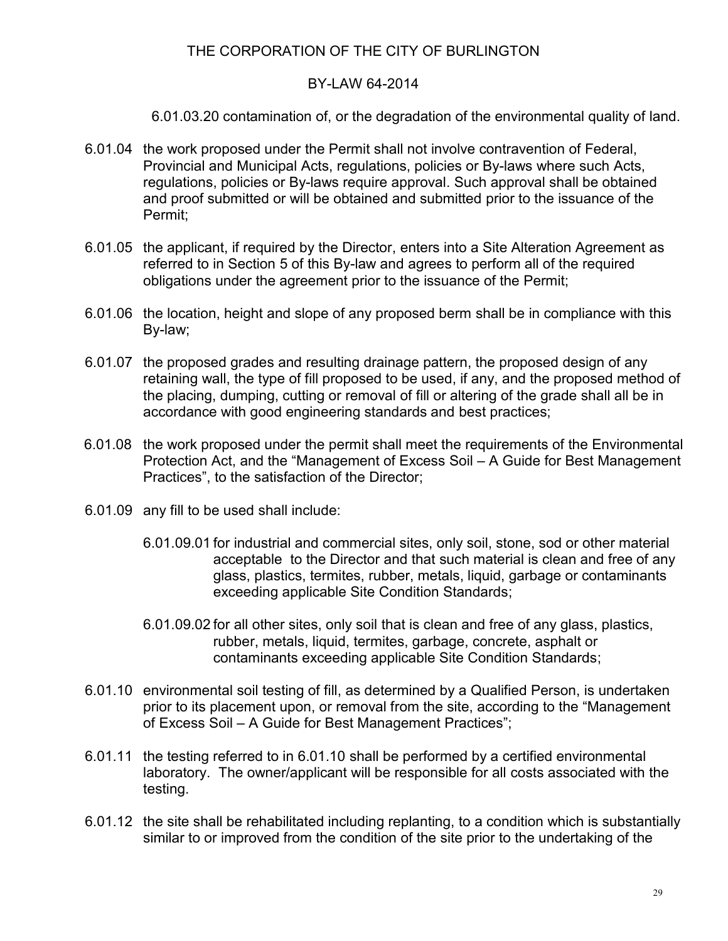#### BY-LAW 64-2014

6.01.03.20 contamination of, or the degradation of the environmental quality of land.

- 6.01.04 the work proposed under the Permit shall not involve contravention of Federal, Provincial and Municipal Acts, regulations, policies or By-laws where such Acts, regulations, policies or By-laws require approval. Such approval shall be obtained and proof submitted or will be obtained and submitted prior to the issuance of the Permit;
- 6.01.05 the applicant, if required by the Director, enters into a Site Alteration Agreement as referred to in Section 5 of this By-law and agrees to perform all of the required obligations under the agreement prior to the issuance of the Permit;
- 6.01.06 the location, height and slope of any proposed berm shall be in compliance with this By-law;
- 6.01.07 the proposed grades and resulting drainage pattern, the proposed design of any retaining wall, the type of fill proposed to be used, if any, and the proposed method of the placing, dumping, cutting or removal of fill or altering of the grade shall all be in accordance with good engineering standards and best practices;
- 6.01.08 the work proposed under the permit shall meet the requirements of the Environmental Protection Act, and the "Management of Excess Soil – A Guide for Best Management Practices", to the satisfaction of the Director;
- 6.01.09 any fill to be used shall include:
	- 6.01.09.01 for industrial and commercial sites, only soil, stone, sod or other material acceptable to the Director and that such material is clean and free of any glass, plastics, termites, rubber, metals, liquid, garbage or contaminants exceeding applicable Site Condition Standards;
	- 6.01.09.02 for all other sites, only soil that is clean and free of any glass, plastics, rubber, metals, liquid, termites, garbage, concrete, asphalt or contaminants exceeding applicable Site Condition Standards;
- 6.01.10 environmental soil testing of fill, as determined by a Qualified Person, is undertaken prior to its placement upon, or removal from the site, according to the "Management of Excess Soil – A Guide for Best Management Practices";
- 6.01.11 the testing referred to in 6.01.10 shall be performed by a certified environmental laboratory. The owner/applicant will be responsible for all costs associated with the testing.
- 6.01.12 the site shall be rehabilitated including replanting, to a condition which is substantially similar to or improved from the condition of the site prior to the undertaking of the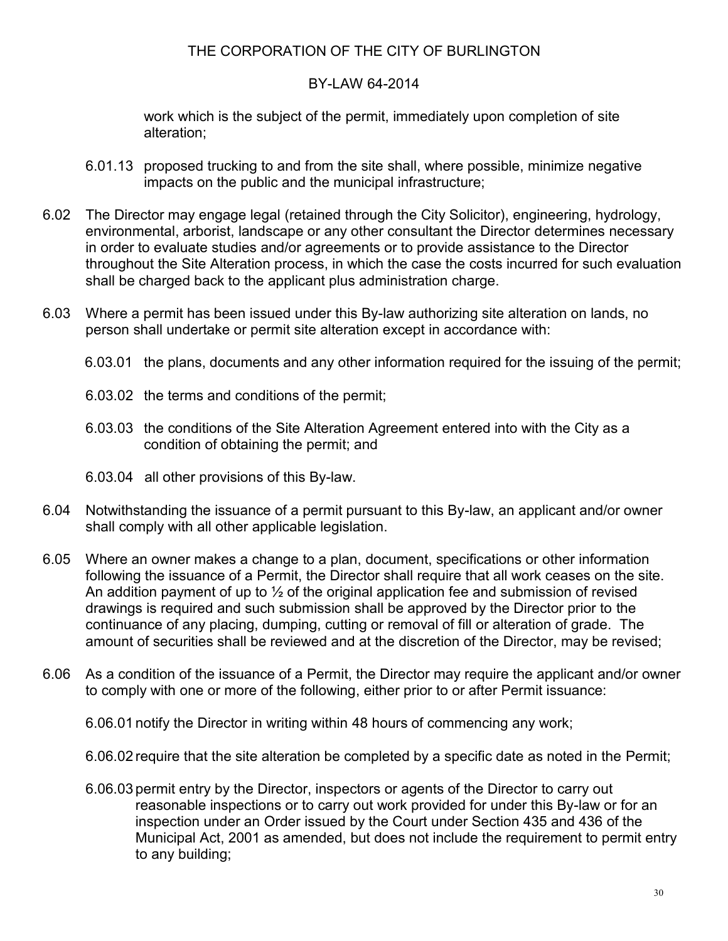#### BY-LAW 64-2014

work which is the subject of the permit, immediately upon completion of site alteration;

- 6.01.13 proposed trucking to and from the site shall, where possible, minimize negative impacts on the public and the municipal infrastructure;
- 6.02 The Director may engage legal (retained through the City Solicitor), engineering, hydrology, environmental, arborist, landscape or any other consultant the Director determines necessary in order to evaluate studies and/or agreements or to provide assistance to the Director throughout the Site Alteration process, in which the case the costs incurred for such evaluation shall be charged back to the applicant plus administration charge.
- 6.03 Where a permit has been issued under this By-law authorizing site alteration on lands, no person shall undertake or permit site alteration except in accordance with:
	- 6.03.01 the plans, documents and any other information required for the issuing of the permit;
	- 6.03.02 the terms and conditions of the permit;
	- 6.03.03 the conditions of the Site Alteration Agreement entered into with the City as a condition of obtaining the permit; and
	- 6.03.04 all other provisions of this By-law.
- 6.04 Notwithstanding the issuance of a permit pursuant to this By-law, an applicant and/or owner shall comply with all other applicable legislation.
- 6.05 Where an owner makes a change to a plan, document, specifications or other information following the issuance of a Permit, the Director shall require that all work ceases on the site. An addition payment of up to  $\frac{1}{2}$  of the original application fee and submission of revised drawings is required and such submission shall be approved by the Director prior to the continuance of any placing, dumping, cutting or removal of fill or alteration of grade. The amount of securities shall be reviewed and at the discretion of the Director, may be revised;
- 6.06 As a condition of the issuance of a Permit, the Director may require the applicant and/or owner to comply with one or more of the following, either prior to or after Permit issuance:

6.06.01 notify the Director in writing within 48 hours of commencing any work;

6.06.02 require that the site alteration be completed by a specific date as noted in the Permit;

6.06.03 permit entry by the Director, inspectors or agents of the Director to carry out reasonable inspections or to carry out work provided for under this By-law or for an inspection under an Order issued by the Court under Section 435 and 436 of the Municipal Act, 2001 as amended, but does not include the requirement to permit entry to any building;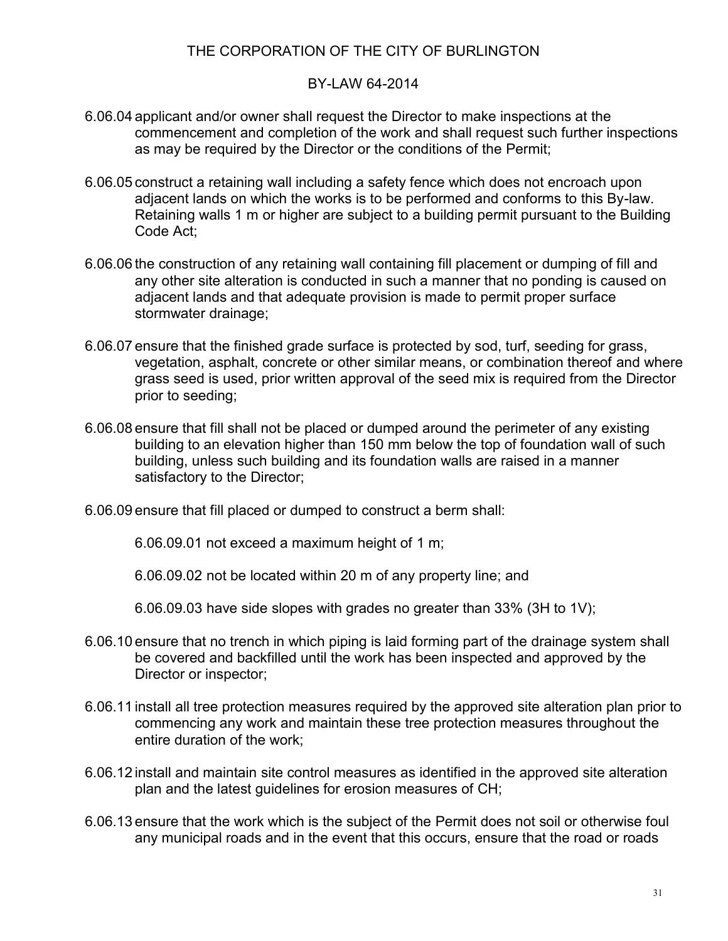#### BY-LAW 64-2014

- 6.06.04 applicant and/or owner shall request the Director to make inspections at the commencement and completion of the work and shall request such further inspections as may be required by the Director or the conditions of the Permit;
- 6.06.05 construct a retaining wall including a safety fence which does not encroach upon adjacent lands on which the works is to be performed and conforms to this By-law. Retaining walls 1 m or higher are subject to a building permit pursuant to the Building Code Act;
- 6.06.06 the construction of any retaining wall containing fill placement or dumping of fill and any other site alteration is conducted in such a manner that no ponding is caused on adjacent lands and that adequate provision is made to permit proper surface stormwater drainage;
- 6.06.07 ensure that the finished grade surface is protected by sod, turf, seeding for grass, vegetation, asphalt, concrete or other similar means, or combination thereof and where grass seed is used, prior written approval of the seed mix is required from the Director prior to seeding;
- 6.06.08 ensure that fill shall not be placed or dumped around the perimeter of any existing building to an elevation higher than 150 mm below the top of foundation wall of such building, unless such building and its foundation walls are raised in a manner satisfactory to the Director;
- 6.06.09 ensure that fill placed or dumped to construct a berm shall:

6.06.09.01 not exceed a maximum height of 1 m;

6.06.09.02 not be located within 20 m of any property line; and

6.06.09.03 have side slopes with grades no greater than 33% (3H to 1V);

- 6.06.10 ensure that no trench in which piping is laid forming part of the drainage system shall be covered and backfilled until the work has been inspected and approved by the Director or inspector;
- 6.06.11 install all tree protection measures required by the approved site alteration plan prior to commencing any work and maintain these tree protection measures throughout the entire duration of the work;
- 6.06.12 install and maintain site control measures as identified in the approved site alteration plan and the latest guidelines for erosion measures of CH;
- 6.06.13 ensure that the work which is the subject of the Permit does not soil or otherwise foul any municipal roads and in the event that this occurs, ensure that the road or roads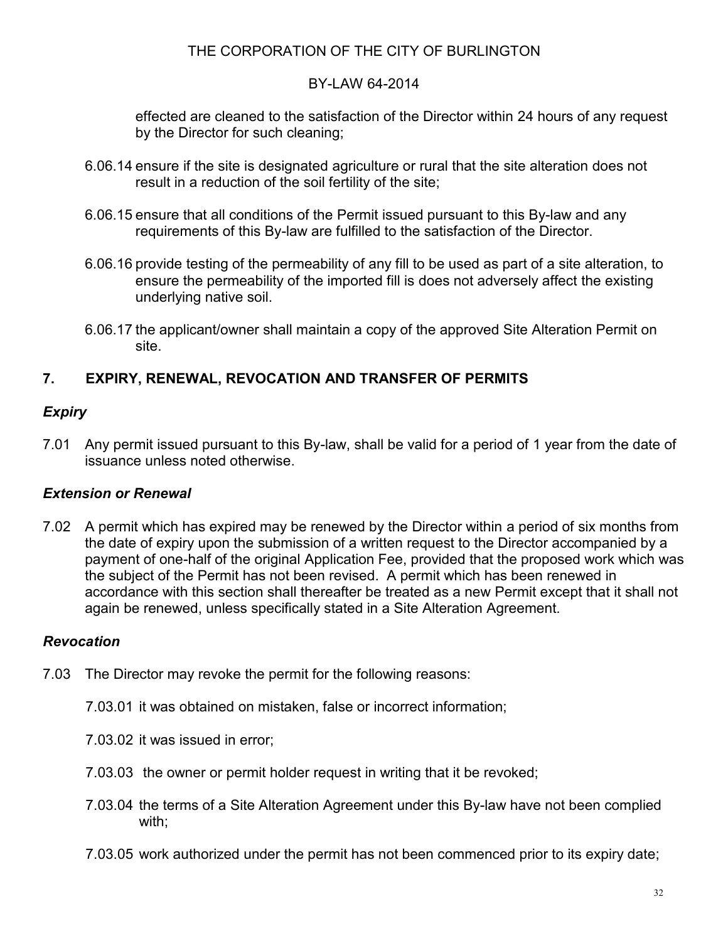### BY-LAW 64-2014

effected are cleaned to the satisfaction of the Director within 24 hours of any request by the Director for such cleaning;

- 6.06.14 ensure if the site is designated agriculture or rural that the site alteration does not result in a reduction of the soil fertility of the site;
- 6.06.15 ensure that all conditions of the Permit issued pursuant to this By-law and any requirements of this By-law are fulfilled to the satisfaction of the Director.
- 6.06.16 provide testing of the permeability of any fill to be used as part of a site alteration, to ensure the permeability of the imported fill is does not adversely affect the existing underlying native soil.
- 6.06.17 the applicant/owner shall maintain a copy of the approved Site Alteration Permit on site.

# **7. EXPIRY, RENEWAL, REVOCATION AND TRANSFER OF PERMITS**

# *Expiry*

7.01 Any permit issued pursuant to this By-law, shall be valid for a period of 1 year from the date of issuance unless noted otherwise.

## *Extension or Renewal*

7.02 A permit which has expired may be renewed by the Director within a period of six months from the date of expiry upon the submission of a written request to the Director accompanied by a payment of one-half of the original Application Fee, provided that the proposed work which was the subject of the Permit has not been revised. A permit which has been renewed in accordance with this section shall thereafter be treated as a new Permit except that it shall not again be renewed, unless specifically stated in a Site Alteration Agreement.

## *Revocation*

- 7.03 The Director may revoke the permit for the following reasons:
	- 7.03.01 it was obtained on mistaken, false or incorrect information;
	- 7.03.02 it was issued in error;
	- 7.03.03 the owner or permit holder request in writing that it be revoked;
	- 7.03.04 the terms of a Site Alteration Agreement under this By-law have not been complied with;
	- 7.03.05 work authorized under the permit has not been commenced prior to its expiry date;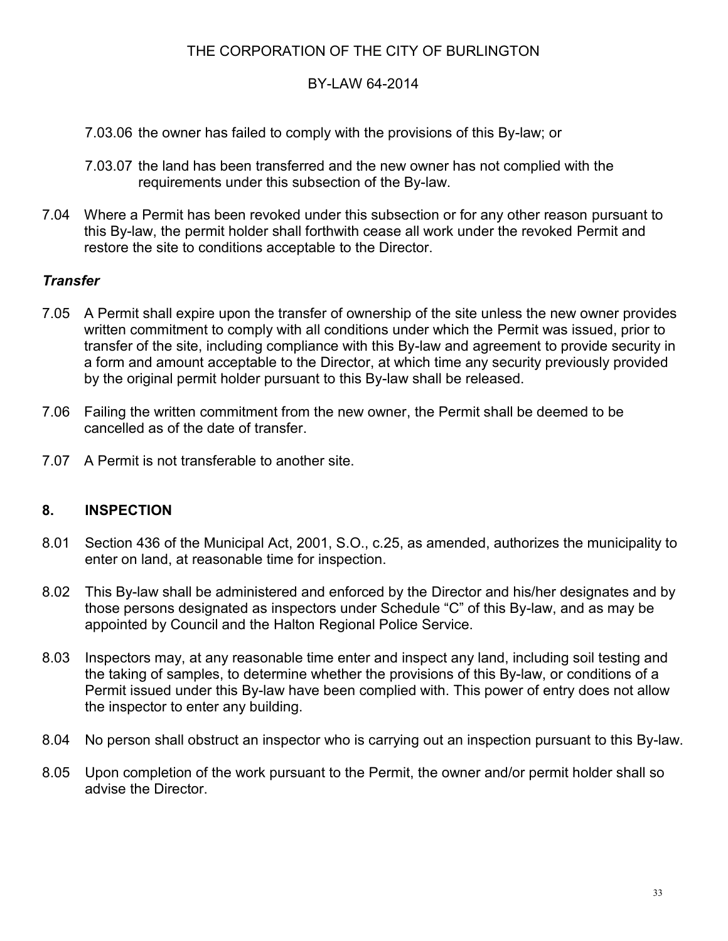### BY-LAW 64-2014

- 7.03.06 the owner has failed to comply with the provisions of this By-law; or
- 7.03.07 the land has been transferred and the new owner has not complied with the requirements under this subsection of the By-law.
- 7.04 Where a Permit has been revoked under this subsection or for any other reason pursuant to this By-law, the permit holder shall forthwith cease all work under the revoked Permit and restore the site to conditions acceptable to the Director.

### *Transfer*

- 7.05 A Permit shall expire upon the transfer of ownership of the site unless the new owner provides written commitment to comply with all conditions under which the Permit was issued, prior to transfer of the site, including compliance with this By-law and agreement to provide security in a form and amount acceptable to the Director, at which time any security previously provided by the original permit holder pursuant to this By-law shall be released.
- 7.06 Failing the written commitment from the new owner, the Permit shall be deemed to be cancelled as of the date of transfer.
- 7.07 A Permit is not transferable to another site.

## **8. INSPECTION**

- 8.01 Section 436 of the Municipal Act, 2001, S.O., c.25, as amended, authorizes the municipality to enter on land, at reasonable time for inspection.
- 8.02 This By-law shall be administered and enforced by the Director and his/her designates and by those persons designated as inspectors under Schedule "C" of this By-law, and as may be appointed by Council and the Halton Regional Police Service.
- 8.03 Inspectors may, at any reasonable time enter and inspect any land, including soil testing and the taking of samples, to determine whether the provisions of this By-law, or conditions of a Permit issued under this By-law have been complied with. This power of entry does not allow the inspector to enter any building.
- 8.04 No person shall obstruct an inspector who is carrying out an inspection pursuant to this By-law.
- 8.05 Upon completion of the work pursuant to the Permit, the owner and/or permit holder shall so advise the Director.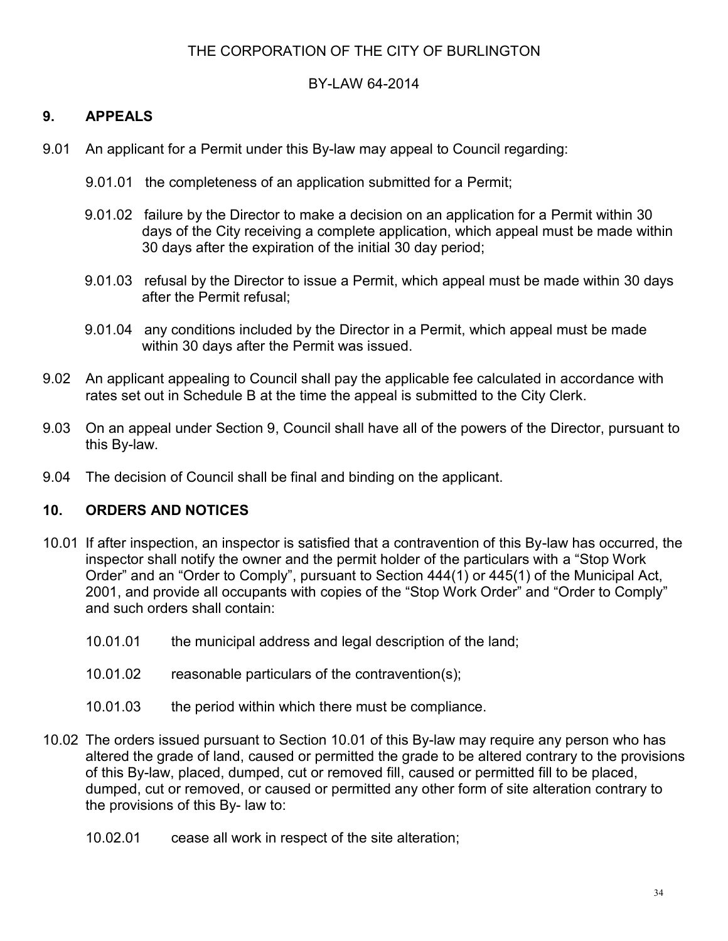#### BY-LAW 64-2014

## **9. APPEALS**

- 9.01 An applicant for a Permit under this By-law may appeal to Council regarding:
	- 9.01.01 the completeness of an application submitted for a Permit;
	- 9.01.02 failure by the Director to make a decision on an application for a Permit within 30 days of the City receiving a complete application, which appeal must be made within 30 days after the expiration of the initial 30 day period;
	- 9.01.03 refusal by the Director to issue a Permit, which appeal must be made within 30 days after the Permit refusal;
	- 9.01.04 any conditions included by the Director in a Permit, which appeal must be made within 30 days after the Permit was issued.
- 9.02 An applicant appealing to Council shall pay the applicable fee calculated in accordance with rates set out in Schedule B at the time the appeal is submitted to the City Clerk.
- 9.03 On an appeal under Section 9, Council shall have all of the powers of the Director, pursuant to this By-law.
- 9.04 The decision of Council shall be final and binding on the applicant.

#### **10. ORDERS AND NOTICES**

- 10.01 If after inspection, an inspector is satisfied that a contravention of this By-law has occurred, the inspector shall notify the owner and the permit holder of the particulars with a "Stop Work Order" and an "Order to Comply", pursuant to Section 444(1) or 445(1) of the Municipal Act, 2001, and provide all occupants with copies of the "Stop Work Order" and "Order to Comply" and such orders shall contain:
	- 10.01.01 the municipal address and legal description of the land;
	- 10.01.02 reasonable particulars of the contravention(s);
	- 10.01.03 the period within which there must be compliance.
- 10.02 The orders issued pursuant to Section 10.01 of this By-law may require any person who has altered the grade of land, caused or permitted the grade to be altered contrary to the provisions of this By-law, placed, dumped, cut or removed fill, caused or permitted fill to be placed, dumped, cut or removed, or caused or permitted any other form of site alteration contrary to the provisions of this By- law to:
	- 10.02.01 cease all work in respect of the site alteration;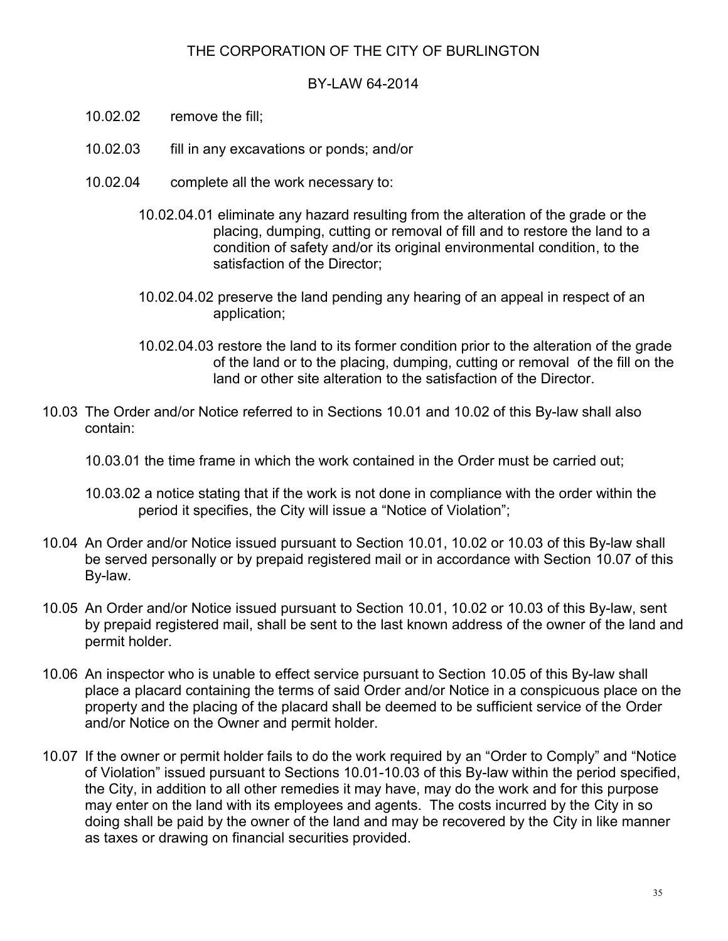#### BY-LAW 64-2014

- 10.02.02 remove the fill;
- 10.02.03 fill in any excavations or ponds; and/or
- 10.02.04 complete all the work necessary to:
	- 10.02.04.01 eliminate any hazard resulting from the alteration of the grade or the placing, dumping, cutting or removal of fill and to restore the land to a condition of safety and/or its original environmental condition, to the satisfaction of the Director;
	- 10.02.04.02 preserve the land pending any hearing of an appeal in respect of an application;
	- 10.02.04.03 restore the land to its former condition prior to the alteration of the grade of the land or to the placing, dumping, cutting or removal of the fill on the land or other site alteration to the satisfaction of the Director.
- 10.03 The Order and/or Notice referred to in Sections 10.01 and 10.02 of this By-law shall also contain:
	- 10.03.01 the time frame in which the work contained in the Order must be carried out;
	- 10.03.02 a notice stating that if the work is not done in compliance with the order within the period it specifies, the City will issue a "Notice of Violation";
- 10.04 An Order and/or Notice issued pursuant to Section 10.01, 10.02 or 10.03 of this By-law shall be served personally or by prepaid registered mail or in accordance with Section 10.07 of this By-law.
- 10.05 An Order and/or Notice issued pursuant to Section 10.01, 10.02 or 10.03 of this By-law, sent by prepaid registered mail, shall be sent to the last known address of the owner of the land and permit holder.
- 10.06 An inspector who is unable to effect service pursuant to Section 10.05 of this By-law shall place a placard containing the terms of said Order and/or Notice in a conspicuous place on the property and the placing of the placard shall be deemed to be sufficient service of the Order and/or Notice on the Owner and permit holder.
- 10.07 If the owner or permit holder fails to do the work required by an "Order to Comply" and "Notice of Violation" issued pursuant to Sections 10.01-10.03 of this By-law within the period specified, the City, in addition to all other remedies it may have, may do the work and for this purpose may enter on the land with its employees and agents. The costs incurred by the City in so doing shall be paid by the owner of the land and may be recovered by the City in like manner as taxes or drawing on financial securities provided.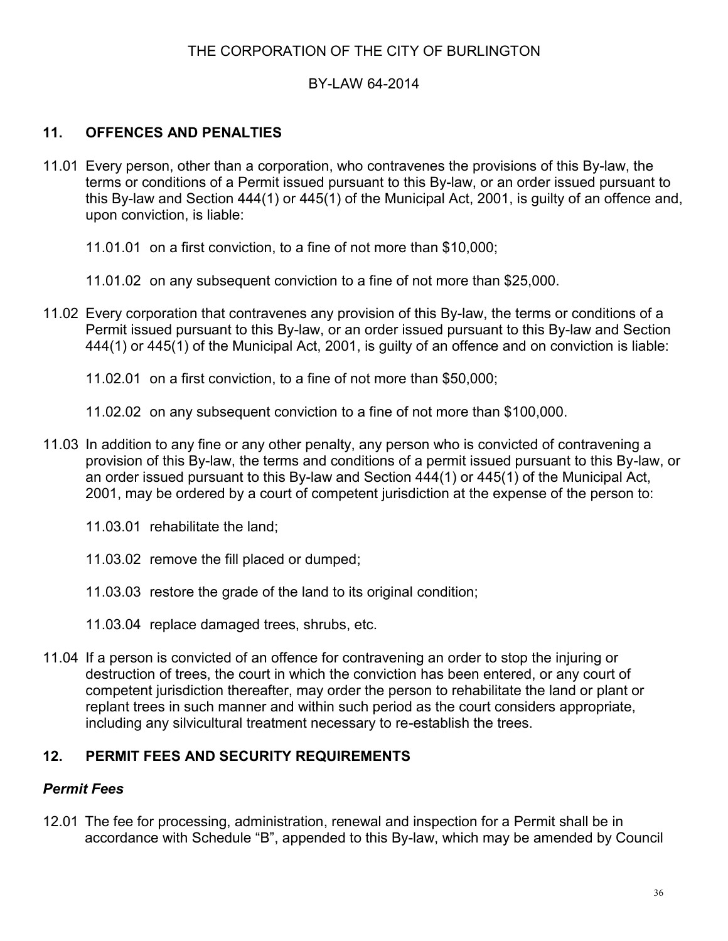### BY-LAW 64-2014

## **11. OFFENCES AND PENALTIES**

- 11.01 Every person, other than a corporation, who contravenes the provisions of this By-law, the terms or conditions of a Permit issued pursuant to this By-law, or an order issued pursuant to this By-law and Section 444(1) or 445(1) of the Municipal Act, 2001, is guilty of an offence and, upon conviction, is liable:
	- 11.01.01 on a first conviction, to a fine of not more than \$10,000;
	- 11.01.02 on any subsequent conviction to a fine of not more than \$25,000.
- 11.02 Every corporation that contravenes any provision of this By-law, the terms or conditions of a Permit issued pursuant to this By-law, or an order issued pursuant to this By-law and Section 444(1) or 445(1) of the Municipal Act, 2001, is guilty of an offence and on conviction is liable:
	- 11.02.01 on a first conviction, to a fine of not more than \$50,000;
	- 11.02.02 on any subsequent conviction to a fine of not more than \$100,000.
- 11.03 In addition to any fine or any other penalty, any person who is convicted of contravening a provision of this By-law, the terms and conditions of a permit issued pursuant to this By-law, or an order issued pursuant to this By-law and Section 444(1) or 445(1) of the Municipal Act, 2001, may be ordered by a court of competent jurisdiction at the expense of the person to:
	- 11.03.01 rehabilitate the land;
	- 11.03.02 remove the fill placed or dumped;
	- 11.03.03 restore the grade of the land to its original condition;
	- 11.03.04 replace damaged trees, shrubs, etc.
- 11.04 If a person is convicted of an offence for contravening an order to stop the injuring or destruction of trees, the court in which the conviction has been entered, or any court of competent jurisdiction thereafter, may order the person to rehabilitate the land or plant or replant trees in such manner and within such period as the court considers appropriate, including any silvicultural treatment necessary to re-establish the trees.

#### **12. PERMIT FEES AND SECURITY REQUIREMENTS**

#### *Permit Fees*

12.01 The fee for processing, administration, renewal and inspection for a Permit shall be in accordance with Schedule "B", appended to this By-law, which may be amended by Council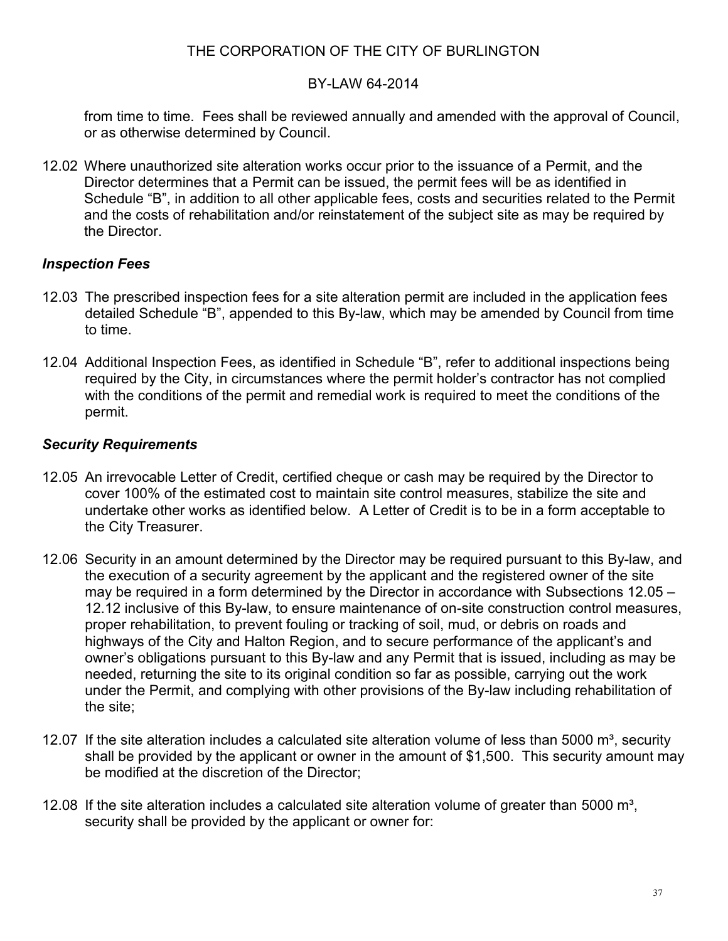#### BY-LAW 64-2014

from time to time. Fees shall be reviewed annually and amended with the approval of Council, or as otherwise determined by Council.

12.02 Where unauthorized site alteration works occur prior to the issuance of a Permit, and the Director determines that a Permit can be issued, the permit fees will be as identified in Schedule "B", in addition to all other applicable fees, costs and securities related to the Permit and the costs of rehabilitation and/or reinstatement of the subject site as may be required by the Director.

### *Inspection Fees*

- 12.03 The prescribed inspection fees for a site alteration permit are included in the application fees detailed Schedule "B", appended to this By-law, which may be amended by Council from time to time.
- 12.04 Additional Inspection Fees, as identified in Schedule "B", refer to additional inspections being required by the City, in circumstances where the permit holder's contractor has not complied with the conditions of the permit and remedial work is required to meet the conditions of the permit.

### *Security Requirements*

- 12.05 An irrevocable Letter of Credit, certified cheque or cash may be required by the Director to cover 100% of the estimated cost to maintain site control measures, stabilize the site and undertake other works as identified below. A Letter of Credit is to be in a form acceptable to the City Treasurer.
- 12.06 Security in an amount determined by the Director may be required pursuant to this By-law, and the execution of a security agreement by the applicant and the registered owner of the site may be required in a form determined by the Director in accordance with Subsections 12.05 – 12.12 inclusive of this By-law, to ensure maintenance of on-site construction control measures, proper rehabilitation, to prevent fouling or tracking of soil, mud, or debris on roads and highways of the City and Halton Region, and to secure performance of the applicant's and owner's obligations pursuant to this By-law and any Permit that is issued, including as may be needed, returning the site to its original condition so far as possible, carrying out the work under the Permit, and complying with other provisions of the By-law including rehabilitation of the site;
- 12.07 If the site alteration includes a calculated site alteration volume of less than 5000  $\text{m}^3$ , security shall be provided by the applicant or owner in the amount of \$1,500. This security amount may be modified at the discretion of the Director;
- 12.08 If the site alteration includes a calculated site alteration volume of greater than 5000  $m^3$ , security shall be provided by the applicant or owner for: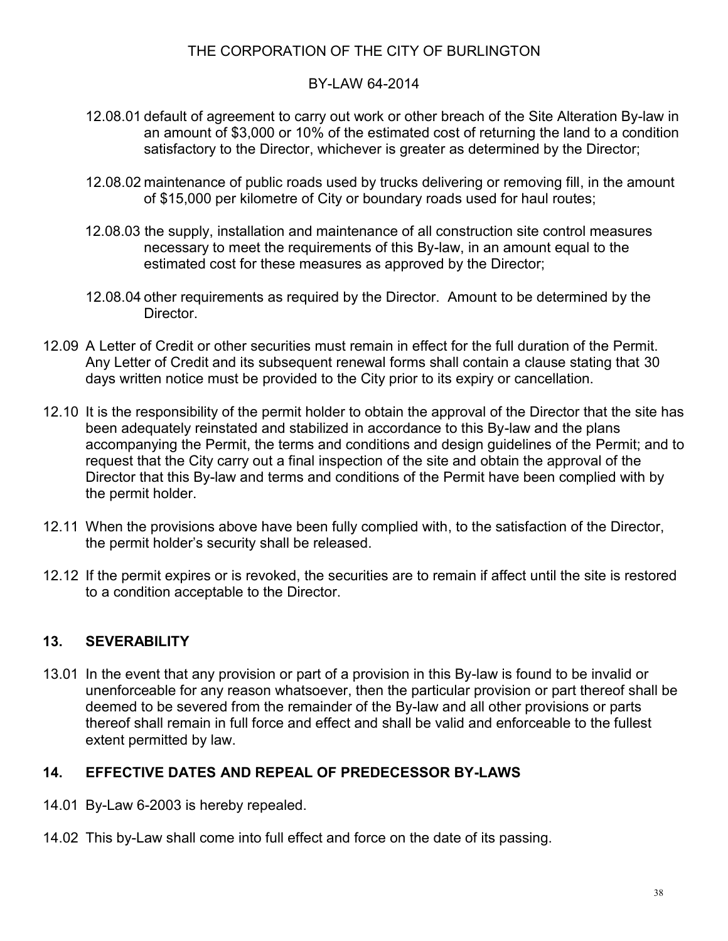### BY-LAW 64-2014

- 12.08.01 default of agreement to carry out work or other breach of the Site Alteration By-law in an amount of \$3,000 or 10% of the estimated cost of returning the land to a condition satisfactory to the Director, whichever is greater as determined by the Director;
- 12.08.02 maintenance of public roads used by trucks delivering or removing fill, in the amount of \$15,000 per kilometre of City or boundary roads used for haul routes;
- 12.08.03 the supply, installation and maintenance of all construction site control measures necessary to meet the requirements of this By-law, in an amount equal to the estimated cost for these measures as approved by the Director;
- 12.08.04 other requirements as required by the Director. Amount to be determined by the Director.
- 12.09 A Letter of Credit or other securities must remain in effect for the full duration of the Permit. Any Letter of Credit and its subsequent renewal forms shall contain a clause stating that 30 days written notice must be provided to the City prior to its expiry or cancellation.
- 12.10 It is the responsibility of the permit holder to obtain the approval of the Director that the site has been adequately reinstated and stabilized in accordance to this By-law and the plans accompanying the Permit, the terms and conditions and design guidelines of the Permit; and to request that the City carry out a final inspection of the site and obtain the approval of the Director that this By-law and terms and conditions of the Permit have been complied with by the permit holder.
- 12.11 When the provisions above have been fully complied with, to the satisfaction of the Director, the permit holder's security shall be released.
- 12.12 If the permit expires or is revoked, the securities are to remain if affect until the site is restored to a condition acceptable to the Director.

## **13. SEVERABILITY**

13.01 In the event that any provision or part of a provision in this By-law is found to be invalid or unenforceable for any reason whatsoever, then the particular provision or part thereof shall be deemed to be severed from the remainder of the By-law and all other provisions or parts thereof shall remain in full force and effect and shall be valid and enforceable to the fullest extent permitted by law.

## **14. EFFECTIVE DATES AND REPEAL OF PREDECESSOR BY-LAWS**

- 14.01 By-Law 6-2003 is hereby repealed.
- 14.02 This by-Law shall come into full effect and force on the date of its passing.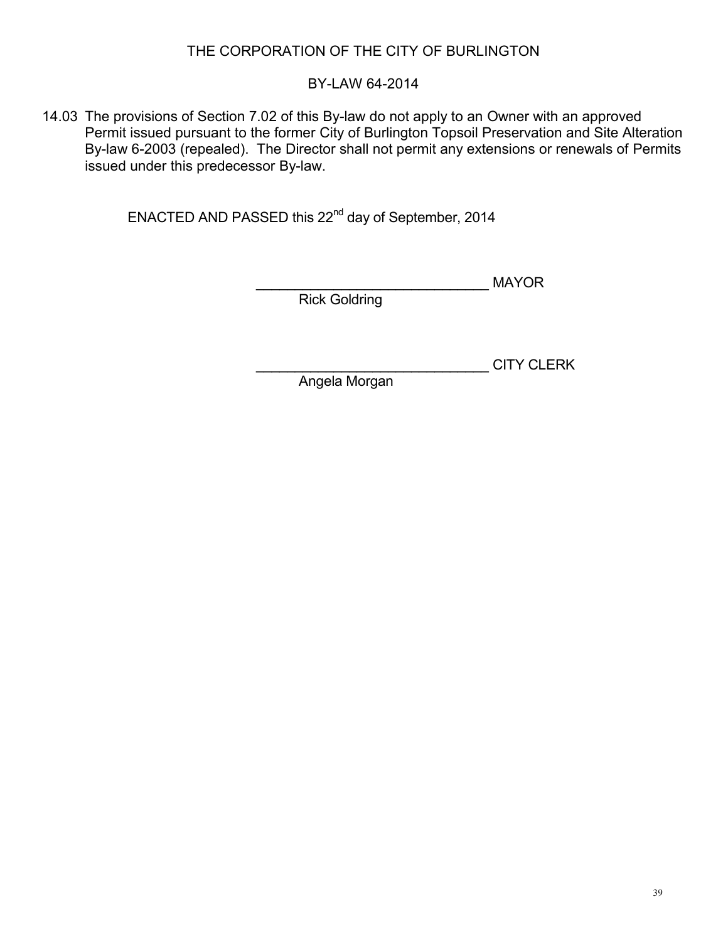## BY-LAW 64-2014

14.03 The provisions of Section 7.02 of this By-law do not apply to an Owner with an approved Permit issued pursuant to the former City of Burlington Topsoil Preservation and Site Alteration By-law 6-2003 (repealed). The Director shall not permit any extensions or renewals of Permits issued under this predecessor By-law.

ENACTED AND PASSED this 22<sup>nd</sup> day of September, 2014

\_\_\_\_\_\_\_\_\_\_\_\_\_\_\_\_\_\_\_\_\_\_\_\_\_\_\_\_\_\_ MAYOR

Rick Goldring

\_\_\_\_\_\_\_\_\_\_\_\_\_\_\_\_\_\_\_\_\_\_\_\_\_\_\_\_\_\_ CITY CLERK

Angela Morgan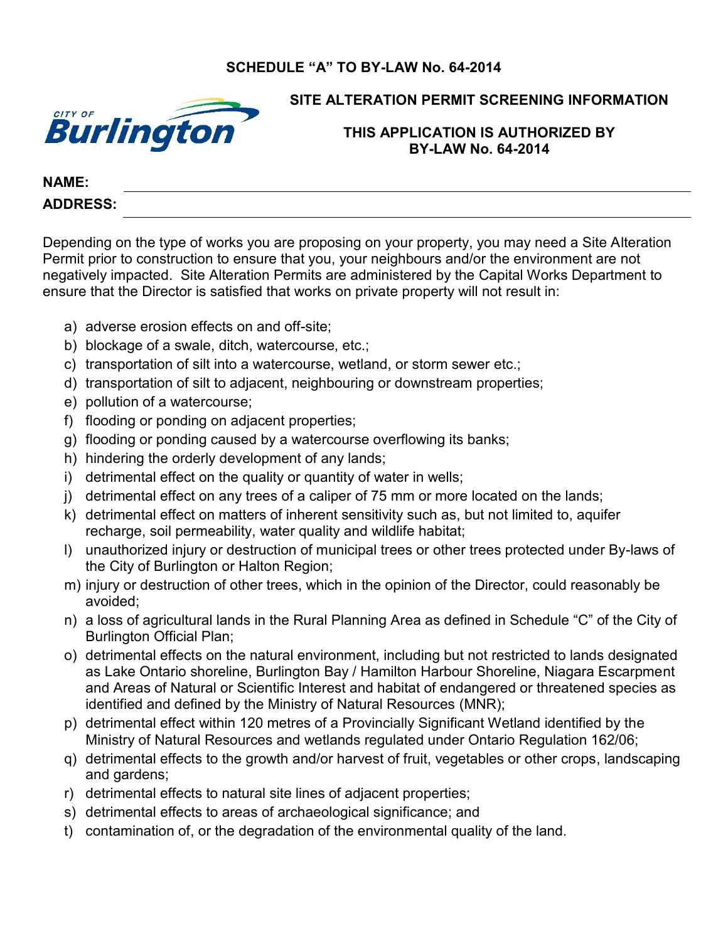## **SCHEDULE "A" TO BY-LAW No. 64-2014**



## **SITE ALTERATION PERMIT SCREENING INFORMATION**

#### **THIS APPLICATION IS AUTHORIZED BY BY-LAW No. 64-2014**

#### **NAME: ADDRESS:**

Depending on the type of works you are proposing on your property, you may need a Site Alteration Permit prior to construction to ensure that you, your neighbours and/or the environment are not negatively impacted. Site Alteration Permits are administered by the Capital Works Department to ensure that the Director is satisfied that works on private property will not result in:

- a) adverse erosion effects on and off-site;
- b) blockage of a swale, ditch, watercourse, etc.;
- c) transportation of silt into a watercourse, wetland, or storm sewer etc.;
- d) transportation of silt to adjacent, neighbouring or downstream properties;
- e) pollution of a watercourse;
- f) flooding or ponding on adjacent properties;
- g) flooding or ponding caused by a watercourse overflowing its banks;
- h) hindering the orderly development of any lands;
- i) detrimental effect on the quality or quantity of water in wells;
- j) detrimental effect on any trees of a caliper of 75 mm or more located on the lands;
- k) detrimental effect on matters of inherent sensitivity such as, but not limited to, aquifer recharge, soil permeability, water quality and wildlife habitat;
- l) unauthorized injury or destruction of municipal trees or other trees protected under By-laws of the City of Burlington or Halton Region;
- m) injury or destruction of other trees, which in the opinion of the Director, could reasonably be avoided;
- n) a loss of agricultural lands in the Rural Planning Area as defined in Schedule "C" of the City of Burlington Official Plan;
- o) detrimental effects on the natural environment, including but not restricted to lands designated as Lake Ontario shoreline, Burlington Bay / Hamilton Harbour Shoreline, Niagara Escarpment and Areas of Natural or Scientific Interest and habitat of endangered or threatened species as identified and defined by the Ministry of Natural Resources (MNR);
- p) detrimental effect within 120 metres of a Provincially Significant Wetland identified by the Ministry of Natural Resources and wetlands regulated under Ontario Regulation 162/06;
- q) detrimental effects to the growth and/or harvest of fruit, vegetables or other crops, landscaping and gardens;
- r) detrimental effects to natural site lines of adjacent properties;
- s) detrimental effects to areas of archaeological significance; and
- t) contamination of, or the degradation of the environmental quality of the land.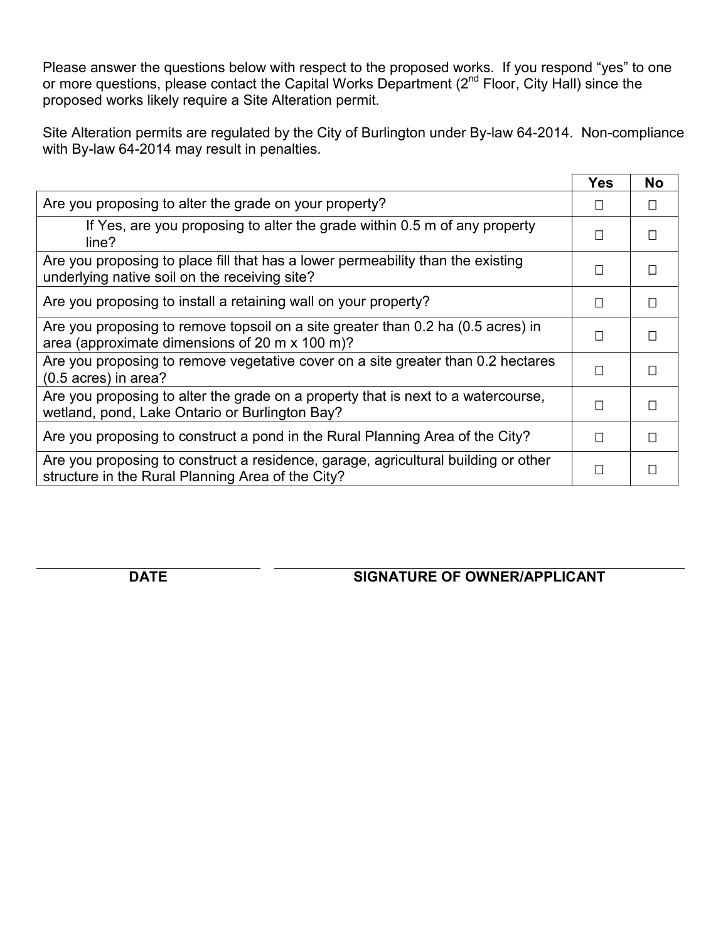Please answer the questions below with respect to the proposed works. If you respond "yes" to one or more questions, please contact the Capital Works Department (2<sup>nd</sup> Floor, City Hall) since the proposed works likely require a Site Alteration permit.

Site Alteration permits are regulated by the City of Burlington under By-law 64-2014. Non-compliance with By-law 64-2014 may result in penalties.

|                                                                                                                                         | <b>Yes</b> | No     |
|-----------------------------------------------------------------------------------------------------------------------------------------|------------|--------|
| Are you proposing to alter the grade on your property?                                                                                  | $\Box$     | $\Box$ |
| If Yes, are you proposing to alter the grade within 0.5 m of any property<br>line?                                                      | П          | П      |
| Are you proposing to place fill that has a lower permeability than the existing<br>underlying native soil on the receiving site?        | П          | П      |
| Are you proposing to install a retaining wall on your property?                                                                         | П          | П      |
| Are you proposing to remove topsoil on a site greater than 0.2 ha (0.5 acres) in<br>area (approximate dimensions of 20 m x 100 m)?      | П          | П      |
| Are you proposing to remove vegetative cover on a site greater than 0.2 hectares<br>$(0.5 \text{ acres})$ in area?                      | П          | П      |
| Are you proposing to alter the grade on a property that is next to a watercourse,<br>wetland, pond, Lake Ontario or Burlington Bay?     | П          | П      |
| Are you proposing to construct a pond in the Rural Planning Area of the City?                                                           | П          | П      |
| Are you proposing to construct a residence, garage, agricultural building or other<br>structure in the Rural Planning Area of the City? | П          | П      |

**DATE SIGNATURE OF OWNER/APPLICANT**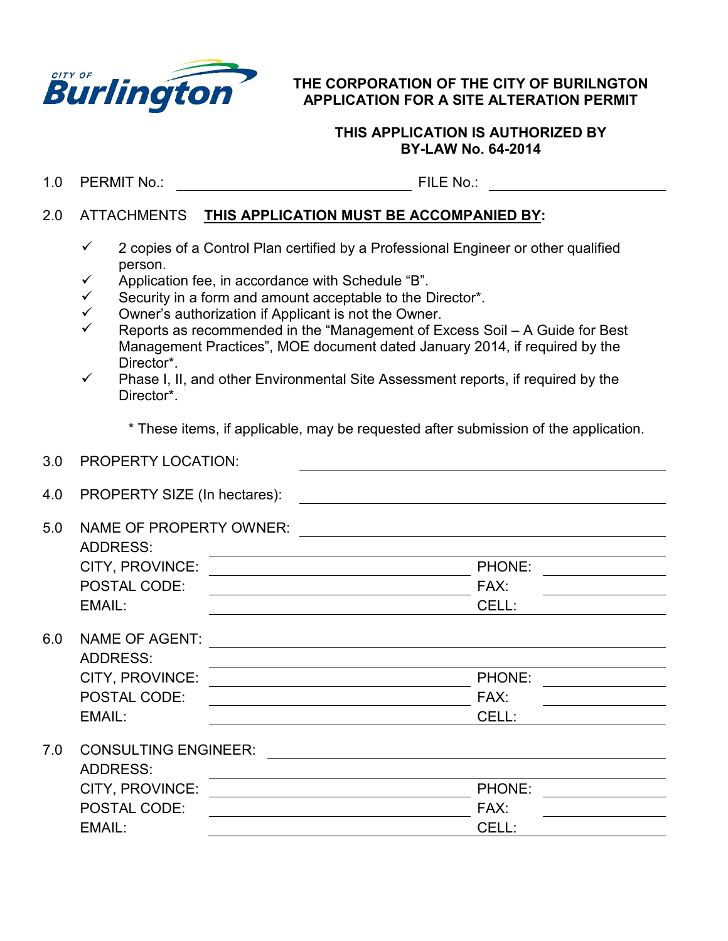

#### **THE CORPORATION OF THE CITY OF BURILNGTON APPLICATION FOR A SITE ALTERATION PERMIT**

#### **THIS APPLICATION IS AUTHORIZED BY BY-LAW No. 64-2014**

1.0 PERMIT No.: FILE No.:

#### 2.0 ATTACHMENTS **THIS APPLICATION MUST BE ACCOMPANIED BY:**

- $\checkmark$  2 copies of a Control Plan certified by a Professional Engineer or other qualified person.
- $\checkmark$  Application fee, in accordance with Schedule "B".
- $\checkmark$  Security in a form and amount acceptable to the Director\*.
- $\checkmark$ Owner's authorization if Applicant is not the Owner.
- $\checkmark$ Reports as recommended in the "Management of Excess Soil – A Guide for Best Management Practices", MOE document dated January 2014, if required by the Director\*.
- $\checkmark$  Phase I, II, and other Environmental Site Assessment reports, if required by the Director\*.

\* These items, if applicable, may be requested after submission of the application.

| 3.0 | <b>PROPERTY LOCATION:</b>                         |        |
|-----|---------------------------------------------------|--------|
| 4.0 | PROPERTY SIZE (In hectares):                      |        |
| 5.0 | <b>NAME OF PROPERTY OWNER:</b><br><b>ADDRESS:</b> |        |
|     | CITY, PROVINCE:                                   | PHONE: |
|     | <b>POSTAL CODE:</b>                               | FAX:   |
|     | EMAIL:                                            | CELL:  |
| 6.0 | <b>NAME OF AGENT:</b>                             |        |
|     | <b>ADDRESS:</b>                                   |        |
|     | CITY, PROVINCE:                                   | PHONE: |
|     | POSTAL CODE:                                      | FAX:   |
|     | EMAIL:                                            | CELL:  |
| 7.0 | <b>CONSULTING ENGINEER:</b>                       |        |
|     | <b>ADDRESS:</b>                                   |        |
|     | CITY, PROVINCE:                                   | PHONE: |
|     | <b>POSTAL CODE:</b>                               | FAX:   |
|     | EMAIL:                                            | CELL:  |
|     |                                                   |        |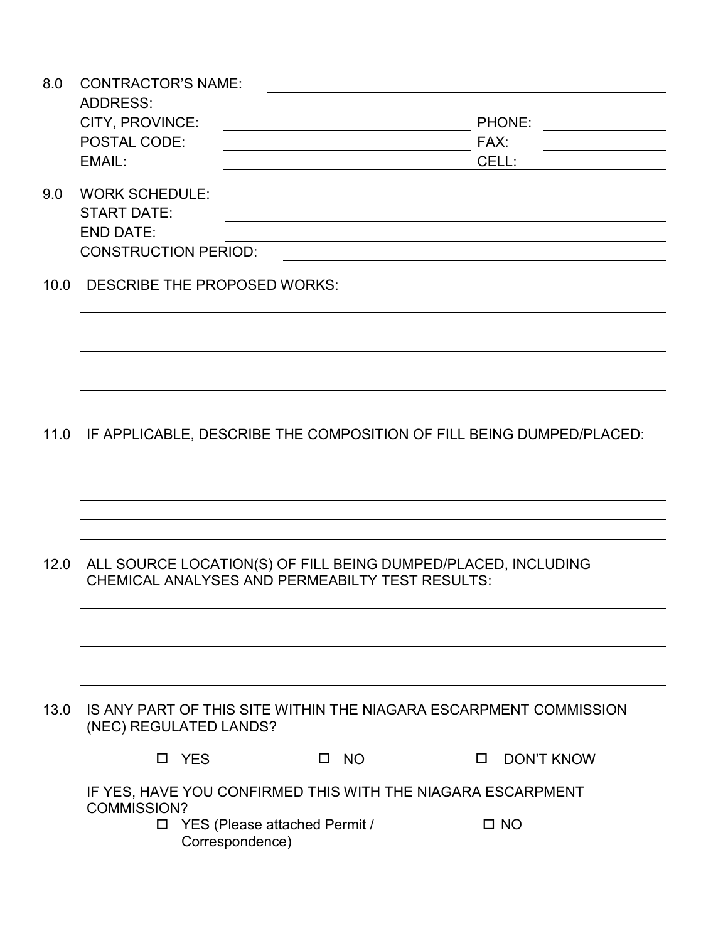| 8.0  | <b>CONTRACTOR'S NAME:</b>   |                                                  |                                                                      |                             |  |
|------|-----------------------------|--------------------------------------------------|----------------------------------------------------------------------|-----------------------------|--|
|      | <b>ADDRESS:</b>             |                                                  |                                                                      |                             |  |
|      | CITY, PROVINCE:             |                                                  |                                                                      | PHONE:                      |  |
|      | POSTAL CODE:                |                                                  |                                                                      | FAX:                        |  |
|      | EMAIL:                      |                                                  |                                                                      | CELL:                       |  |
| 9.0  | <b>WORK SCHEDULE:</b>       |                                                  |                                                                      |                             |  |
|      | <b>START DATE:</b>          |                                                  |                                                                      |                             |  |
|      | <b>END DATE:</b>            |                                                  |                                                                      |                             |  |
|      | <b>CONSTRUCTION PERIOD:</b> |                                                  |                                                                      |                             |  |
| 10.0 |                             | DESCRIBE THE PROPOSED WORKS:                     |                                                                      |                             |  |
|      |                             |                                                  |                                                                      |                             |  |
|      |                             |                                                  |                                                                      |                             |  |
|      |                             |                                                  |                                                                      |                             |  |
|      |                             |                                                  |                                                                      |                             |  |
| 11.0 |                             |                                                  | IF APPLICABLE, DESCRIBE THE COMPOSITION OF FILL BEING DUMPED/PLACED: |                             |  |
|      |                             |                                                  |                                                                      |                             |  |
|      |                             |                                                  |                                                                      |                             |  |
|      |                             |                                                  |                                                                      |                             |  |
| 12.0 |                             |                                                  | ALL SOURCE LOCATION(S) OF FILL BEING DUMPED/PLACED, INCLUDING        |                             |  |
|      |                             |                                                  | <b>CHEMICAL ANALYSES AND PERMEABILTY TEST RESULTS:</b>               |                             |  |
|      |                             |                                                  |                                                                      |                             |  |
|      |                             |                                                  |                                                                      |                             |  |
|      |                             |                                                  |                                                                      |                             |  |
|      |                             |                                                  |                                                                      |                             |  |
| 13.0 |                             | (NEC) REGULATED LANDS?                           | IS ANY PART OF THIS SITE WITHIN THE NIAGARA ESCARPMENT COMMISSION    |                             |  |
|      |                             | □ YES                                            | <b>NO</b><br>$\Box$                                                  | <b>DON'T KNOW</b><br>$\Box$ |  |
|      | <b>COMMISSION?</b>          |                                                  | IF YES, HAVE YOU CONFIRMED THIS WITH THE NIAGARA ESCARPMENT          |                             |  |
|      | □                           | YES (Please attached Permit /<br>Correspondence) |                                                                      | $\square$ NO                |  |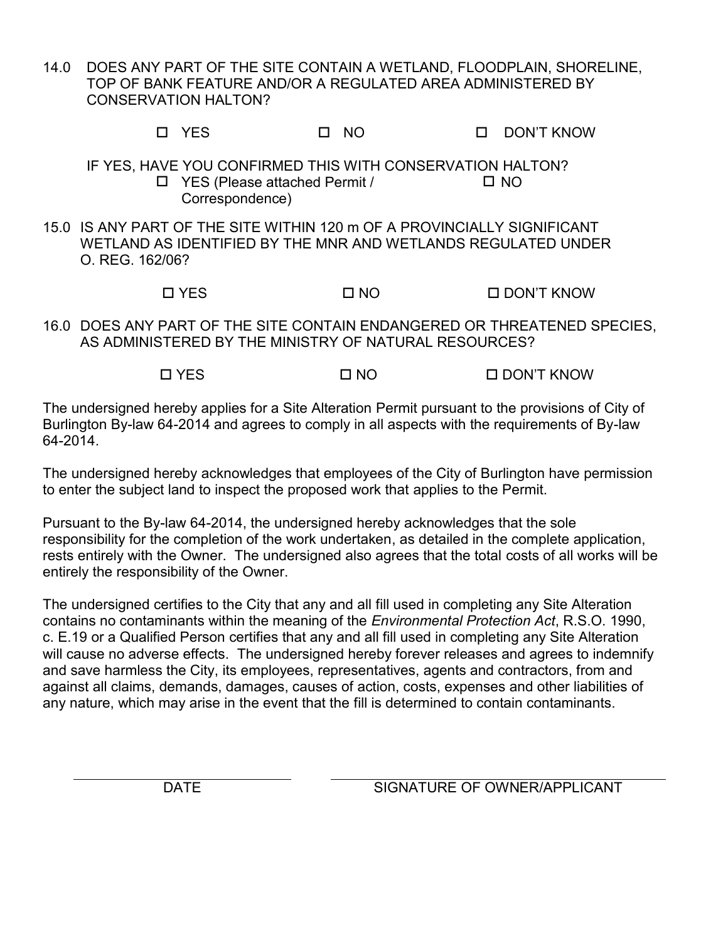14.0 DOES ANY PART OF THE SITE CONTAIN A WETLAND, FLOODPLAIN, SHORELINE, TOP OF BANK FEATURE AND/OR A REGULATED AREA ADMINISTERED BY CONSERVATION HALTON?

YES NO DON'T KNOW

IF YES, HAVE YOU CONFIRMED THIS WITH CONSERVATION HALTON? YES (Please attached Permit / Correspondence)  $\square$  NO

15.0 IS ANY PART OF THE SITE WITHIN 120 m OF A PROVINCIALLY SIGNIFICANT WETLAND AS IDENTIFIED BY THE MNR AND WETLANDS REGULATED UNDER O. REG. 162/06?

YES NO DON'T KNOW

16.0 DOES ANY PART OF THE SITE CONTAIN ENDANGERED OR THREATENED SPECIES, AS ADMINISTERED BY THE MINISTRY OF NATURAL RESOURCES?

YES NO DON'T KNOW

The undersigned hereby applies for a Site Alteration Permit pursuant to the provisions of City of Burlington By-law 64-2014 and agrees to comply in all aspects with the requirements of By-law 64-2014.

The undersigned hereby acknowledges that employees of the City of Burlington have permission to enter the subject land to inspect the proposed work that applies to the Permit.

Pursuant to the By-law 64-2014, the undersigned hereby acknowledges that the sole responsibility for the completion of the work undertaken, as detailed in the complete application, rests entirely with the Owner. The undersigned also agrees that the total costs of all works will be entirely the responsibility of the Owner.

The undersigned certifies to the City that any and all fill used in completing any Site Alteration contains no contaminants within the meaning of the *Environmental Protection Act*, R.S.O. 1990, c. E.19 or a Qualified Person certifies that any and all fill used in completing any Site Alteration will cause no adverse effects. The undersigned hereby forever releases and agrees to indemnify and save harmless the City, its employees, representatives, agents and contractors, from and against all claims, demands, damages, causes of action, costs, expenses and other liabilities of any nature, which may arise in the event that the fill is determined to contain contaminants.

DATE SIGNATURE OF OWNER/APPLICANT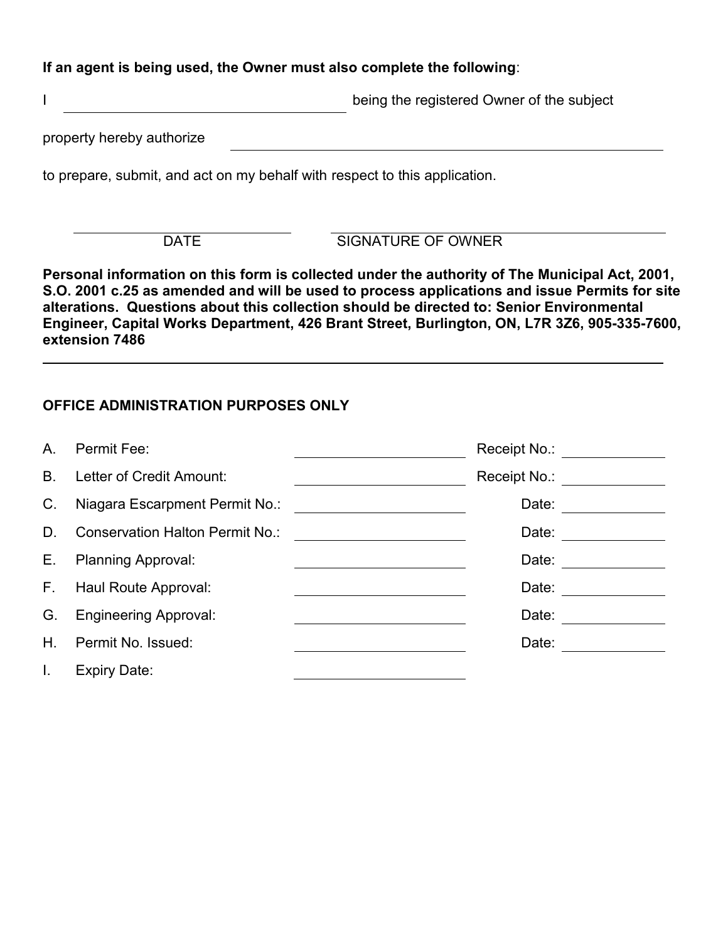### **If an agent is being used, the Owner must also complete the following**:

I being the registered Owner of the subject

property hereby authorize

to prepare, submit, and act on my behalf with respect to this application.

DATE SIGNATURE OF OWNER

**Personal information on this form is collected under the authority of The Municipal Act, 2001, S.O. 2001 c.25 as amended and will be used to process applications and issue Permits for site alterations. Questions about this collection should be directed to: Senior Environmental Engineer, Capital Works Department, 426 Brant Street, Burlington, ON, L7R 3Z6, 905-335-7600, extension 7486**

## **OFFICE ADMINISTRATION PURPOSES ONLY**

| A.             | Permit Fee:                            | Receipt No.: |  |
|----------------|----------------------------------------|--------------|--|
| B <sub>r</sub> | Letter of Credit Amount:               | Receipt No.: |  |
| C.             | Niagara Escarpment Permit No.:         | Date:        |  |
| D.             | <b>Conservation Halton Permit No.:</b> | Date:        |  |
| Е.             | <b>Planning Approval:</b>              | Date:        |  |
| F.,            | Haul Route Approval:                   | Date:        |  |
| G.             | <b>Engineering Approval:</b>           | Date:        |  |
| Η.             | Permit No. Issued:                     | Date:        |  |
| I.             | <b>Expiry Date:</b>                    |              |  |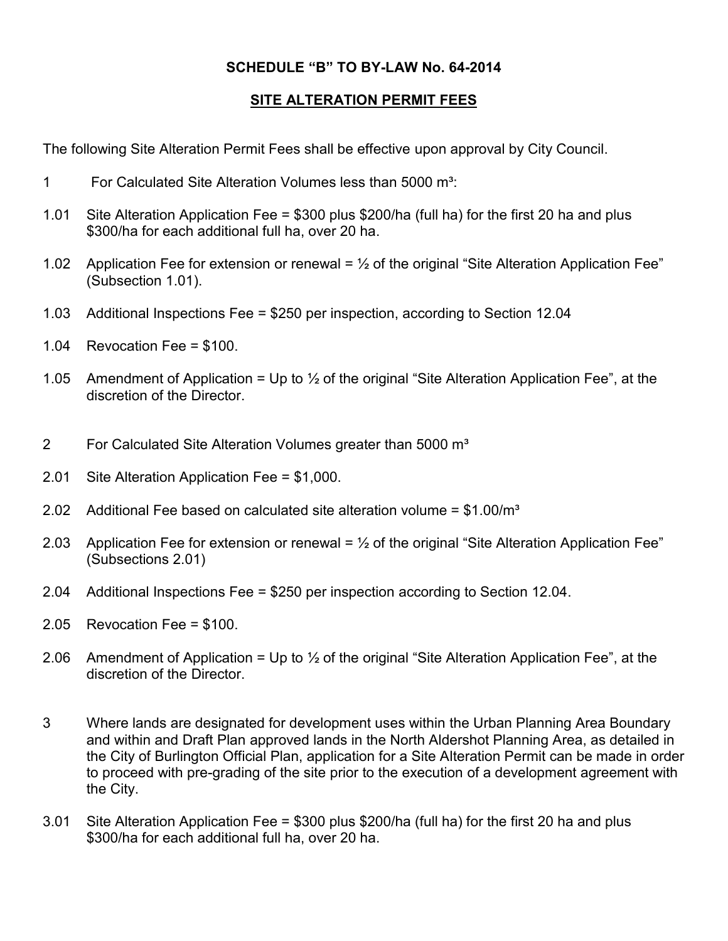## **SCHEDULE "B" TO BY-LAW No. 64-2014**

## **SITE ALTERATION PERMIT FEES**

The following Site Alteration Permit Fees shall be effective upon approval by City Council.

- 1 For Calculated Site Alteration Volumes less than 5000 m³:
- 1.01 Site Alteration Application Fee = \$300 plus \$200/ha (full ha) for the first 20 ha and plus \$300/ha for each additional full ha, over 20 ha.
- 1.02 Application Fee for extension or renewal =  $\frac{1}{2}$  of the original "Site Alteration Application Fee" (Subsection 1.01).
- 1.03 Additional Inspections Fee = \$250 per inspection, according to Section 12.04
- 1.04 Revocation Fee = \$100.
- 1.05 Amendment of Application = Up to  $\frac{1}{2}$  of the original "Site Alteration Application Fee", at the discretion of the Director.
- 2 For Calculated Site Alteration Volumes greater than 5000 m<sup>3</sup>
- 2.01 Site Alteration Application Fee = \$1,000.
- 2.02 Additional Fee based on calculated site alteration volume =  $$1.00/m<sup>3</sup>$
- 2.03 Application Fee for extension or renewal =  $\frac{1}{2}$  of the original "Site Alteration Application Fee" (Subsections 2.01)
- 2.04 Additional Inspections Fee = \$250 per inspection according to Section 12.04.
- 2.05 Revocation Fee = \$100.
- 2.06 Amendment of Application = Up to  $\frac{1}{2}$  of the original "Site Alteration Application Fee", at the discretion of the Director.
- 3 Where lands are designated for development uses within the Urban Planning Area Boundary and within and Draft Plan approved lands in the North Aldershot Planning Area, as detailed in the City of Burlington Official Plan, application for a Site Alteration Permit can be made in order to proceed with pre-grading of the site prior to the execution of a development agreement with the City.
- 3.01 Site Alteration Application Fee = \$300 plus \$200/ha (full ha) for the first 20 ha and plus \$300/ha for each additional full ha, over 20 ha.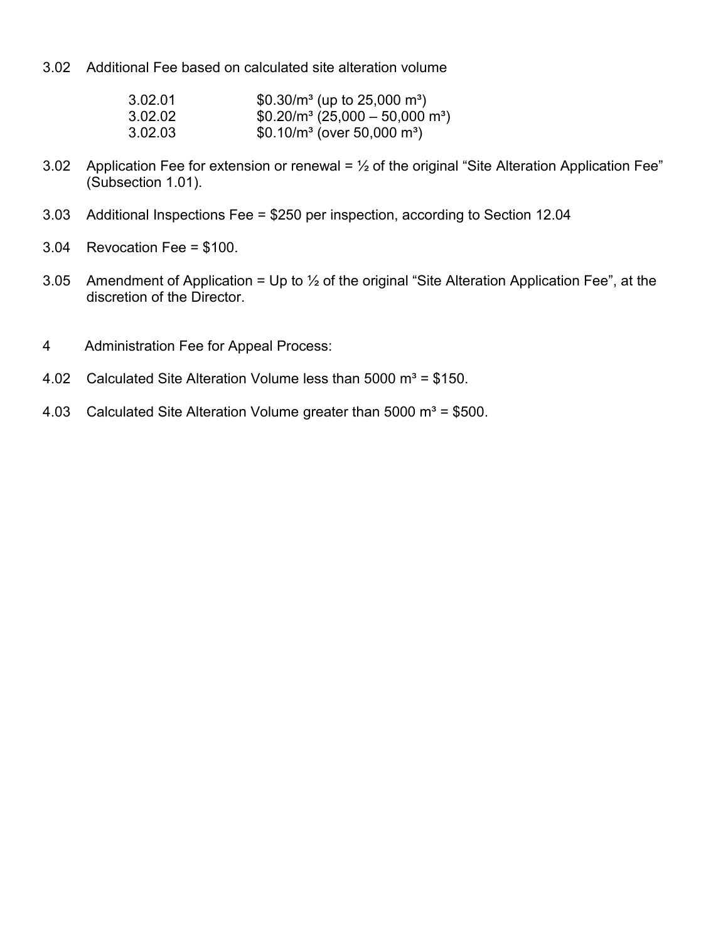3.02 Additional Fee based on calculated site alteration volume

| 3.02.01 | \$0.30/ $m^3$ (up to 25,000 $m^3$ ) |
|---------|-------------------------------------|
| 3.02.02 | $$0.20/m^3 (25,000 - 50,000 m^3)$   |
| 3.02.03 | \$0.10/ $m^3$ (over 50,000 $m^3$ )  |

- 3.02 Application Fee for extension or renewal =  $\frac{1}{2}$  of the original "Site Alteration Application Fee" (Subsection 1.01).
- 3.03 Additional Inspections Fee = \$250 per inspection, according to Section 12.04
- 3.04 Revocation Fee = \$100.
- 3.05 Amendment of Application = Up to  $\frac{1}{2}$  of the original "Site Alteration Application Fee", at the discretion of the Director.
- 4 Administration Fee for Appeal Process:
- 4.02 Calculated Site Alteration Volume less than  $5000 \text{ m}^3$  = \$150.
- 4.03 Calculated Site Alteration Volume greater than 5000  $m^3 = $500$ .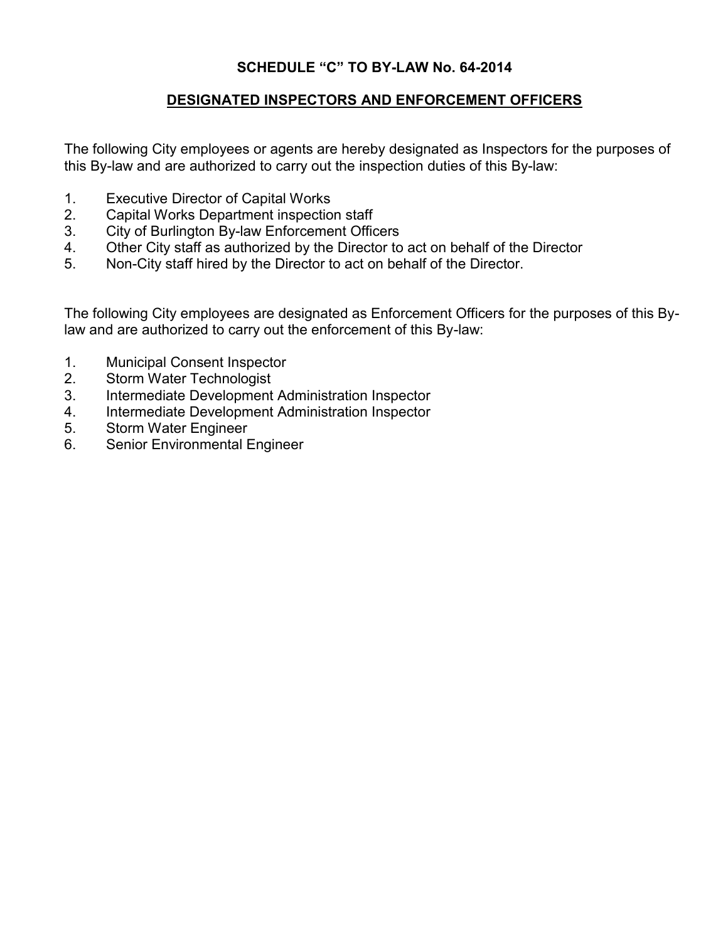## **SCHEDULE "C" TO BY-LAW No. 64-2014**

### **DESIGNATED INSPECTORS AND ENFORCEMENT OFFICERS**

The following City employees or agents are hereby designated as Inspectors for the purposes of this By-law and are authorized to carry out the inspection duties of this By-law:

- 1. Executive Director of Capital Works
- 2. Capital Works Department inspection staff
- 3. City of Burlington By-law Enforcement Officers
- 4. Other City staff as authorized by the Director to act on behalf of the Director
- 5. Non-City staff hired by the Director to act on behalf of the Director.

The following City employees are designated as Enforcement Officers for the purposes of this Bylaw and are authorized to carry out the enforcement of this By-law:

- 1. Municipal Consent Inspector
- 2. Storm Water Technologist
- 3. Intermediate Development Administration Inspector
- 4. Intermediate Development Administration Inspector
- 5. Storm Water Engineer
- 6. Senior Environmental Engineer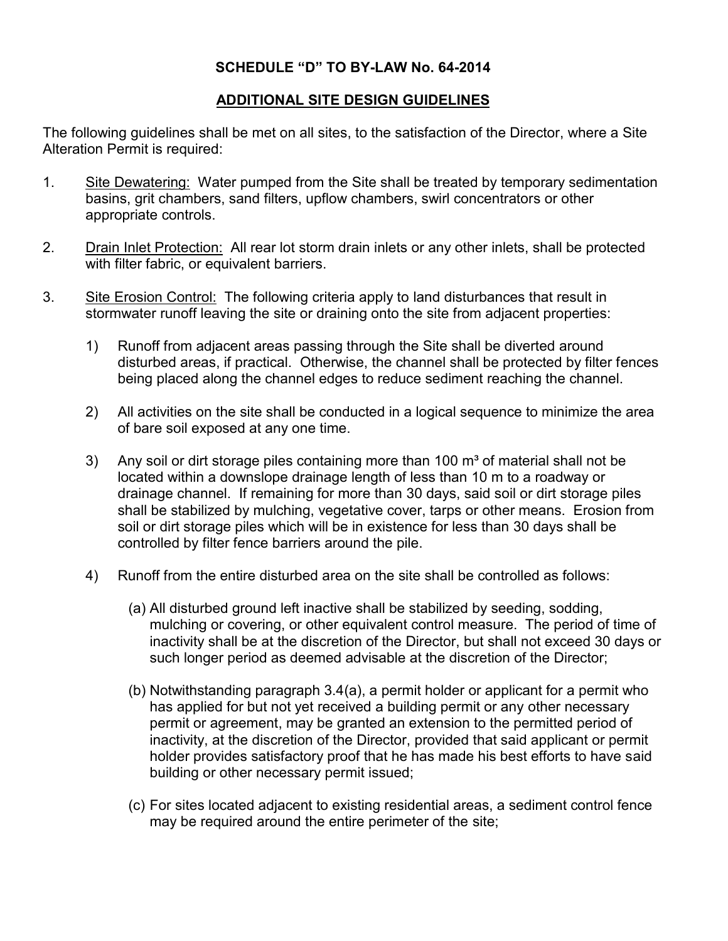### **SCHEDULE "D" TO BY-LAW No. 64-2014**

## **ADDITIONAL SITE DESIGN GUIDELINES**

The following guidelines shall be met on all sites, to the satisfaction of the Director, where a Site Alteration Permit is required:

- 1. Site Dewatering: Water pumped from the Site shall be treated by temporary sedimentation basins, grit chambers, sand filters, upflow chambers, swirl concentrators or other appropriate controls.
- 2. Drain Inlet Protection: All rear lot storm drain inlets or any other inlets, shall be protected with filter fabric, or equivalent barriers.
- 3. Site Erosion Control: The following criteria apply to land disturbances that result in stormwater runoff leaving the site or draining onto the site from adjacent properties:
	- 1) Runoff from adjacent areas passing through the Site shall be diverted around disturbed areas, if practical. Otherwise, the channel shall be protected by filter fences being placed along the channel edges to reduce sediment reaching the channel.
	- 2) All activities on the site shall be conducted in a logical sequence to minimize the area of bare soil exposed at any one time.
	- 3) Any soil or dirt storage piles containing more than 100  $\mathrm{m}^3$  of material shall not be located within a downslope drainage length of less than 10 m to a roadway or drainage channel. If remaining for more than 30 days, said soil or dirt storage piles shall be stabilized by mulching, vegetative cover, tarps or other means. Erosion from soil or dirt storage piles which will be in existence for less than 30 days shall be controlled by filter fence barriers around the pile.
	- 4) Runoff from the entire disturbed area on the site shall be controlled as follows:
		- (a) All disturbed ground left inactive shall be stabilized by seeding, sodding, mulching or covering, or other equivalent control measure. The period of time of inactivity shall be at the discretion of the Director, but shall not exceed 30 days or such longer period as deemed advisable at the discretion of the Director;
		- (b) Notwithstanding paragraph 3.4(a), a permit holder or applicant for a permit who has applied for but not yet received a building permit or any other necessary permit or agreement, may be granted an extension to the permitted period of inactivity, at the discretion of the Director, provided that said applicant or permit holder provides satisfactory proof that he has made his best efforts to have said building or other necessary permit issued;
		- (c) For sites located adjacent to existing residential areas, a sediment control fence may be required around the entire perimeter of the site;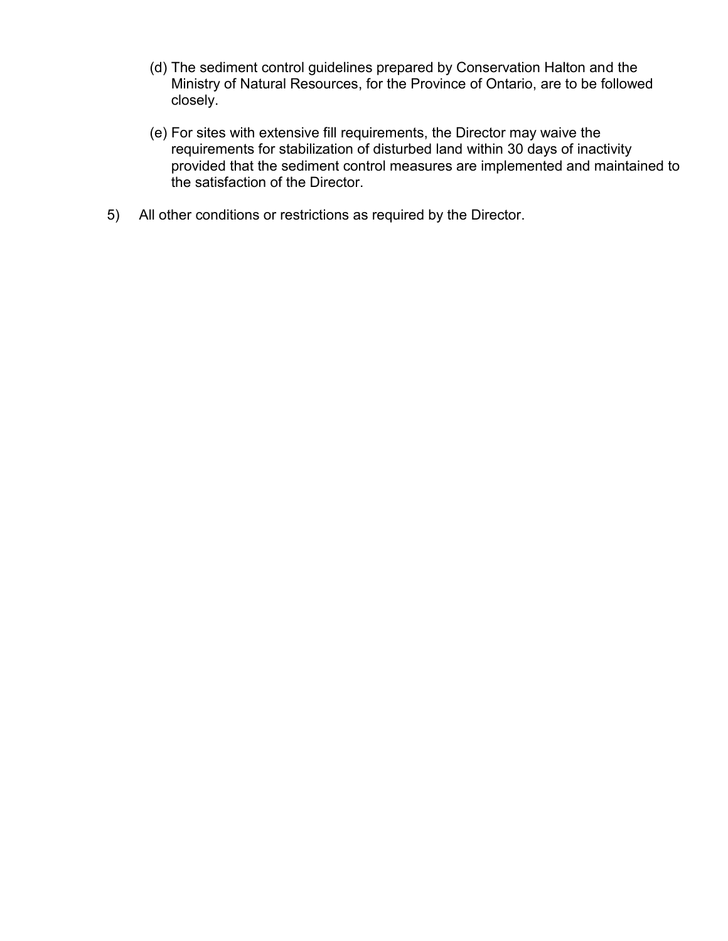- (d) The sediment control guidelines prepared by Conservation Halton and the Ministry of Natural Resources, for the Province of Ontario, are to be followed closely.
- (e) For sites with extensive fill requirements, the Director may waive the requirements for stabilization of disturbed land within 30 days of inactivity provided that the sediment control measures are implemented and maintained to the satisfaction of the Director.
- 5) All other conditions or restrictions as required by the Director.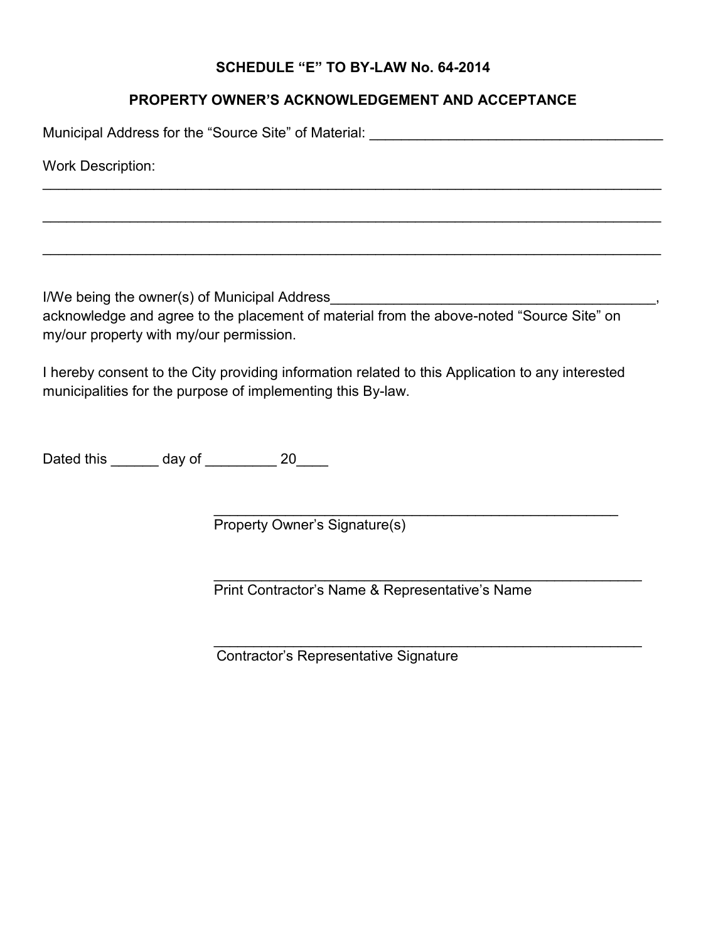## **SCHEDULE "E" TO BY-LAW No. 64-2014**

## **PROPERTY OWNER'S ACKNOWLEDGEMENT AND ACCEPTANCE**

 $\mathcal{L}_\mathcal{L} = \mathcal{L}_\mathcal{L} = \mathcal{L}_\mathcal{L} = \mathcal{L}_\mathcal{L} = \mathcal{L}_\mathcal{L} = \mathcal{L}_\mathcal{L} = \mathcal{L}_\mathcal{L} = \mathcal{L}_\mathcal{L} = \mathcal{L}_\mathcal{L} = \mathcal{L}_\mathcal{L} = \mathcal{L}_\mathcal{L} = \mathcal{L}_\mathcal{L} = \mathcal{L}_\mathcal{L} = \mathcal{L}_\mathcal{L} = \mathcal{L}_\mathcal{L} = \mathcal{L}_\mathcal{L} = \mathcal{L}_\mathcal{L}$ 

 $\mathcal{L}_\mathcal{L} = \mathcal{L}_\mathcal{L} = \mathcal{L}_\mathcal{L} = \mathcal{L}_\mathcal{L} = \mathcal{L}_\mathcal{L} = \mathcal{L}_\mathcal{L} = \mathcal{L}_\mathcal{L} = \mathcal{L}_\mathcal{L} = \mathcal{L}_\mathcal{L} = \mathcal{L}_\mathcal{L} = \mathcal{L}_\mathcal{L} = \mathcal{L}_\mathcal{L} = \mathcal{L}_\mathcal{L} = \mathcal{L}_\mathcal{L} = \mathcal{L}_\mathcal{L} = \mathcal{L}_\mathcal{L} = \mathcal{L}_\mathcal{L}$ 

 $\mathcal{L}_\mathcal{L} = \mathcal{L}_\mathcal{L} = \mathcal{L}_\mathcal{L} = \mathcal{L}_\mathcal{L} = \mathcal{L}_\mathcal{L} = \mathcal{L}_\mathcal{L} = \mathcal{L}_\mathcal{L} = \mathcal{L}_\mathcal{L} = \mathcal{L}_\mathcal{L} = \mathcal{L}_\mathcal{L} = \mathcal{L}_\mathcal{L} = \mathcal{L}_\mathcal{L} = \mathcal{L}_\mathcal{L} = \mathcal{L}_\mathcal{L} = \mathcal{L}_\mathcal{L} = \mathcal{L}_\mathcal{L} = \mathcal{L}_\mathcal{L}$ 

Municipal Address for the "Source Site" of Material: \_\_\_\_\_\_\_\_\_\_\_\_\_\_\_\_\_\_\_\_\_\_\_\_\_\_\_

Work Description:

I/We being the owner(s) of Municipal Address\_\_\_\_\_\_\_\_\_\_\_\_\_\_\_\_\_\_\_\_\_\_\_\_\_\_\_\_\_\_\_\_\_\_\_\_\_\_\_\_\_, acknowledge and agree to the placement of material from the above-noted "Source Site" on my/our property with my/our permission.

I hereby consent to the City providing information related to this Application to any interested municipalities for the purpose of implementing this By-law.

Dated this day of 20

 $\mathcal{L}_\text{max}$  , and the contract of the contract of the contract of the contract of the contract of the contract of the contract of the contract of the contract of the contract of the contract of the contract of the contr Property Owner's Signature(s)

Print Contractor's Name & Representative's Name

\_\_\_\_\_\_\_\_\_\_\_\_\_\_\_\_\_\_\_\_\_\_\_\_\_\_\_\_\_\_\_\_\_\_\_\_\_\_\_\_\_\_\_\_\_\_\_\_\_\_\_\_\_\_

 $\mathcal{L}_\text{max} = \mathcal{L}_\text{max} = \mathcal{L}_\text{max} = \mathcal{L}_\text{max} = \mathcal{L}_\text{max} = \mathcal{L}_\text{max} = \mathcal{L}_\text{max} = \mathcal{L}_\text{max} = \mathcal{L}_\text{max} = \mathcal{L}_\text{max} = \mathcal{L}_\text{max} = \mathcal{L}_\text{max} = \mathcal{L}_\text{max} = \mathcal{L}_\text{max} = \mathcal{L}_\text{max} = \mathcal{L}_\text{max} = \mathcal{L}_\text{max} = \mathcal{L}_\text{max} = \mathcal{$ 

Contractor's Representative Signature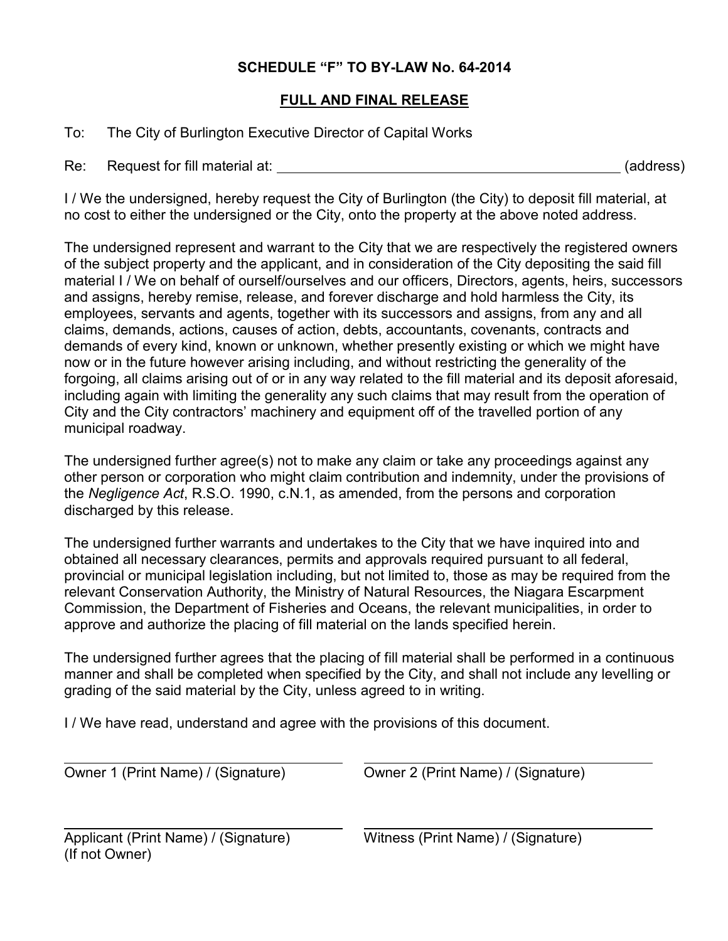## **SCHEDULE "F" TO BY-LAW No. 64-2014**

## **FULL AND FINAL RELEASE**

To: The City of Burlington Executive Director of Capital Works

Re: Request for fill material at: (address)

I / We the undersigned, hereby request the City of Burlington (the City) to deposit fill material, at no cost to either the undersigned or the City, onto the property at the above noted address.

The undersigned represent and warrant to the City that we are respectively the registered owners of the subject property and the applicant, and in consideration of the City depositing the said fill material I / We on behalf of ourself/ourselves and our officers, Directors, agents, heirs, successors and assigns, hereby remise, release, and forever discharge and hold harmless the City, its employees, servants and agents, together with its successors and assigns, from any and all claims, demands, actions, causes of action, debts, accountants, covenants, contracts and demands of every kind, known or unknown, whether presently existing or which we might have now or in the future however arising including, and without restricting the generality of the forgoing, all claims arising out of or in any way related to the fill material and its deposit aforesaid, including again with limiting the generality any such claims that may result from the operation of City and the City contractors' machinery and equipment off of the travelled portion of any municipal roadway.

The undersigned further agree(s) not to make any claim or take any proceedings against any other person or corporation who might claim contribution and indemnity, under the provisions of the *Negligence Act*, R.S.O. 1990, c.N.1, as amended, from the persons and corporation discharged by this release.

The undersigned further warrants and undertakes to the City that we have inquired into and obtained all necessary clearances, permits and approvals required pursuant to all federal, provincial or municipal legislation including, but not limited to, those as may be required from the relevant Conservation Authority, the Ministry of Natural Resources, the Niagara Escarpment Commission, the Department of Fisheries and Oceans, the relevant municipalities, in order to approve and authorize the placing of fill material on the lands specified herein.

The undersigned further agrees that the placing of fill material shall be performed in a continuous manner and shall be completed when specified by the City, and shall not include any levelling or grading of the said material by the City, unless agreed to in writing.

I / We have read, understand and agree with the provisions of this document.

Owner 1 (Print Name) / (Signature) Owner 2 (Print Name) / (Signature)

Applicant (Print Name) / (Signature) Witness (Print Name) / (Signature) (If not Owner)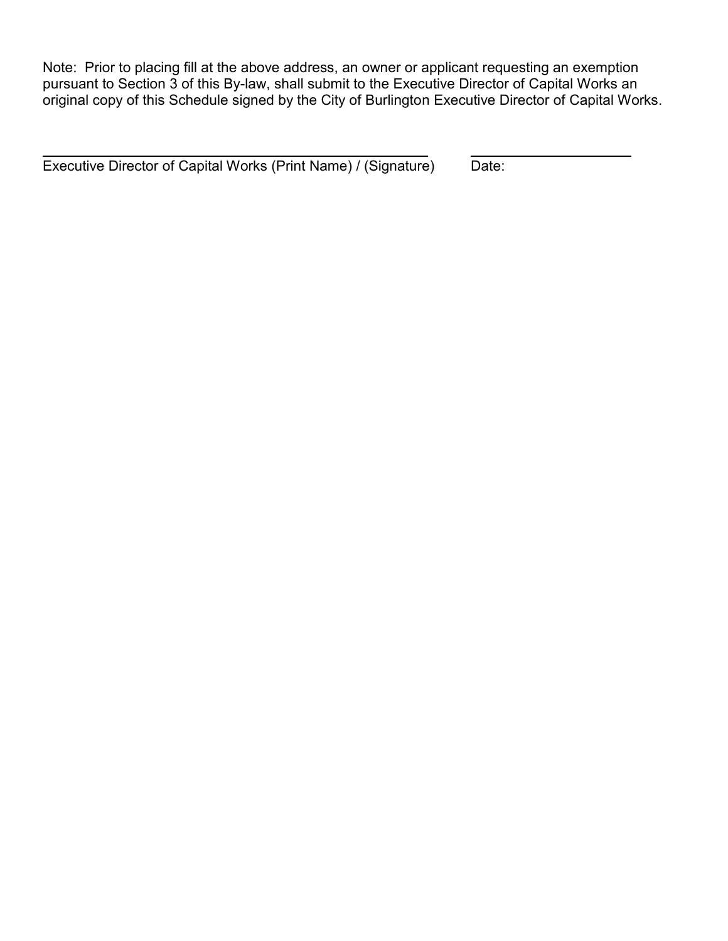Note: Prior to placing fill at the above address, an owner or applicant requesting an exemption pursuant to Section 3 of this By-law, shall submit to the Executive Director of Capital Works an original copy of this Schedule signed by the City of Burlington Executive Director of Capital Works.

Executive Director of Capital Works (Print Name) / (Signature) Date: